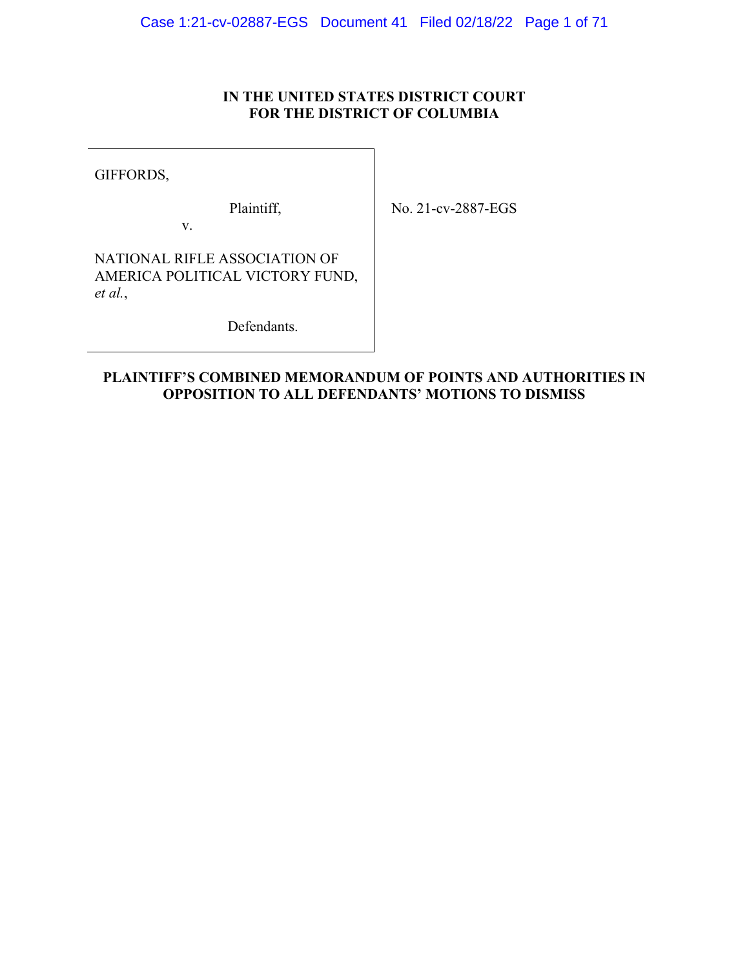## **IN THE UNITED STATES DISTRICT COURT FOR THE DISTRICT OF COLUMBIA**

GIFFORDS,

Plaintiff,

No. 21-cv-2887-EGS

NATIONAL RIFLE ASSOCIATION OF AMERICA POLITICAL VICTORY FUND, *et al.*,

v.

Defendants.

## **PLAINTIFF'S COMBINED MEMORANDUM OF POINTS AND AUTHORITIES IN OPPOSITION TO ALL DEFENDANTS' MOTIONS TO DISMISS**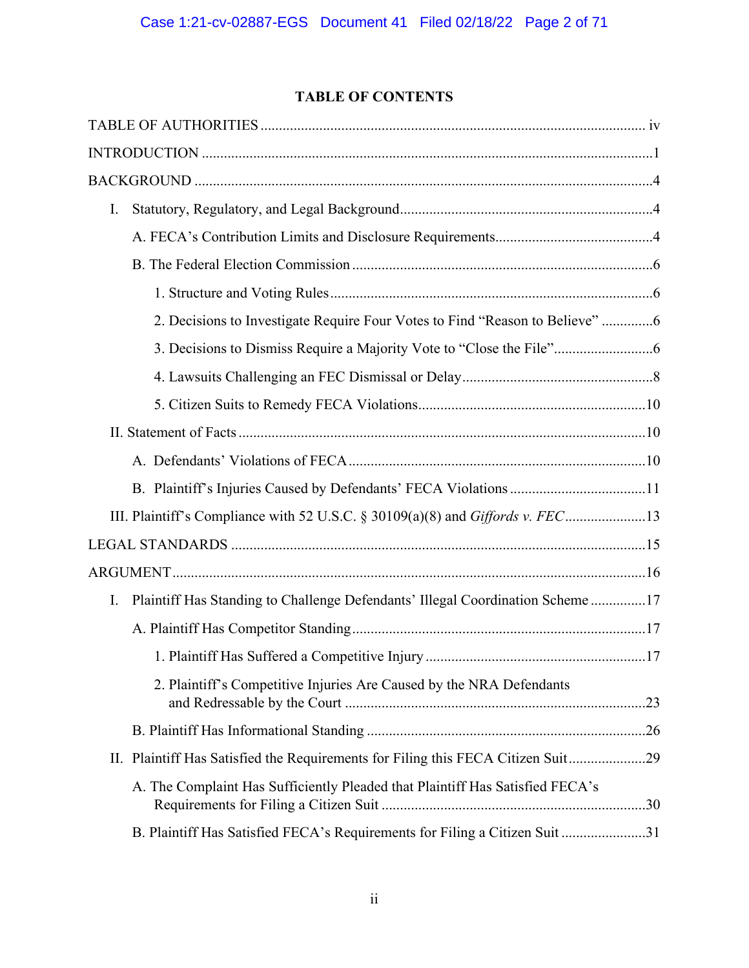## **TABLE OF CONTENTS**

| I. |                                                                                  |  |
|----|----------------------------------------------------------------------------------|--|
|    |                                                                                  |  |
|    |                                                                                  |  |
|    |                                                                                  |  |
|    | 2. Decisions to Investigate Require Four Votes to Find "Reason to Believe" 6     |  |
|    |                                                                                  |  |
|    |                                                                                  |  |
|    |                                                                                  |  |
|    |                                                                                  |  |
|    |                                                                                  |  |
|    |                                                                                  |  |
|    | III. Plaintiff's Compliance with 52 U.S.C. § 30109(a)(8) and Giffords v. FEC13   |  |
|    |                                                                                  |  |
|    |                                                                                  |  |
| Ι. | Plaintiff Has Standing to Challenge Defendants' Illegal Coordination Scheme17    |  |
|    |                                                                                  |  |
|    |                                                                                  |  |
|    | 2. Plaintiff's Competitive Injuries Are Caused by the NRA Defendants             |  |
|    |                                                                                  |  |
|    | II. Plaintiff Has Satisfied the Requirements for Filing this FECA Citizen Suit29 |  |
|    | A. The Complaint Has Sufficiently Pleaded that Plaintiff Has Satisfied FECA's    |  |
|    | B. Plaintiff Has Satisfied FECA's Requirements for Filing a Citizen Suit 31      |  |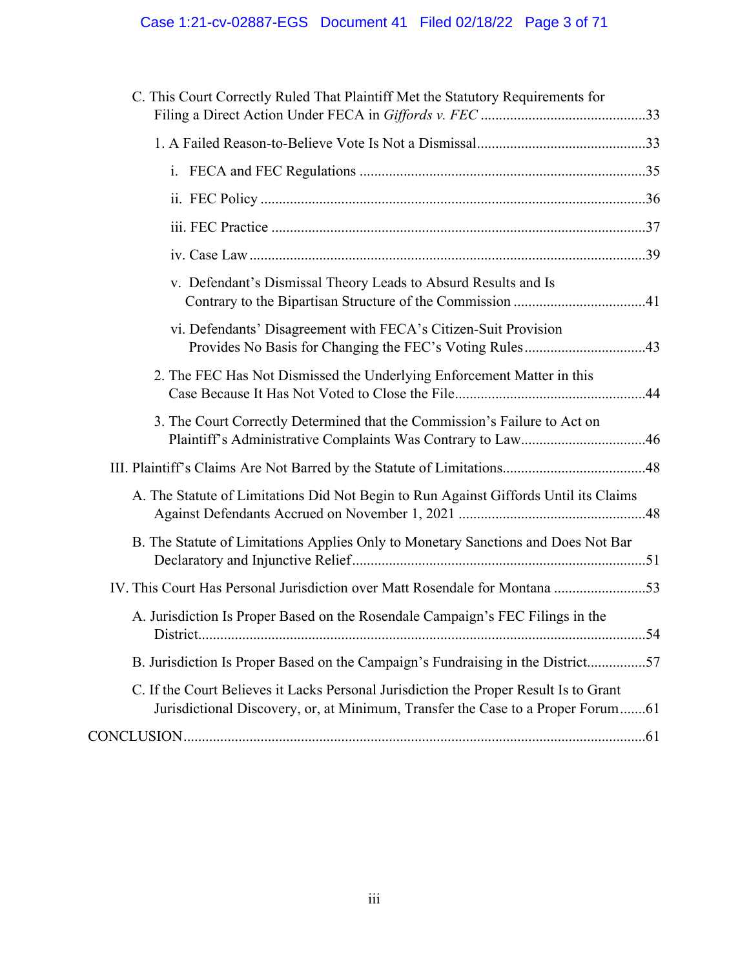# Case 1:21-cv-02887-EGS Document 41 Filed 02/18/22 Page 3 of 71

| C. This Court Correctly Ruled That Plaintiff Met the Statutory Requirements for                                                                                          |  |
|--------------------------------------------------------------------------------------------------------------------------------------------------------------------------|--|
|                                                                                                                                                                          |  |
|                                                                                                                                                                          |  |
|                                                                                                                                                                          |  |
|                                                                                                                                                                          |  |
|                                                                                                                                                                          |  |
|                                                                                                                                                                          |  |
| v. Defendant's Dismissal Theory Leads to Absurd Results and Is                                                                                                           |  |
| vi. Defendants' Disagreement with FECA's Citizen-Suit Provision                                                                                                          |  |
| 2. The FEC Has Not Dismissed the Underlying Enforcement Matter in this                                                                                                   |  |
| 3. The Court Correctly Determined that the Commission's Failure to Act on                                                                                                |  |
|                                                                                                                                                                          |  |
| A. The Statute of Limitations Did Not Begin to Run Against Giffords Until its Claims                                                                                     |  |
| B. The Statute of Limitations Applies Only to Monetary Sanctions and Does Not Bar                                                                                        |  |
| IV. This Court Has Personal Jurisdiction over Matt Rosendale for Montana 53                                                                                              |  |
| A. Jurisdiction Is Proper Based on the Rosendale Campaign's FEC Filings in the                                                                                           |  |
| B. Jurisdiction Is Proper Based on the Campaign's Fundraising in the District57                                                                                          |  |
| C. If the Court Believes it Lacks Personal Jurisdiction the Proper Result Is to Grant<br>Jurisdictional Discovery, or, at Minimum, Transfer the Case to a Proper Forum61 |  |
|                                                                                                                                                                          |  |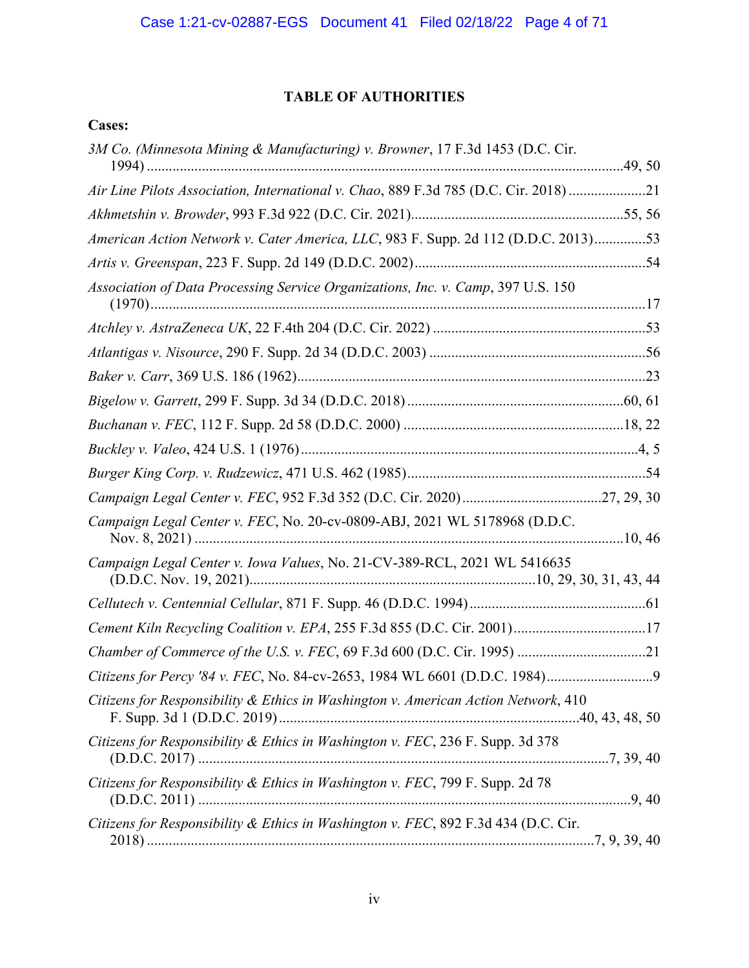## **TABLE OF AUTHORITIES**

## **Cases:**

| 3M Co. (Minnesota Mining & Manufacturing) v. Browner, 17 F.3d 1453 (D.C. Cir.        |
|--------------------------------------------------------------------------------------|
| Air Line Pilots Association, International v. Chao, 889 F.3d 785 (D.C. Cir. 2018) 21 |
|                                                                                      |
| American Action Network v. Cater America, LLC, 983 F. Supp. 2d 112 (D.D.C. 2013)53   |
|                                                                                      |
| Association of Data Processing Service Organizations, Inc. v. Camp, 397 U.S. 150     |
|                                                                                      |
|                                                                                      |
|                                                                                      |
|                                                                                      |
|                                                                                      |
|                                                                                      |
|                                                                                      |
|                                                                                      |
|                                                                                      |
| Campaign Legal Center v. FEC, No. 20-cv-0809-ABJ, 2021 WL 5178968 (D.D.C.            |
| Campaign Legal Center v. Iowa Values, No. 21-CV-389-RCL, 2021 WL 5416635             |
|                                                                                      |
| Cement Kiln Recycling Coalition v. EPA, 255 F.3d 855 (D.C. Cir. 2001)17              |
|                                                                                      |
|                                                                                      |
| Citizens for Responsibility & Ethics in Washington v. American Action Network, 410   |
| Citizens for Responsibility & Ethics in Washington v. FEC, 236 F. Supp. 3d 378       |
| Citizens for Responsibility & Ethics in Washington v. FEC, 799 F. Supp. 2d 78        |
| Citizens for Responsibility & Ethics in Washington v. FEC, 892 F.3d 434 (D.C. Cir.   |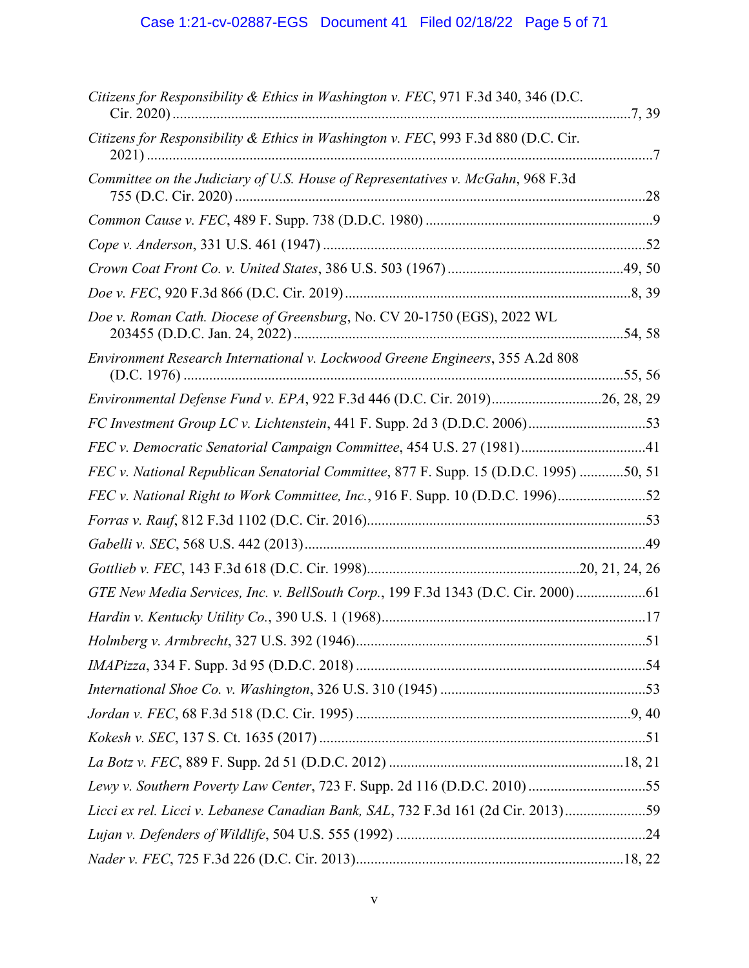# Case 1:21-cv-02887-EGS Document 41 Filed 02/18/22 Page 5 of 71

| Citizens for Responsibility & Ethics in Washington v. FEC, 971 F.3d 340, 346 (D.C.    |  |
|---------------------------------------------------------------------------------------|--|
| Citizens for Responsibility & Ethics in Washington v. FEC, 993 F.3d 880 (D.C. Cir.    |  |
| Committee on the Judiciary of U.S. House of Representatives v. McGahn, 968 F.3d       |  |
|                                                                                       |  |
|                                                                                       |  |
|                                                                                       |  |
|                                                                                       |  |
| Doe v. Roman Cath. Diocese of Greensburg, No. CV 20-1750 (EGS), 2022 WL               |  |
| Environment Research International v. Lockwood Greene Engineers, 355 A.2d 808         |  |
| Environmental Defense Fund v. EPA, 922 F.3d 446 (D.C. Cir. 2019)26, 28, 29            |  |
| FC Investment Group LC v. Lichtenstein, 441 F. Supp. 2d 3 (D.D.C. 2006)53             |  |
| FEC v. Democratic Senatorial Campaign Committee, 454 U.S. 27 (1981)41                 |  |
| FEC v. National Republican Senatorial Committee, 877 F. Supp. 15 (D.D.C. 1995) 50, 51 |  |
| FEC v. National Right to Work Committee, Inc., 916 F. Supp. 10 (D.D.C. 1996)52        |  |
|                                                                                       |  |
|                                                                                       |  |
|                                                                                       |  |
| GTE New Media Services, Inc. v. BellSouth Corp., 199 F.3d 1343 (D.C. Cir. 2000)61     |  |
|                                                                                       |  |
|                                                                                       |  |
|                                                                                       |  |
|                                                                                       |  |
|                                                                                       |  |
|                                                                                       |  |
|                                                                                       |  |
| Lewy v. Southern Poverty Law Center, 723 F. Supp. 2d 116 (D.D.C. 2010)55              |  |
| Licci ex rel. Licci v. Lebanese Canadian Bank, SAL, 732 F.3d 161 (2d Cir. 2013)59     |  |
|                                                                                       |  |
|                                                                                       |  |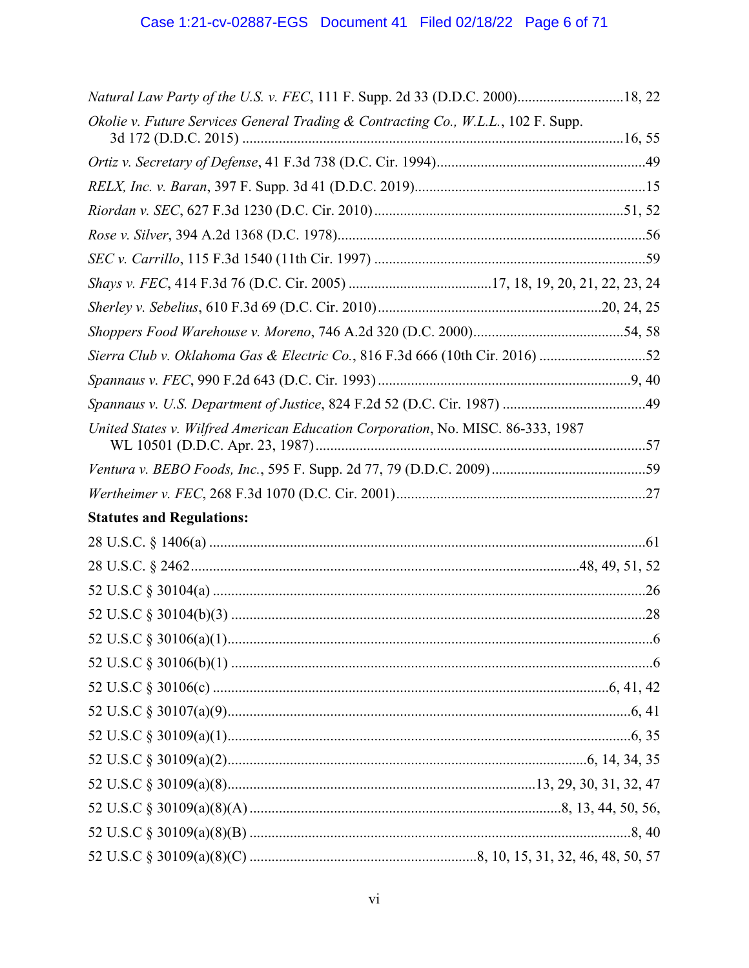| Natural Law Party of the U.S. v. FEC, 111 F. Supp. 2d 33 (D.D.C. 2000)18, 22      |  |
|-----------------------------------------------------------------------------------|--|
| Okolie v. Future Services General Trading & Contracting Co., W.L.L., 102 F. Supp. |  |
|                                                                                   |  |
|                                                                                   |  |
|                                                                                   |  |
|                                                                                   |  |
|                                                                                   |  |
|                                                                                   |  |
|                                                                                   |  |
|                                                                                   |  |
|                                                                                   |  |
| Sierra Club v. Oklahoma Gas & Electric Co., 816 F.3d 666 (10th Cir. 2016) 52      |  |
|                                                                                   |  |
|                                                                                   |  |
| United States v. Wilfred American Education Corporation, No. MISC. 86-333, 1987   |  |
|                                                                                   |  |
|                                                                                   |  |
| <b>Statutes and Regulations:</b>                                                  |  |
|                                                                                   |  |
|                                                                                   |  |
|                                                                                   |  |
|                                                                                   |  |
|                                                                                   |  |
|                                                                                   |  |
|                                                                                   |  |
|                                                                                   |  |
|                                                                                   |  |
|                                                                                   |  |
|                                                                                   |  |
|                                                                                   |  |
|                                                                                   |  |
|                                                                                   |  |
|                                                                                   |  |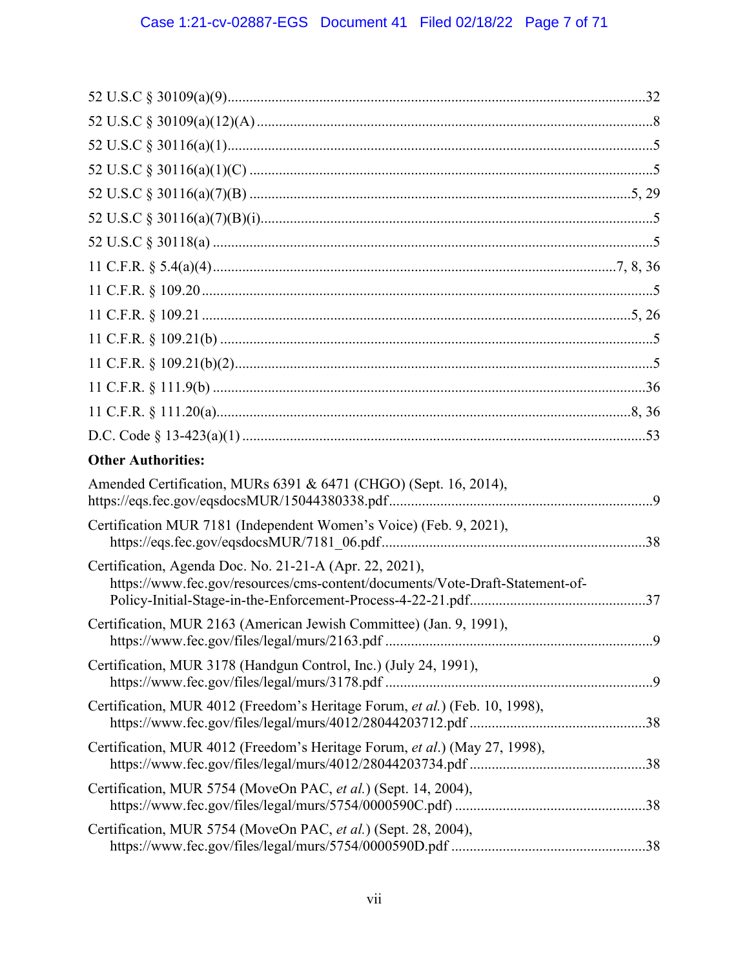| <b>Other Authorities:</b>                                                                                                               |  |
|-----------------------------------------------------------------------------------------------------------------------------------------|--|
| Amended Certification, MURs 6391 & 6471 (CHGO) (Sept. 16, 2014),                                                                        |  |
| Certification MUR 7181 (Independent Women's Voice) (Feb. 9, 2021),                                                                      |  |
| Certification, Agenda Doc. No. 21-21-A (Apr. 22, 2021),<br>https://www.fec.gov/resources/cms-content/documents/Vote-Draft-Statement-of- |  |
| Certification, MUR 2163 (American Jewish Committee) (Jan. 9, 1991),                                                                     |  |
| Certification, MUR 3178 (Handgun Control, Inc.) (July 24, 1991),                                                                        |  |
| Certification, MUR 4012 (Freedom's Heritage Forum, et al.) (Feb. 10, 1998),                                                             |  |
| Certification, MUR 4012 (Freedom's Heritage Forum, et al.) (May 27, 1998),                                                              |  |
| Certification, MUR 5754 (MoveOn PAC, et al.) (Sept. 14, 2004),                                                                          |  |
| Certification, MUR 5754 (MoveOn PAC, et al.) (Sept. 28, 2004),                                                                          |  |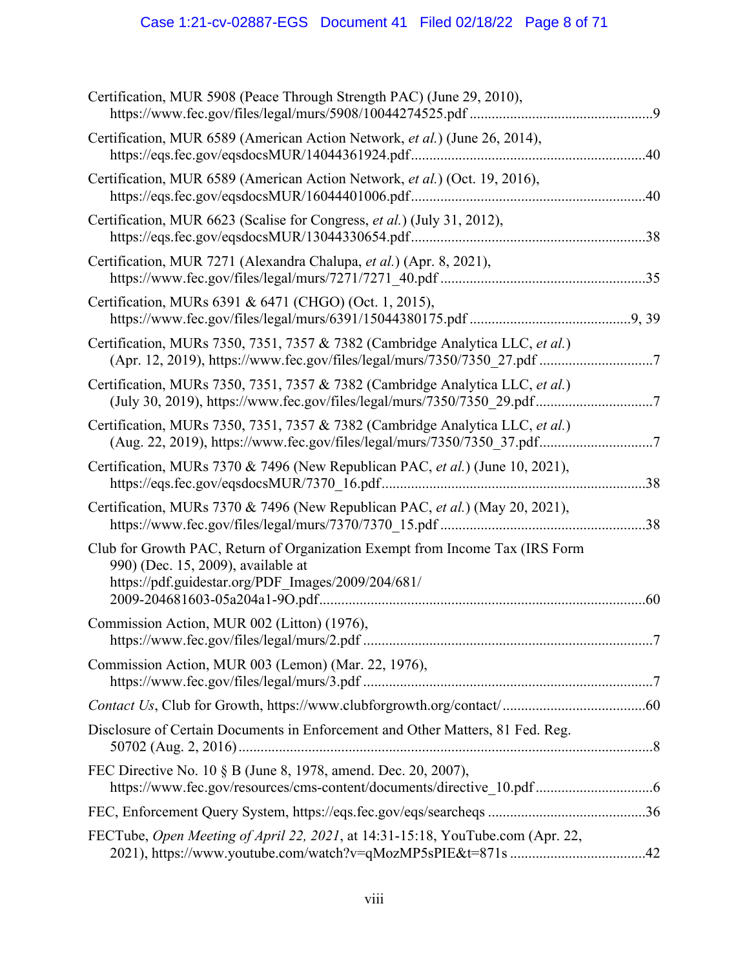# Case 1:21-cv-02887-EGS Document 41 Filed 02/18/22 Page 8 of 71

| Certification, MUR 5908 (Peace Through Strength PAC) (June 29, 2010),                                                                                                    |  |
|--------------------------------------------------------------------------------------------------------------------------------------------------------------------------|--|
| Certification, MUR 6589 (American Action Network, et al.) (June 26, 2014),                                                                                               |  |
| Certification, MUR 6589 (American Action Network, et al.) (Oct. 19, 2016),                                                                                               |  |
| Certification, MUR 6623 (Scalise for Congress, et al.) (July 31, 2012),                                                                                                  |  |
| Certification, MUR 7271 (Alexandra Chalupa, et al.) (Apr. 8, 2021),                                                                                                      |  |
| Certification, MURs 6391 & 6471 (CHGO) (Oct. 1, 2015),                                                                                                                   |  |
| Certification, MURs 7350, 7351, 7357 & 7382 (Cambridge Analytica LLC, et al.)<br>(Apr. 12, 2019), https://www.fec.gov/files/legal/murs/7350/7350_27.pdf 7                |  |
| Certification, MURs 7350, 7351, 7357 & 7382 (Cambridge Analytica LLC, et al.)<br>(July 30, 2019), https://www.fec.gov/files/legal/murs/7350/7350_29.pdf7                 |  |
| Certification, MURs 7350, 7351, 7357 & 7382 (Cambridge Analytica LLC, et al.)<br>(Aug. 22, 2019), https://www.fec.gov/files/legal/murs/7350/7350_37.pdf7                 |  |
| Certification, MURs 7370 & 7496 (New Republican PAC, et al.) (June 10, 2021),                                                                                            |  |
| Certification, MURs 7370 & 7496 (New Republican PAC, et al.) (May 20, 2021),                                                                                             |  |
| Club for Growth PAC, Return of Organization Exempt from Income Tax (IRS Form<br>990) (Dec. 15, 2009), available at<br>https://pdf.guidestar.org/PDF Images/2009/204/681/ |  |
| Commission Action, MUR 002 (Litton) (1976),                                                                                                                              |  |
| Commission Action, MUR 003 (Lemon) (Mar. 22, 1976),                                                                                                                      |  |
|                                                                                                                                                                          |  |
| Disclosure of Certain Documents in Enforcement and Other Matters, 81 Fed. Reg.                                                                                           |  |
| FEC Directive No. 10 § B (June 8, 1978, amend. Dec. 20, 2007),                                                                                                           |  |
|                                                                                                                                                                          |  |
| FECTube, Open Meeting of April 22, 2021, at 14:31-15:18, YouTube.com (Apr. 22,<br>2021), https://www.youtube.com/watch?v=qMozMP5sPIE&t=871s42                            |  |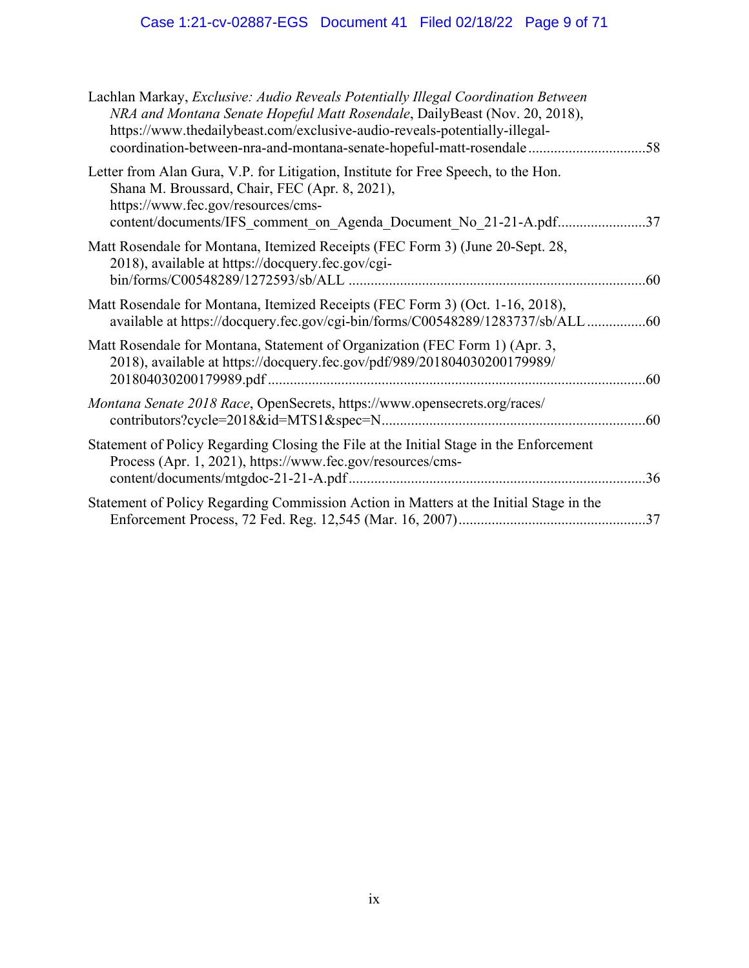# Case 1:21-cv-02887-EGS Document 41 Filed 02/18/22 Page 9 of 71

| Lachlan Markay, Exclusive: Audio Reveals Potentially Illegal Coordination Between<br>NRA and Montana Senate Hopeful Matt Rosendale, DailyBeast (Nov. 20, 2018),<br>https://www.thedailybeast.com/exclusive-audio-reveals-potentially-illegal-<br>coordination-between-nra-and-montana-senate-hopeful-matt-rosendale | .58 |
|---------------------------------------------------------------------------------------------------------------------------------------------------------------------------------------------------------------------------------------------------------------------------------------------------------------------|-----|
| Letter from Alan Gura, V.P. for Litigation, Institute for Free Speech, to the Hon.<br>Shana M. Broussard, Chair, FEC (Apr. 8, 2021),<br>https://www.fec.gov/resources/cms-<br>content/documents/IFS_comment_on_Agenda_Document_No_21-21-A.pdf37                                                                     |     |
| Matt Rosendale for Montana, Itemized Receipts (FEC Form 3) (June 20-Sept. 28,<br>2018), available at https://docquery.fec.gov/cgi-                                                                                                                                                                                  | .60 |
| Matt Rosendale for Montana, Itemized Receipts (FEC Form 3) (Oct. 1-16, 2018),<br>available at https://docquery.fec.gov/cgi-bin/forms/C00548289/1283737/sb/ALL60                                                                                                                                                     |     |
| Matt Rosendale for Montana, Statement of Organization (FEC Form 1) (Apr. 3,<br>2018), available at https://docquery.fec.gov/pdf/989/201804030200179989/                                                                                                                                                             | .60 |
| Montana Senate 2018 Race, OpenSecrets, https://www.opensecrets.org/races/                                                                                                                                                                                                                                           | .60 |
| Statement of Policy Regarding Closing the File at the Initial Stage in the Enforcement<br>Process (Apr. 1, 2021), https://www.fec.gov/resources/cms-                                                                                                                                                                |     |
| Statement of Policy Regarding Commission Action in Matters at the Initial Stage in the                                                                                                                                                                                                                              |     |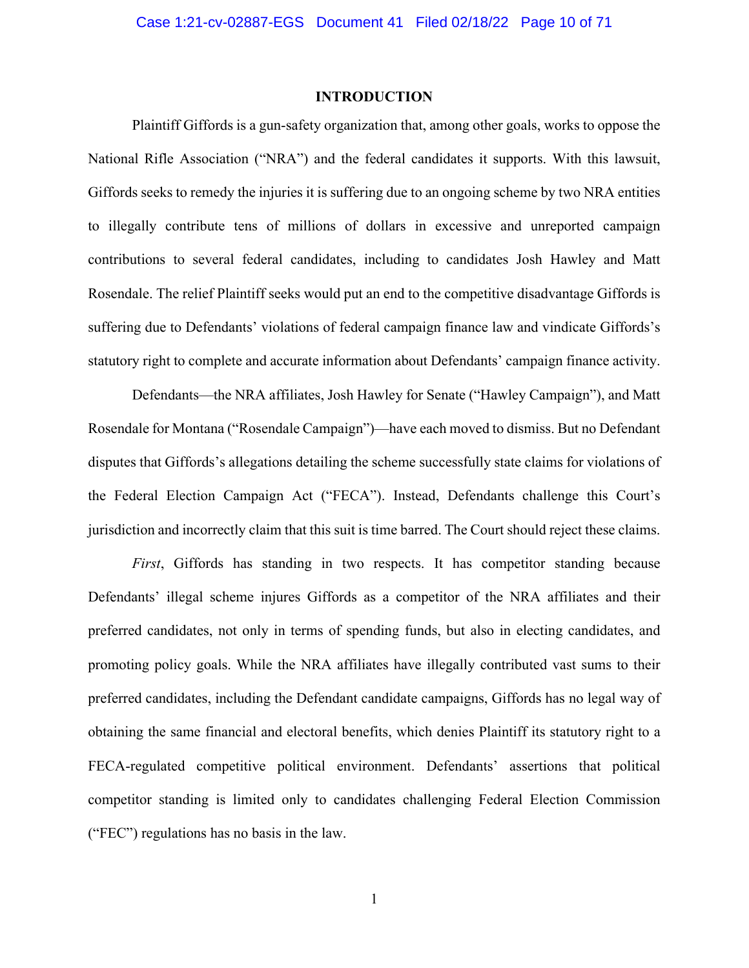## **INTRODUCTION**

Plaintiff Giffords is a gun-safety organization that, among other goals, works to oppose the National Rifle Association ("NRA") and the federal candidates it supports. With this lawsuit, Giffords seeks to remedy the injuries it is suffering due to an ongoing scheme by two NRA entities to illegally contribute tens of millions of dollars in excessive and unreported campaign contributions to several federal candidates, including to candidates Josh Hawley and Matt Rosendale. The relief Plaintiff seeks would put an end to the competitive disadvantage Giffords is suffering due to Defendants' violations of federal campaign finance law and vindicate Giffords's statutory right to complete and accurate information about Defendants' campaign finance activity.

Defendants—the NRA affiliates, Josh Hawley for Senate ("Hawley Campaign"), and Matt Rosendale for Montana ("Rosendale Campaign")—have each moved to dismiss. But no Defendant disputes that Giffords's allegations detailing the scheme successfully state claims for violations of the Federal Election Campaign Act ("FECA"). Instead, Defendants challenge this Court's jurisdiction and incorrectly claim that this suit is time barred. The Court should reject these claims.

*First*, Giffords has standing in two respects. It has competitor standing because Defendants' illegal scheme injures Giffords as a competitor of the NRA affiliates and their preferred candidates, not only in terms of spending funds, but also in electing candidates, and promoting policy goals. While the NRA affiliates have illegally contributed vast sums to their preferred candidates, including the Defendant candidate campaigns, Giffords has no legal way of obtaining the same financial and electoral benefits, which denies Plaintiff its statutory right to a FECA-regulated competitive political environment. Defendants' assertions that political competitor standing is limited only to candidates challenging Federal Election Commission ("FEC") regulations has no basis in the law.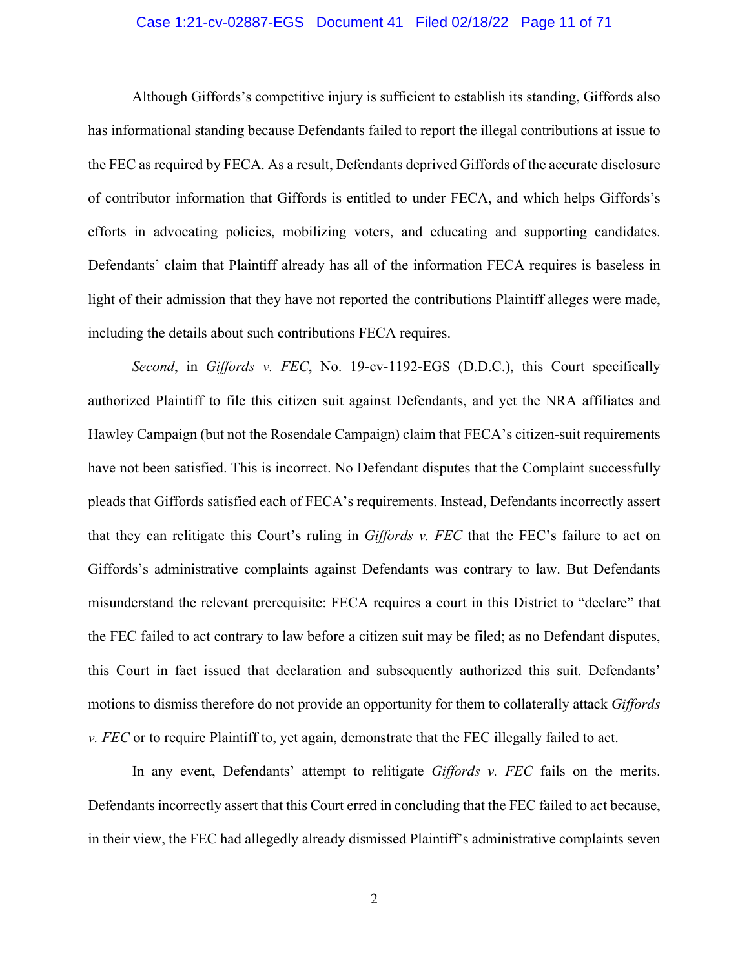#### Case 1:21-cv-02887-EGS Document 41 Filed 02/18/22 Page 11 of 71

Although Giffords's competitive injury is sufficient to establish its standing, Giffords also has informational standing because Defendants failed to report the illegal contributions at issue to the FEC as required by FECA. As a result, Defendants deprived Giffords of the accurate disclosure of contributor information that Giffords is entitled to under FECA, and which helps Giffords's efforts in advocating policies, mobilizing voters, and educating and supporting candidates. Defendants' claim that Plaintiff already has all of the information FECA requires is baseless in light of their admission that they have not reported the contributions Plaintiff alleges were made, including the details about such contributions FECA requires.

*Second*, in *Giffords v. FEC*, No. 19-cv-1192-EGS (D.D.C.), this Court specifically authorized Plaintiff to file this citizen suit against Defendants, and yet the NRA affiliates and Hawley Campaign (but not the Rosendale Campaign) claim that FECA's citizen-suit requirements have not been satisfied. This is incorrect. No Defendant disputes that the Complaint successfully pleads that Giffords satisfied each of FECA's requirements. Instead, Defendants incorrectly assert that they can relitigate this Court's ruling in *Giffords v. FEC* that the FEC's failure to act on Giffords's administrative complaints against Defendants was contrary to law. But Defendants misunderstand the relevant prerequisite: FECA requires a court in this District to "declare" that the FEC failed to act contrary to law before a citizen suit may be filed; as no Defendant disputes, this Court in fact issued that declaration and subsequently authorized this suit. Defendants' motions to dismiss therefore do not provide an opportunity for them to collaterally attack *Giffords v. FEC* or to require Plaintiff to, yet again, demonstrate that the FEC illegally failed to act.

In any event, Defendants' attempt to relitigate *Giffords v. FEC* fails on the merits. Defendants incorrectly assert that this Court erred in concluding that the FEC failed to act because, in their view, the FEC had allegedly already dismissed Plaintiff's administrative complaints seven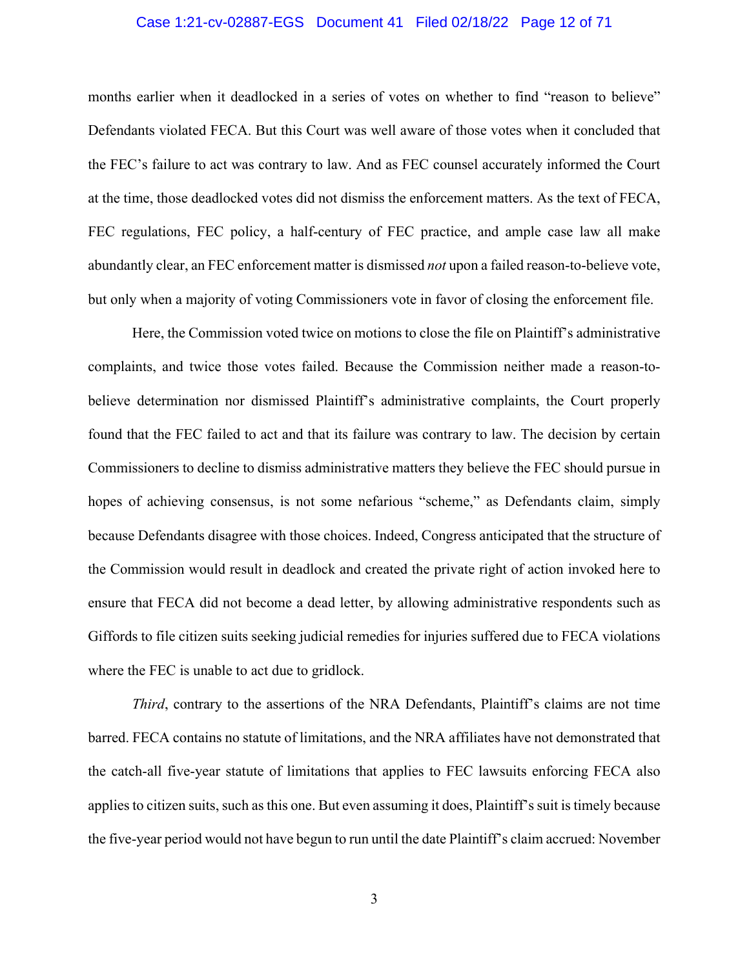#### Case 1:21-cv-02887-EGS Document 41 Filed 02/18/22 Page 12 of 71

months earlier when it deadlocked in a series of votes on whether to find "reason to believe" Defendants violated FECA. But this Court was well aware of those votes when it concluded that the FEC's failure to act was contrary to law. And as FEC counsel accurately informed the Court at the time, those deadlocked votes did not dismiss the enforcement matters. As the text of FECA, FEC regulations, FEC policy, a half-century of FEC practice, and ample case law all make abundantly clear, an FEC enforcement matter is dismissed *not* upon a failed reason-to-believe vote, but only when a majority of voting Commissioners vote in favor of closing the enforcement file.

Here, the Commission voted twice on motions to close the file on Plaintiff's administrative complaints, and twice those votes failed. Because the Commission neither made a reason-tobelieve determination nor dismissed Plaintiff's administrative complaints, the Court properly found that the FEC failed to act and that its failure was contrary to law. The decision by certain Commissioners to decline to dismiss administrative matters they believe the FEC should pursue in hopes of achieving consensus, is not some nefarious "scheme," as Defendants claim, simply because Defendants disagree with those choices. Indeed, Congress anticipated that the structure of the Commission would result in deadlock and created the private right of action invoked here to ensure that FECA did not become a dead letter, by allowing administrative respondents such as Giffords to file citizen suits seeking judicial remedies for injuries suffered due to FECA violations where the FEC is unable to act due to gridlock.

*Third*, contrary to the assertions of the NRA Defendants, Plaintiff's claims are not time barred. FECA contains no statute of limitations, and the NRA affiliates have not demonstrated that the catch-all five-year statute of limitations that applies to FEC lawsuits enforcing FECA also applies to citizen suits, such as this one. But even assuming it does, Plaintiff's suit is timely because the five-year period would not have begun to run until the date Plaintiff's claim accrued: November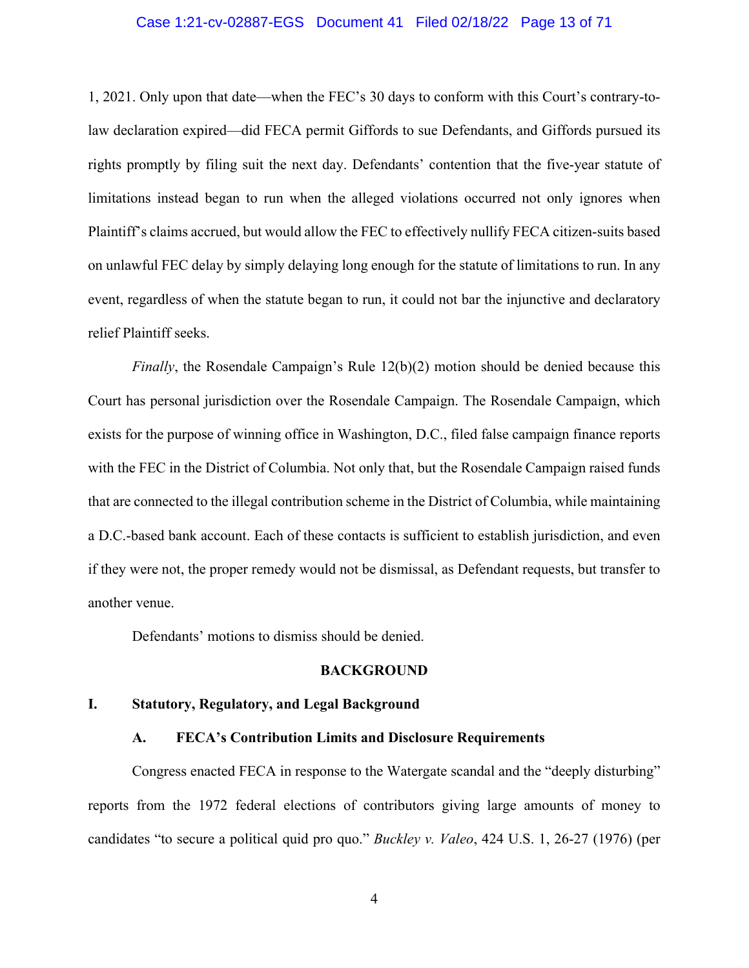#### Case 1:21-cv-02887-EGS Document 41 Filed 02/18/22 Page 13 of 71

1, 2021. Only upon that date—when the FEC's 30 days to conform with this Court's contrary-tolaw declaration expired—did FECA permit Giffords to sue Defendants, and Giffords pursued its rights promptly by filing suit the next day. Defendants' contention that the five-year statute of limitations instead began to run when the alleged violations occurred not only ignores when Plaintiff's claims accrued, but would allow the FEC to effectively nullify FECA citizen-suits based on unlawful FEC delay by simply delaying long enough for the statute of limitations to run. In any event, regardless of when the statute began to run, it could not bar the injunctive and declaratory relief Plaintiff seeks.

*Finally*, the Rosendale Campaign's Rule 12(b)(2) motion should be denied because this Court has personal jurisdiction over the Rosendale Campaign. The Rosendale Campaign, which exists for the purpose of winning office in Washington, D.C., filed false campaign finance reports with the FEC in the District of Columbia. Not only that, but the Rosendale Campaign raised funds that are connected to the illegal contribution scheme in the District of Columbia, while maintaining a D.C.-based bank account. Each of these contacts is sufficient to establish jurisdiction, and even if they were not, the proper remedy would not be dismissal, as Defendant requests, but transfer to another venue.

Defendants' motions to dismiss should be denied.

#### **BACKGROUND**

#### **I. Statutory, Regulatory, and Legal Background**

#### **A. FECA's Contribution Limits and Disclosure Requirements**

Congress enacted FECA in response to the Watergate scandal and the "deeply disturbing" reports from the 1972 federal elections of contributors giving large amounts of money to candidates "to secure a political quid pro quo." *Buckley v. Valeo*, 424 U.S. 1, 26-27 (1976) (per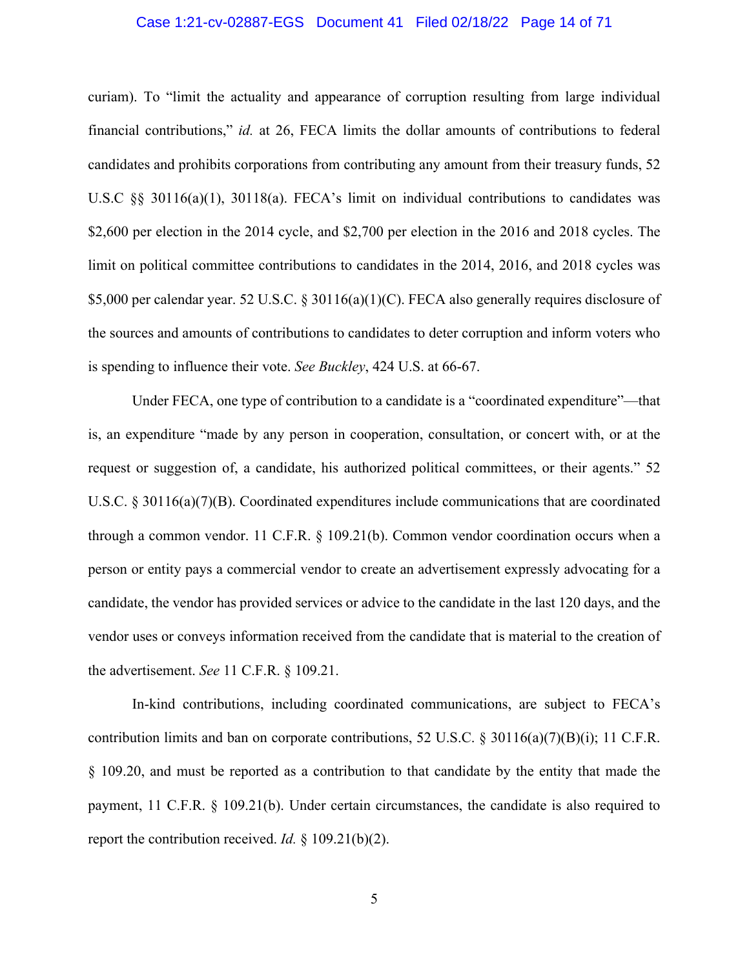#### Case 1:21-cv-02887-EGS Document 41 Filed 02/18/22 Page 14 of 71

curiam). To "limit the actuality and appearance of corruption resulting from large individual financial contributions," *id.* at 26, FECA limits the dollar amounts of contributions to federal candidates and prohibits corporations from contributing any amount from their treasury funds, 52 U.S.C §§ 30116(a)(1), 30118(a). FECA's limit on individual contributions to candidates was \$2,600 per election in the 2014 cycle, and \$2,700 per election in the 2016 and 2018 cycles. The limit on political committee contributions to candidates in the 2014, 2016, and 2018 cycles was \$5,000 per calendar year. 52 U.S.C. § 30116(a)(1)(C). FECA also generally requires disclosure of the sources and amounts of contributions to candidates to deter corruption and inform voters who is spending to influence their vote. *See Buckley*, 424 U.S. at 66-67.

Under FECA, one type of contribution to a candidate is a "coordinated expenditure"—that is, an expenditure "made by any person in cooperation, consultation, or concert with, or at the request or suggestion of, a candidate, his authorized political committees, or their agents." 52 U.S.C.  $\S 30116(a)(7)(B)$ . Coordinated expenditures include communications that are coordinated through a common vendor. 11 C.F.R. § 109.21(b). Common vendor coordination occurs when a person or entity pays a commercial vendor to create an advertisement expressly advocating for a candidate, the vendor has provided services or advice to the candidate in the last 120 days, and the vendor uses or conveys information received from the candidate that is material to the creation of the advertisement. *See* 11 C.F.R. § 109.21.

In-kind contributions, including coordinated communications, are subject to FECA's contribution limits and ban on corporate contributions, 52 U.S.C. § 30116(a)(7)(B)(i); 11 C.F.R. § 109.20, and must be reported as a contribution to that candidate by the entity that made the payment, 11 C.F.R. § 109.21(b). Under certain circumstances, the candidate is also required to report the contribution received. *Id.* § 109.21(b)(2).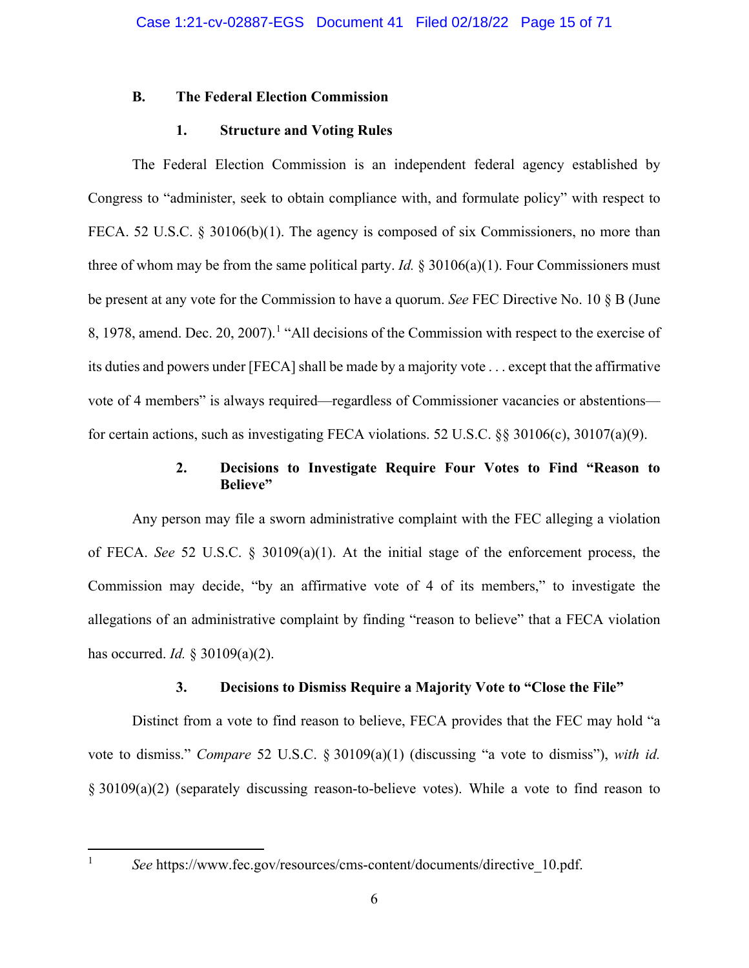### **B. The Federal Election Commission**

## **1. Structure and Voting Rules**

The Federal Election Commission is an independent federal agency established by Congress to "administer, seek to obtain compliance with, and formulate policy" with respect to FECA. 52 U.S.C. § 30106(b)(1). The agency is composed of six Commissioners, no more than three of whom may be from the same political party. *Id.*  $\S 30106(a)(1)$ . Four Commissioners must be present at any vote for the Commission to have a quorum. *See* FEC Directive No. 10 § B (June 8, [1](#page-14-0)978, amend. Dec. 20, 2007).<sup>1</sup> "All decisions of the Commission with respect to the exercise of its duties and powers under [FECA] shall be made by a majority vote . . . except that the affirmative vote of 4 members" is always required—regardless of Commissioner vacancies or abstentions for certain actions, such as investigating FECA violations. 52 U.S.C. §§ 30106(c), 30107(a)(9).

## **2. Decisions to Investigate Require Four Votes to Find "Reason to Believe"**

Any person may file a sworn administrative complaint with the FEC alleging a violation of FECA. *See* 52 U.S.C. § 30109(a)(1). At the initial stage of the enforcement process, the Commission may decide, "by an affirmative vote of 4 of its members," to investigate the allegations of an administrative complaint by finding "reason to believe" that a FECA violation has occurred. *Id.* § 30109(a)(2).

## **3. Decisions to Dismiss Require a Majority Vote to "Close the File"**

Distinct from a vote to find reason to believe, FECA provides that the FEC may hold "a vote to dismiss." *Compare* 52 U.S.C. § 30109(a)(1) (discussing "a vote to dismiss"), *with id.* § 30109(a)(2) (separately discussing reason-to-believe votes). While a vote to find reason to

<span id="page-14-0"></span><sup>&</sup>lt;sup>1</sup> *See* https://www.fec.gov/resources/cms-content/documents/directive 10.pdf.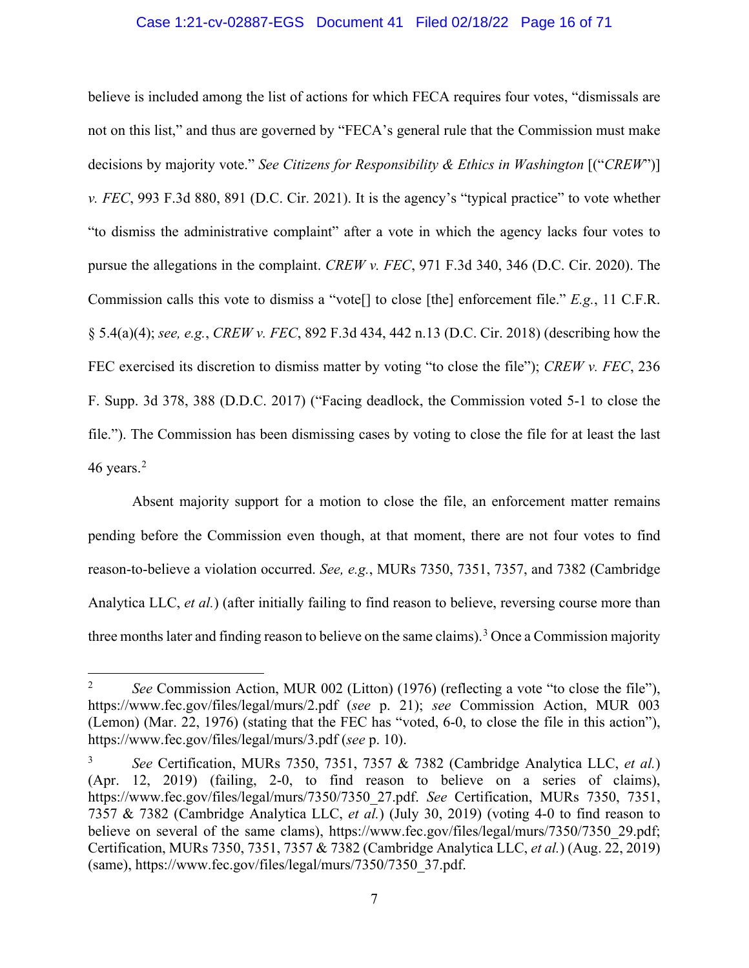#### Case 1:21-cv-02887-EGS Document 41 Filed 02/18/22 Page 16 of 71

believe is included among the list of actions for which FECA requires four votes, "dismissals are not on this list," and thus are governed by "FECA's general rule that the Commission must make decisions by majority vote." *See Citizens for Responsibility & Ethics in Washington* [("*CREW*")] *v. FEC*, 993 F.3d 880, 891 (D.C. Cir. 2021). It is the agency's "typical practice" to vote whether "to dismiss the administrative complaint" after a vote in which the agency lacks four votes to pursue the allegations in the complaint. *CREW v. FEC*, 971 F.3d 340, 346 (D.C. Cir. 2020). The Commission calls this vote to dismiss a "vote[] to close [the] enforcement file." *E.g.*, 11 C.F.R. § 5.4(a)(4); *see, e.g.*, *CREW v. FEC*, 892 F.3d 434, 442 n.13 (D.C. Cir. 2018) (describing how the FEC exercised its discretion to dismiss matter by voting "to close the file"); *CREW v. FEC*, 236 F. Supp. 3d 378, 388 (D.D.C. 2017) ("Facing deadlock, the Commission voted 5-1 to close the file."). The Commission has been dismissing cases by voting to close the file for at least the last 46 years. $2$ 

Absent majority support for a motion to close the file, an enforcement matter remains pending before the Commission even though, at that moment, there are not four votes to find reason-to-believe a violation occurred. *See, e.g.*, MURs 7350, 7351, 7357, and 7382 (Cambridge Analytica LLC, *et al.*) (after initially failing to find reason to believe, reversing course more than three months later and finding reason to believe on the same claims).<sup>[3](#page-15-1)</sup> Once a Commission majority

<span id="page-15-0"></span><sup>&</sup>lt;sup>2</sup> *See* Commission Action, MUR 002 (Litton) (1976) (reflecting a vote "to close the file"), https://www.fec.gov/files/legal/murs/2.pdf (*see* p. 21); *see* Commission Action, MUR 003 (Lemon) (Mar. 22, 1976) (stating that the FEC has "voted, 6-0, to close the file in this action"), https://www.fec.gov/files/legal/murs/3.pdf (*see* p. 10).

<span id="page-15-1"></span><sup>3</sup> *See* Certification, MURs 7350, 7351, 7357 & 7382 (Cambridge Analytica LLC, *et al.*) (Apr. 12, 2019) (failing, 2-0, to find reason to believe on a series of claims), https://www.fec.gov/files/legal/murs/7350/7350\_27.pdf. *See* Certification, MURs 7350, 7351, 7357 & 7382 (Cambridge Analytica LLC, *et al.*) (July 30, 2019) (voting 4-0 to find reason to believe on several of the same clams), https://www.fec.gov/files/legal/murs/7350/7350\_29.pdf; Certification, MURs 7350, 7351, 7357 & 7382 (Cambridge Analytica LLC, *et al.*) (Aug. 22, 2019) (same), https://www.fec.gov/files/legal/murs/7350/7350\_37.pdf.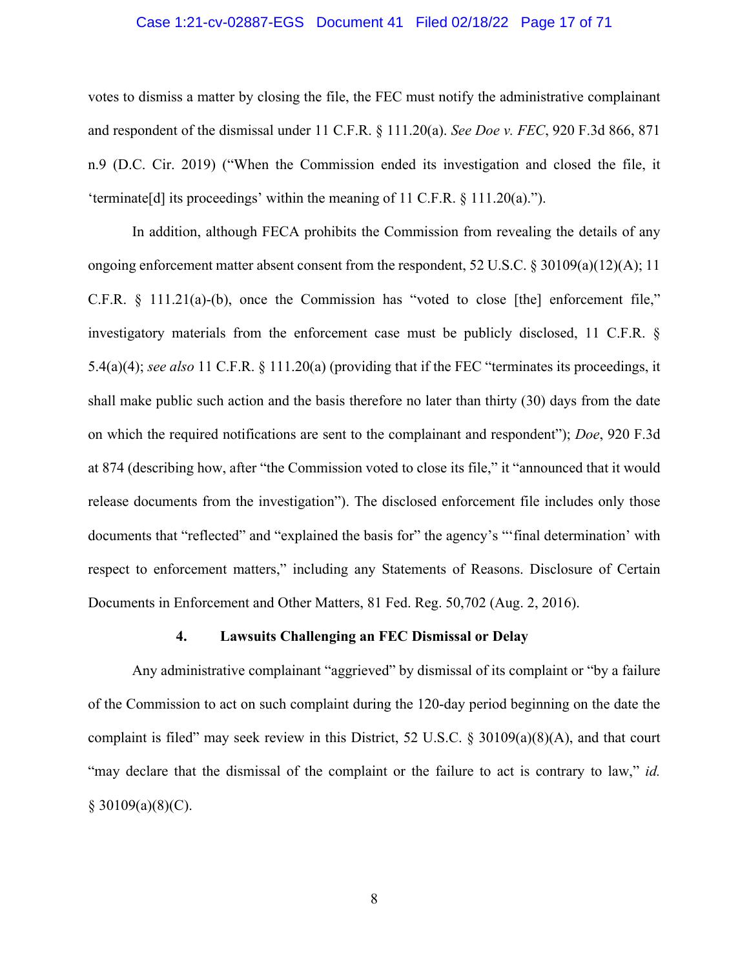#### Case 1:21-cv-02887-EGS Document 41 Filed 02/18/22 Page 17 of 71

votes to dismiss a matter by closing the file, the FEC must notify the administrative complainant and respondent of the dismissal under 11 C.F.R. § 111.20(a). *See Doe v. FEC*, 920 F.3d 866, 871 n.9 (D.C. Cir. 2019) ("When the Commission ended its investigation and closed the file, it 'terminate[d] its proceedings' within the meaning of 11 C.F.R. § 111.20(a).").

In addition, although FECA prohibits the Commission from revealing the details of any ongoing enforcement matter absent consent from the respondent, 52 U.S.C. § 30109(a)(12)(A); 11 C.F.R. § 111.21(a)-(b), once the Commission has "voted to close [the] enforcement file," investigatory materials from the enforcement case must be publicly disclosed, 11 C.F.R. § 5.4(a)(4); *see also* 11 C.F.R. § 111.20(a) (providing that if the FEC "terminates its proceedings, it shall make public such action and the basis therefore no later than thirty (30) days from the date on which the required notifications are sent to the complainant and respondent"); *Doe*, 920 F.3d at 874 (describing how, after "the Commission voted to close its file," it "announced that it would release documents from the investigation"). The disclosed enforcement file includes only those documents that "reflected" and "explained the basis for" the agency's "'final determination' with respect to enforcement matters," including any Statements of Reasons. Disclosure of Certain Documents in Enforcement and Other Matters, 81 Fed. Reg. 50,702 (Aug. 2, 2016).

#### **4. Lawsuits Challenging an FEC Dismissal or Delay**

Any administrative complainant "aggrieved" by dismissal of its complaint or "by a failure of the Commission to act on such complaint during the 120-day period beginning on the date the complaint is filed" may seek review in this District, 52 U.S.C.  $\S 30109(a)(8)(A)$ , and that court "may declare that the dismissal of the complaint or the failure to act is contrary to law," *id.*  $§ 30109(a)(8)(C).$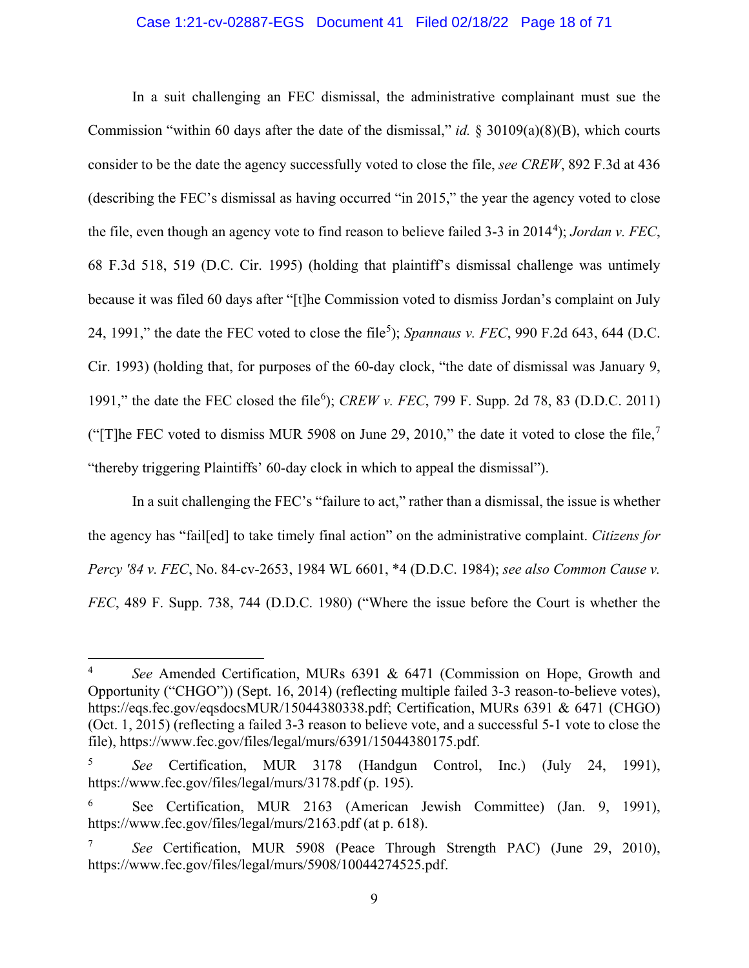#### Case 1:21-cv-02887-EGS Document 41 Filed 02/18/22 Page 18 of 71

In a suit challenging an FEC dismissal, the administrative complainant must sue the Commission "within 60 days after the date of the dismissal," *id.* § 30109(a)(8)(B), which courts consider to be the date the agency successfully voted to close the file, *see CREW*, 892 F.3d at 436 (describing the FEC's dismissal as having occurred "in 2015," the year the agency voted to close the file, even though an agency vote to find reason to believe failed 3-3 in 201[4](#page-17-0)<sup>4</sup>); *Jordan v. FEC*, 68 F.3d 518, 519 (D.C. Cir. 1995) (holding that plaintiff's dismissal challenge was untimely because it was filed 60 days after "[t]he Commission voted to dismiss Jordan's complaint on July 24, 1991," the date the FEC voted to close the file<sup>[5](#page-17-1)</sup>); *Spannaus v. FEC*, 990 F.2d 643, 644 (D.C. Cir. 1993) (holding that, for purposes of the 60-day clock, "the date of dismissal was January 9, 1991," the date the FEC closed the file<sup>[6](#page-17-2)</sup>); *CREW v. FEC*, 799 F. Supp. 2d 78, 83 (D.D.C. 2011) ("The FEC voted to dismiss MUR 5908 on June 29, 2010," the date it voted to close the file, $\frac{7}{1}$  $\frac{7}{1}$  $\frac{7}{1}$ "thereby triggering Plaintiffs' 60-day clock in which to appeal the dismissal").

In a suit challenging the FEC's "failure to act," rather than a dismissal, the issue is whether the agency has "fail[ed] to take timely final action" on the administrative complaint. *Citizens for Percy '84 v. FEC*, No. 84-cv-2653, 1984 WL 6601, \*4 (D.D.C. 1984); *see also Common Cause v. FEC*, 489 F. Supp. 738, 744 (D.D.C. 1980) ("Where the issue before the Court is whether the

<span id="page-17-0"></span>See Amended Certification, MURs 6391 & 6471 (Commission on Hope, Growth and Opportunity ("CHGO")) (Sept. 16, 2014) (reflecting multiple failed 3-3 reason-to-believe votes), https://eqs.fec.gov/eqsdocsMUR/15044380338.pdf; Certification, MURs 6391 & 6471 (CHGO) (Oct. 1, 2015) (reflecting a failed 3-3 reason to believe vote, and a successful 5-1 vote to close the file), https://www.fec.gov/files/legal/murs/6391/15044380175.pdf.

<span id="page-17-1"></span><sup>5</sup> *See* Certification, MUR 3178 (Handgun Control, Inc.) (July 24, 1991), https://www.fec.gov/files/legal/murs/3178.pdf (p. 195).

<span id="page-17-2"></span><sup>6</sup> See Certification, MUR 2163 (American Jewish Committee) (Jan. 9, 1991), https://www.fec.gov/files/legal/murs/2163.pdf (at p. 618).

<span id="page-17-3"></span><sup>7</sup> *See* Certification, MUR 5908 (Peace Through Strength PAC) (June 29, 2010), https://www.fec.gov/files/legal/murs/5908/10044274525.pdf.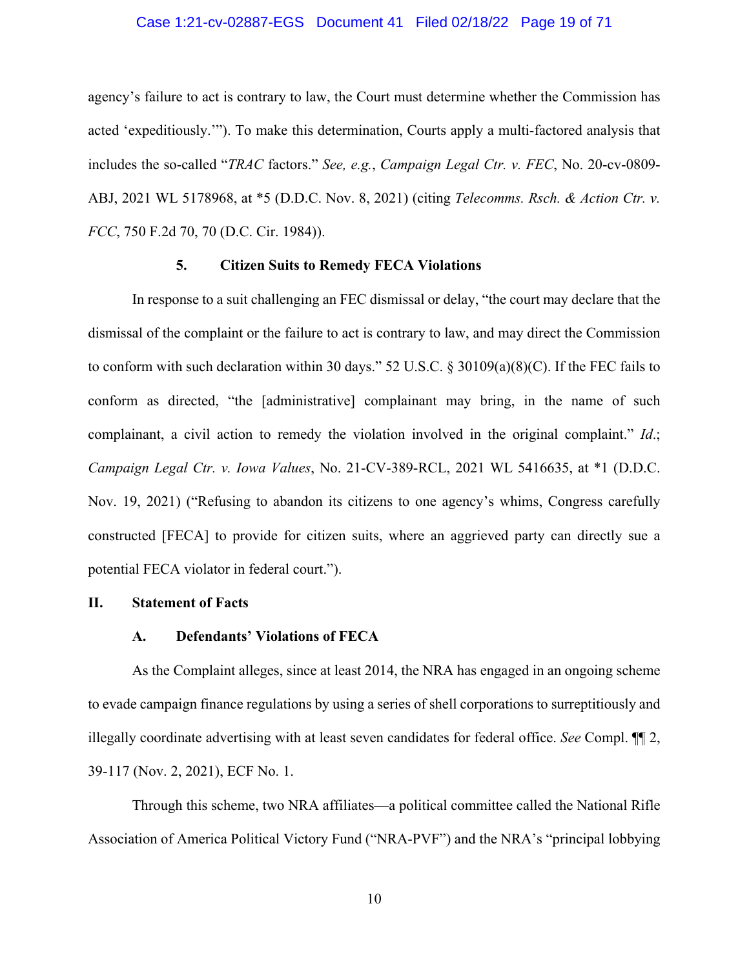#### Case 1:21-cv-02887-EGS Document 41 Filed 02/18/22 Page 19 of 71

agency's failure to act is contrary to law, the Court must determine whether the Commission has acted 'expeditiously.'"). To make this determination, Courts apply a multi-factored analysis that includes the so-called "*TRAC* factors." *See, e.g.*, *Campaign Legal Ctr. v. FEC*, No. 20-cv-0809- ABJ, 2021 WL 5178968, at \*5 (D.D.C. Nov. 8, 2021) (citing *Telecomms. Rsch. & Action Ctr. v. FCC*, 750 F.2d 70, 70 (D.C. Cir. 1984)).

#### **5. Citizen Suits to Remedy FECA Violations**

In response to a suit challenging an FEC dismissal or delay, "the court may declare that the dismissal of the complaint or the failure to act is contrary to law, and may direct the Commission to conform with such declaration within 30 days." 52 U.S.C. § 30109(a)(8)(C). If the FEC fails to conform as directed, "the [administrative] complainant may bring, in the name of such complainant, a civil action to remedy the violation involved in the original complaint." *Id*.; *Campaign Legal Ctr. v. Iowa Values*, No. 21-CV-389-RCL, 2021 WL 5416635, at \*1 (D.D.C. Nov. 19, 2021) ("Refusing to abandon its citizens to one agency's whims, Congress carefully constructed [FECA] to provide for citizen suits, where an aggrieved party can directly sue a potential FECA violator in federal court.").

#### **II. Statement of Facts**

#### **A. Defendants' Violations of FECA**

As the Complaint alleges, since at least 2014, the NRA has engaged in an ongoing scheme to evade campaign finance regulations by using a series of shell corporations to surreptitiously and illegally coordinate advertising with at least seven candidates for federal office. *See* Compl. ¶¶ 2, 39-117 (Nov. 2, 2021), ECF No. 1.

Through this scheme, two NRA affiliates—a political committee called the National Rifle Association of America Political Victory Fund ("NRA-PVF") and the NRA's "principal lobbying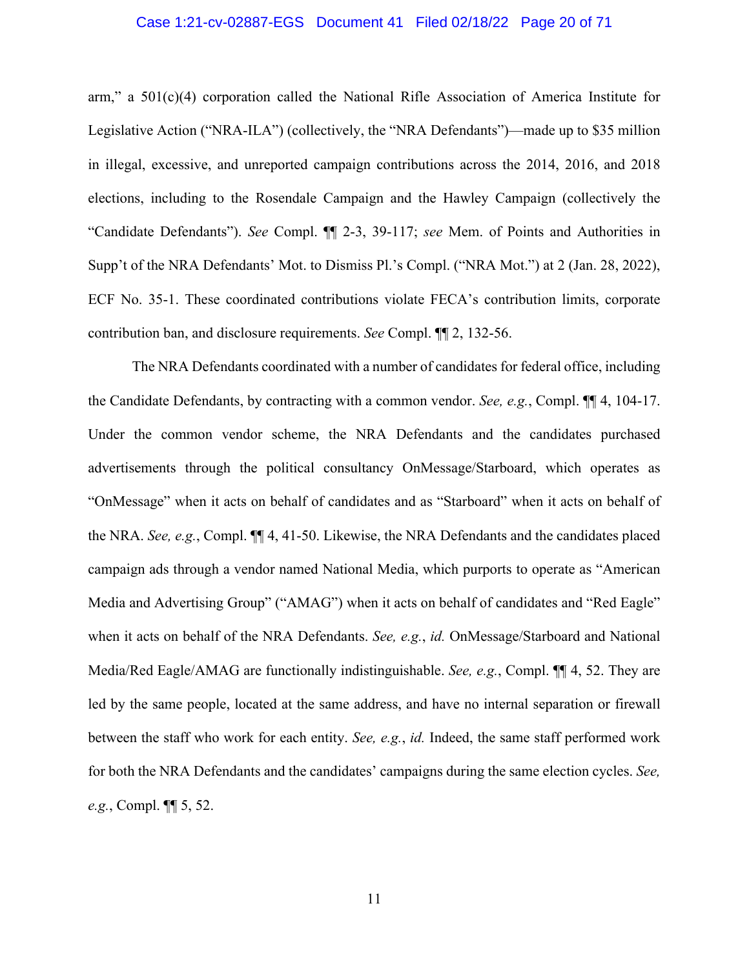#### Case 1:21-cv-02887-EGS Document 41 Filed 02/18/22 Page 20 of 71

arm," a 501(c)(4) corporation called the National Rifle Association of America Institute for Legislative Action ("NRA-ILA") (collectively, the "NRA Defendants")—made up to \$35 million in illegal, excessive, and unreported campaign contributions across the 2014, 2016, and 2018 elections, including to the Rosendale Campaign and the Hawley Campaign (collectively the "Candidate Defendants"). *See* Compl. ¶¶ 2-3, 39-117; *see* Mem. of Points and Authorities in Supp't of the NRA Defendants' Mot. to Dismiss Pl.'s Compl. ("NRA Mot.") at 2 (Jan. 28, 2022), ECF No. 35-1. These coordinated contributions violate FECA's contribution limits, corporate contribution ban, and disclosure requirements. *See* Compl. ¶¶ 2, 132-56.

The NRA Defendants coordinated with a number of candidates for federal office, including the Candidate Defendants, by contracting with a common vendor. *See, e.g.*, Compl. ¶¶ 4, 104-17. Under the common vendor scheme, the NRA Defendants and the candidates purchased advertisements through the political consultancy OnMessage/Starboard, which operates as "OnMessage" when it acts on behalf of candidates and as "Starboard" when it acts on behalf of the NRA. *See, e.g.*, Compl. ¶¶ 4, 41-50. Likewise, the NRA Defendants and the candidates placed campaign ads through a vendor named National Media, which purports to operate as "American Media and Advertising Group" ("AMAG") when it acts on behalf of candidates and "Red Eagle" when it acts on behalf of the NRA Defendants. *See, e.g.*, *id.* OnMessage/Starboard and National Media/Red Eagle/AMAG are functionally indistinguishable. *See, e.g.*, Compl. ¶¶ 4, 52. They are led by the same people, located at the same address, and have no internal separation or firewall between the staff who work for each entity. *See, e.g.*, *id.* Indeed, the same staff performed work for both the NRA Defendants and the candidates' campaigns during the same election cycles. *See, e.g.*, Compl. ¶¶ 5, 52.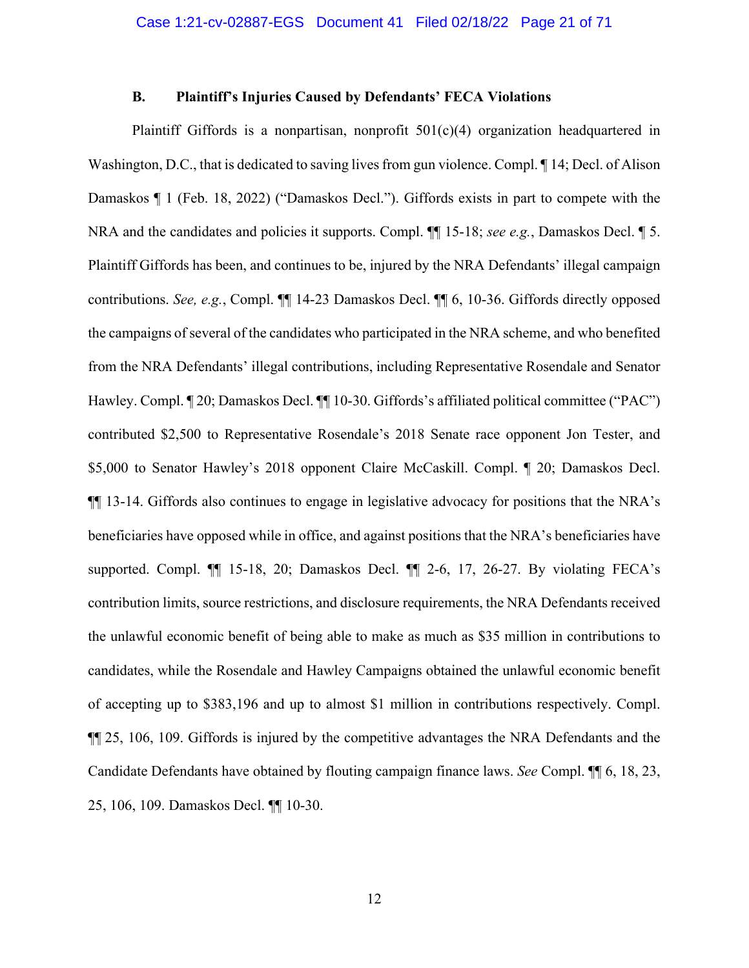#### **B. Plaintiff's Injuries Caused by Defendants' FECA Violations**

Plaintiff Giffords is a nonpartisan, nonprofit 501(c)(4) organization headquartered in Washington, D.C., that is dedicated to saving lives from gun violence. Compl. ¶ 14; Decl. of Alison Damaskos ¶ 1 (Feb. 18, 2022) ("Damaskos Decl."). Giffords exists in part to compete with the NRA and the candidates and policies it supports. Compl. ¶¶ 15-18; *see e.g.*, Damaskos Decl. ¶ 5. Plaintiff Giffords has been, and continues to be, injured by the NRA Defendants' illegal campaign contributions. *See, e.g.*, Compl. ¶¶ 14-23 Damaskos Decl. ¶¶ 6, 10-36. Giffords directly opposed the campaigns of several of the candidates who participated in the NRA scheme, and who benefited from the NRA Defendants' illegal contributions, including Representative Rosendale and Senator Hawley. Compl. ¶ 20; Damaskos Decl. ¶¶ 10-30. Giffords's affiliated political committee ("PAC") contributed \$2,500 to Representative Rosendale's 2018 Senate race opponent Jon Tester, and \$5,000 to Senator Hawley's 2018 opponent Claire McCaskill. Compl. ¶ 20; Damaskos Decl. ¶¶ 13-14. Giffords also continues to engage in legislative advocacy for positions that the NRA's beneficiaries have opposed while in office, and against positions that the NRA's beneficiaries have supported. Compl. ¶¶ 15-18, 20; Damaskos Decl. ¶¶ 2-6, 17, 26-27. By violating FECA's contribution limits, source restrictions, and disclosure requirements, the NRA Defendants received the unlawful economic benefit of being able to make as much as \$35 million in contributions to candidates, while the Rosendale and Hawley Campaigns obtained the unlawful economic benefit of accepting up to \$383,196 and up to almost \$1 million in contributions respectively. Compl. ¶¶ 25, 106, 109. Giffords is injured by the competitive advantages the NRA Defendants and the Candidate Defendants have obtained by flouting campaign finance laws. *See* Compl. ¶¶ 6, 18, 23, 25, 106, 109. Damaskos Decl. ¶¶ 10-30.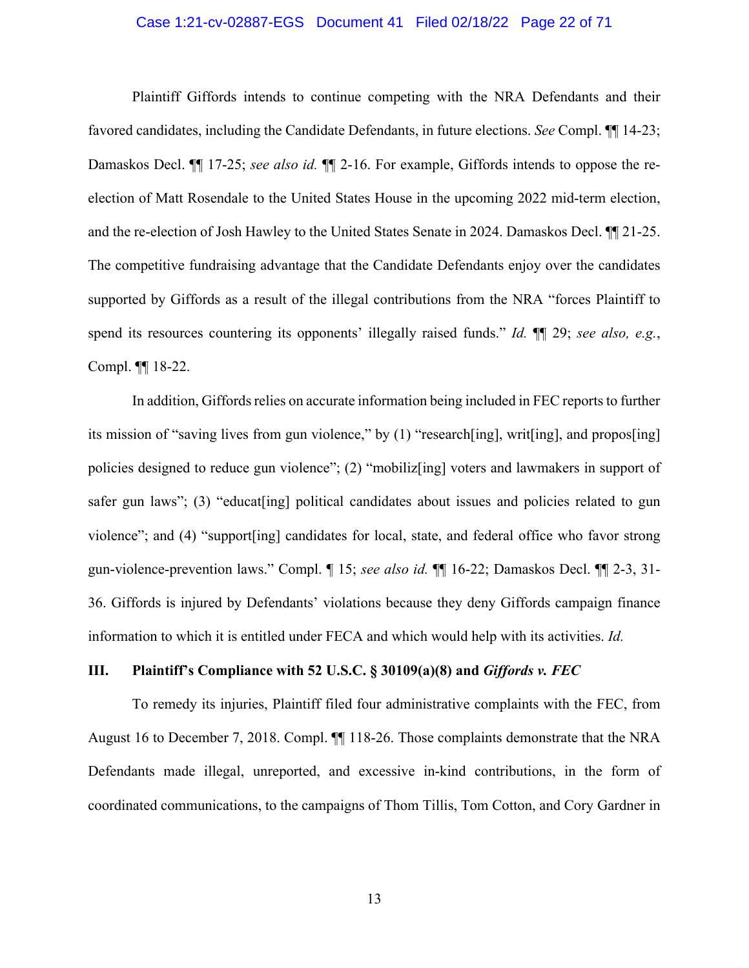#### Case 1:21-cv-02887-EGS Document 41 Filed 02/18/22 Page 22 of 71

Plaintiff Giffords intends to continue competing with the NRA Defendants and their favored candidates, including the Candidate Defendants, in future elections. *See* Compl. ¶¶ 14-23; Damaskos Decl. ¶¶ 17-25; *see also id.* ¶¶ 2-16. For example, Giffords intends to oppose the reelection of Matt Rosendale to the United States House in the upcoming 2022 mid-term election, and the re-election of Josh Hawley to the United States Senate in 2024. Damaskos Decl. ¶¶ 21-25. The competitive fundraising advantage that the Candidate Defendants enjoy over the candidates supported by Giffords as a result of the illegal contributions from the NRA "forces Plaintiff to spend its resources countering its opponents' illegally raised funds." *Id.* ¶¶ 29; *see also, e.g.*, Compl. ¶¶ 18-22.

In addition, Giffords relies on accurate information being included in FEC reports to further its mission of "saving lives from gun violence," by (1) "research[ing], writ[ing], and propos[ing] policies designed to reduce gun violence"; (2) "mobiliz[ing] voters and lawmakers in support of safer gun laws"; (3) "educat [ing] political candidates about issues and policies related to gun violence"; and (4) "support[ing] candidates for local, state, and federal office who favor strong gun-violence-prevention laws." Compl. ¶ 15; *see also id.* ¶¶ 16-22; Damaskos Decl. ¶¶ 2-3, 31- 36. Giffords is injured by Defendants' violations because they deny Giffords campaign finance information to which it is entitled under FECA and which would help with its activities. *Id.*

#### **III. Plaintiff's Compliance with 52 U.S.C. § 30109(a)(8) and** *Giffords v. FEC*

To remedy its injuries, Plaintiff filed four administrative complaints with the FEC, from August 16 to December 7, 2018. Compl. ¶¶ 118-26. Those complaints demonstrate that the NRA Defendants made illegal, unreported, and excessive in-kind contributions, in the form of coordinated communications, to the campaigns of Thom Tillis, Tom Cotton, and Cory Gardner in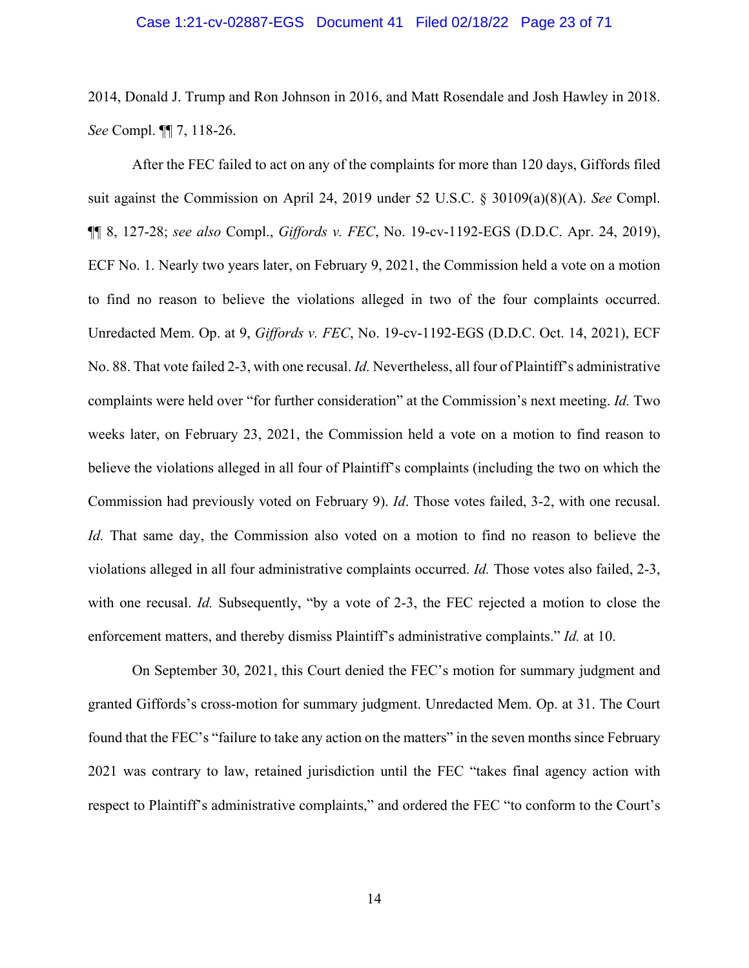#### Case 1:21-cv-02887-EGS Document 41 Filed 02/18/22 Page 23 of 71

2014, Donald J. Trump and Ron Johnson in 2016, and Matt Rosendale and Josh Hawley in 2018. *See* Compl. ¶¶ 7, 118-26.

After the FEC failed to act on any of the complaints for more than 120 days, Giffords filed suit against the Commission on April 24, 2019 under 52 U.S.C. § 30109(a)(8)(A). *See* Compl. ¶¶ 8, 127-28; *see also* Compl., *Giffords v. FEC*, No. 19-cv-1192-EGS (D.D.C. Apr. 24, 2019), ECF No. 1. Nearly two years later, on February 9, 2021, the Commission held a vote on a motion to find no reason to believe the violations alleged in two of the four complaints occurred. Unredacted Mem. Op. at 9, *Giffords v. FEC*, No. 19-cv-1192-EGS (D.D.C. Oct. 14, 2021), ECF No. 88. That vote failed 2-3, with one recusal. *Id.* Nevertheless, all four of Plaintiff's administrative complaints were held over "for further consideration" at the Commission's next meeting. *Id.* Two weeks later, on February 23, 2021, the Commission held a vote on a motion to find reason to believe the violations alleged in all four of Plaintiff's complaints (including the two on which the Commission had previously voted on February 9). *Id*. Those votes failed, 3-2, with one recusal. *Id.* That same day, the Commission also voted on a motion to find no reason to believe the violations alleged in all four administrative complaints occurred. *Id.* Those votes also failed, 2-3, with one recusal. *Id.* Subsequently, "by a vote of 2-3, the FEC rejected a motion to close the enforcement matters, and thereby dismiss Plaintiff's administrative complaints." *Id.* at 10.

On September 30, 2021, this Court denied the FEC's motion for summary judgment and granted Giffords's cross-motion for summary judgment. Unredacted Mem. Op. at 31. The Court found that the FEC's "failure to take any action on the matters" in the seven months since February 2021 was contrary to law, retained jurisdiction until the FEC "takes final agency action with respect to Plaintiff's administrative complaints," and ordered the FEC "to conform to the Court's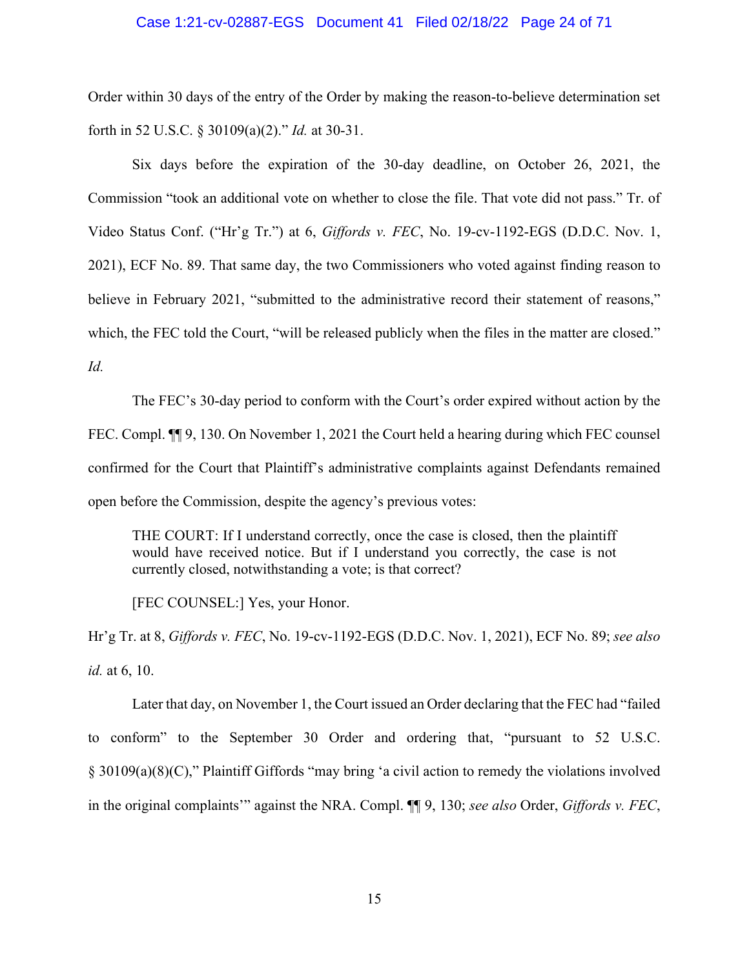#### Case 1:21-cv-02887-EGS Document 41 Filed 02/18/22 Page 24 of 71

Order within 30 days of the entry of the Order by making the reason-to-believe determination set forth in 52 U.S.C. § 30109(a)(2)." *Id.* at 30-31.

Six days before the expiration of the 30-day deadline, on October 26, 2021, the Commission "took an additional vote on whether to close the file. That vote did not pass." Tr. of Video Status Conf. ("Hr'g Tr.") at 6, *Giffords v. FEC*, No. 19-cv-1192-EGS (D.D.C. Nov. 1, 2021), ECF No. 89. That same day, the two Commissioners who voted against finding reason to believe in February 2021, "submitted to the administrative record their statement of reasons," which, the FEC told the Court, "will be released publicly when the files in the matter are closed." *Id.*

The FEC's 30-day period to conform with the Court's order expired without action by the FEC. Compl.  $\P$  9, 130. On November 1, 2021 the Court held a hearing during which FEC counsel confirmed for the Court that Plaintiff's administrative complaints against Defendants remained open before the Commission, despite the agency's previous votes:

THE COURT: If I understand correctly, once the case is closed, then the plaintiff would have received notice. But if I understand you correctly, the case is not currently closed, notwithstanding a vote; is that correct?

[FEC COUNSEL:] Yes, your Honor.

Hr'g Tr. at 8, *Giffords v. FEC*, No. 19-cv-1192-EGS (D.D.C. Nov. 1, 2021), ECF No. 89; *see also id.* at 6, 10.

Later that day, on November 1, the Court issued an Order declaring that the FEC had "failed to conform" to the September 30 Order and ordering that, "pursuant to 52 U.S.C. § 30109(a)(8)(C)," Plaintiff Giffords "may bring 'a civil action to remedy the violations involved in the original complaints'" against the NRA. Compl. ¶¶ 9, 130; *see also* Order, *Giffords v. FEC*,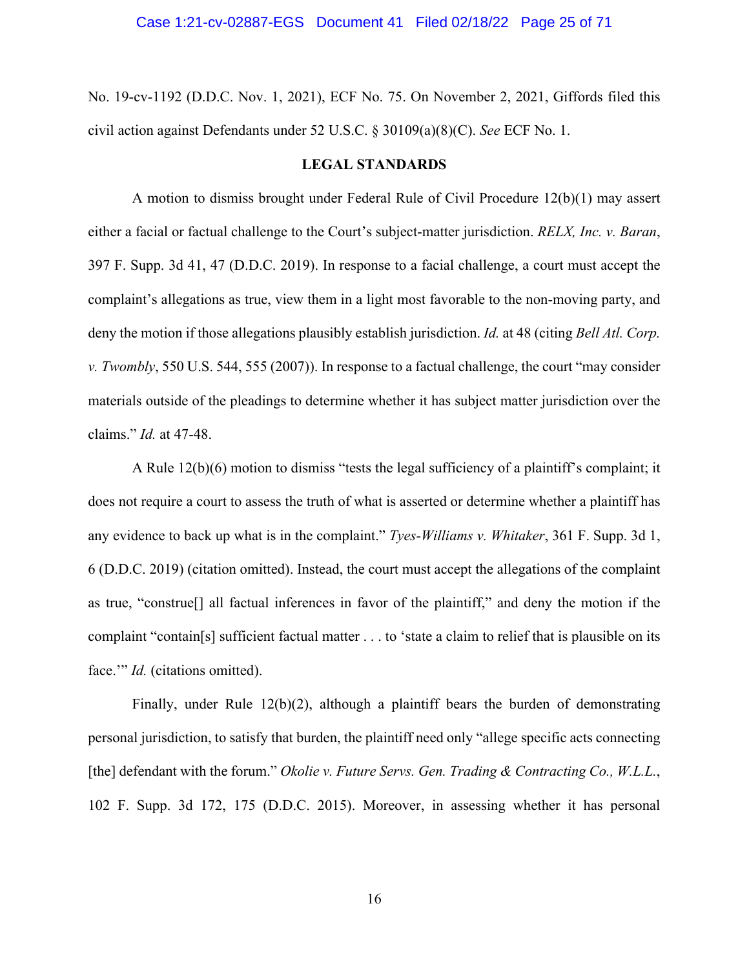No. 19-cv-1192 (D.D.C. Nov. 1, 2021), ECF No. 75. On November 2, 2021, Giffords filed this civil action against Defendants under 52 U.S.C. § 30109(a)(8)(C). *See* ECF No. 1.

#### **LEGAL STANDARDS**

A motion to dismiss brought under Federal Rule of Civil Procedure 12(b)(1) may assert either a facial or factual challenge to the Court's subject-matter jurisdiction. *RELX, Inc. v. Baran*, 397 F. Supp. 3d 41, 47 (D.D.C. 2019). In response to a facial challenge, a court must accept the complaint's allegations as true, view them in a light most favorable to the non-moving party, and deny the motion if those allegations plausibly establish jurisdiction. *Id.* at 48 (citing *Bell Atl. Corp. v. Twombly*, 550 U.S. 544, 555 (2007)). In response to a factual challenge, the court "may consider materials outside of the pleadings to determine whether it has subject matter jurisdiction over the claims." *Id.* at 47-48.

A Rule 12(b)(6) motion to dismiss "tests the legal sufficiency of a plaintiff's complaint; it does not require a court to assess the truth of what is asserted or determine whether a plaintiff has any evidence to back up what is in the complaint." *Tyes-Williams v. Whitaker*, 361 F. Supp. 3d 1, 6 (D.D.C. 2019) (citation omitted). Instead, the court must accept the allegations of the complaint as true, "construe[] all factual inferences in favor of the plaintiff," and deny the motion if the complaint "contain[s] sufficient factual matter . . . to 'state a claim to relief that is plausible on its face."<sup>*Id.* (citations omitted).</sup>

Finally, under Rule 12(b)(2), although a plaintiff bears the burden of demonstrating personal jurisdiction, to satisfy that burden, the plaintiff need only "allege specific acts connecting [the] defendant with the forum." *Okolie v. Future Servs. Gen. Trading & Contracting Co., W.L.L.*, 102 F. Supp. 3d 172, 175 (D.D.C. 2015). Moreover, in assessing whether it has personal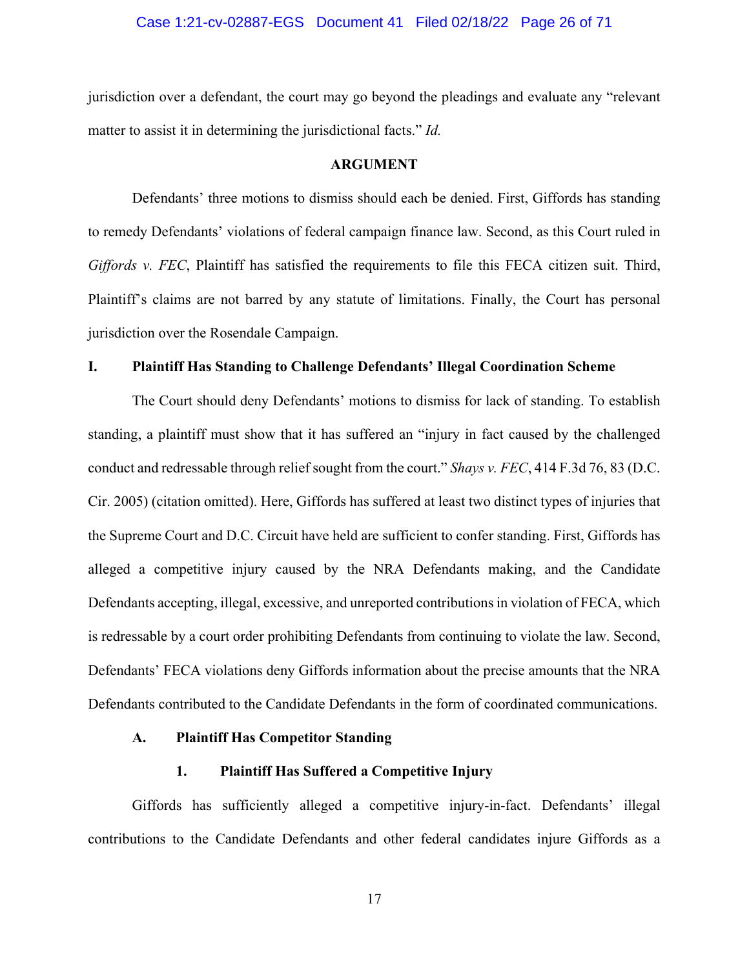#### Case 1:21-cv-02887-EGS Document 41 Filed 02/18/22 Page 26 of 71

jurisdiction over a defendant, the court may go beyond the pleadings and evaluate any "relevant matter to assist it in determining the jurisdictional facts." *Id.*

#### **ARGUMENT**

Defendants' three motions to dismiss should each be denied. First, Giffords has standing to remedy Defendants' violations of federal campaign finance law. Second, as this Court ruled in *Giffords v. FEC*, Plaintiff has satisfied the requirements to file this FECA citizen suit. Third, Plaintiff's claims are not barred by any statute of limitations. Finally, the Court has personal jurisdiction over the Rosendale Campaign.

#### **I. Plaintiff Has Standing to Challenge Defendants' Illegal Coordination Scheme**

The Court should deny Defendants' motions to dismiss for lack of standing. To establish standing, a plaintiff must show that it has suffered an "injury in fact caused by the challenged conduct and redressable through relief sought from the court." *Shays v. FEC*, 414 F.3d 76, 83 (D.C. Cir. 2005) (citation omitted). Here, Giffords has suffered at least two distinct types of injuries that the Supreme Court and D.C. Circuit have held are sufficient to confer standing. First, Giffords has alleged a competitive injury caused by the NRA Defendants making, and the Candidate Defendants accepting, illegal, excessive, and unreported contributions in violation of FECA, which is redressable by a court order prohibiting Defendants from continuing to violate the law. Second, Defendants' FECA violations deny Giffords information about the precise amounts that the NRA Defendants contributed to the Candidate Defendants in the form of coordinated communications.

#### **A. Plaintiff Has Competitor Standing**

#### **1. Plaintiff Has Suffered a Competitive Injury**

Giffords has sufficiently alleged a competitive injury-in-fact. Defendants' illegal contributions to the Candidate Defendants and other federal candidates injure Giffords as a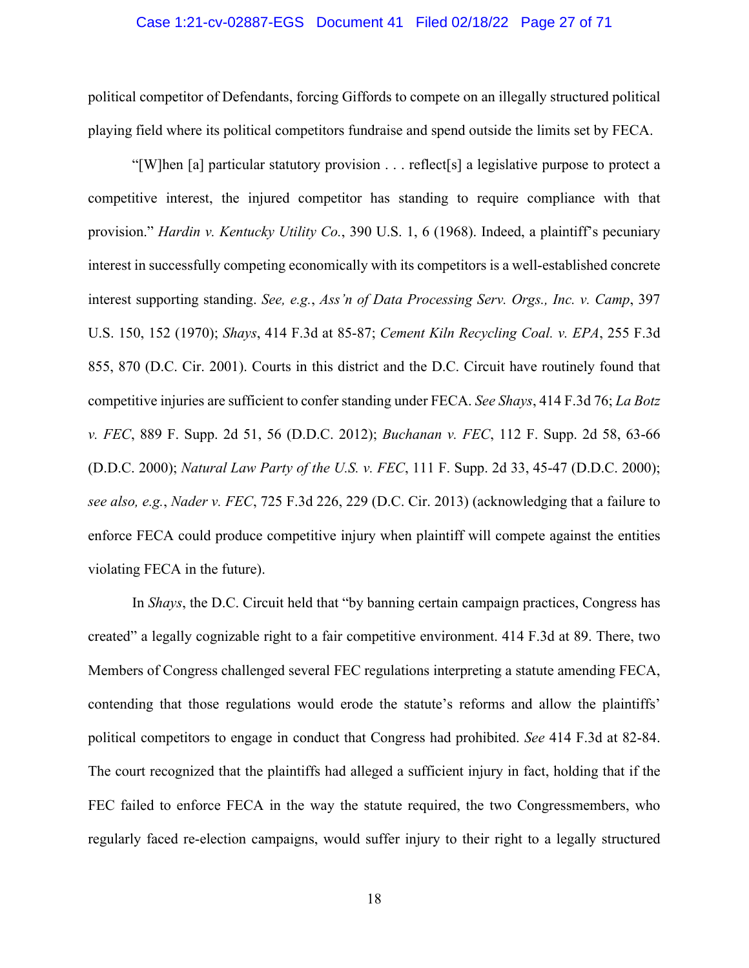#### Case 1:21-cv-02887-EGS Document 41 Filed 02/18/22 Page 27 of 71

political competitor of Defendants, forcing Giffords to compete on an illegally structured political playing field where its political competitors fundraise and spend outside the limits set by FECA.

"[W]hen [a] particular statutory provision . . . reflect[s] a legislative purpose to protect a competitive interest, the injured competitor has standing to require compliance with that provision." *Hardin v. Kentucky Utility Co.*, 390 U.S. 1, 6 (1968). Indeed, a plaintiff's pecuniary interest in successfully competing economically with its competitors is a well-established concrete interest supporting standing. *See, e.g.*, *Ass'n of Data Processing Serv. Orgs., Inc. v. Camp*, 397 U.S. 150, 152 (1970); *Shays*, 414 F.3d at 85-87; *Cement Kiln Recycling Coal. v. EPA*, 255 F.3d 855, 870 (D.C. Cir. 2001). Courts in this district and the D.C. Circuit have routinely found that competitive injuries are sufficient to confer standing under FECA. *See Shays*, 414 F.3d 76; *La Botz v. FEC*, 889 F. Supp. 2d 51, 56 (D.D.C. 2012); *Buchanan v. FEC*, 112 F. Supp. 2d 58, 63-66 (D.D.C. 2000); *Natural Law Party of the U.S. v. FEC*, 111 F. Supp. 2d 33, 45-47 (D.D.C. 2000); *see also, e.g.*, *Nader v. FEC*, 725 F.3d 226, 229 (D.C. Cir. 2013) (acknowledging that a failure to enforce FECA could produce competitive injury when plaintiff will compete against the entities violating FECA in the future).

In *Shays*, the D.C. Circuit held that "by banning certain campaign practices, Congress has created" a legally cognizable right to a fair competitive environment. 414 F.3d at 89. There, two Members of Congress challenged several FEC regulations interpreting a statute amending FECA, contending that those regulations would erode the statute's reforms and allow the plaintiffs' political competitors to engage in conduct that Congress had prohibited. *See* 414 F.3d at 82-84. The court recognized that the plaintiffs had alleged a sufficient injury in fact, holding that if the FEC failed to enforce FECA in the way the statute required, the two Congressmembers, who regularly faced re-election campaigns, would suffer injury to their right to a legally structured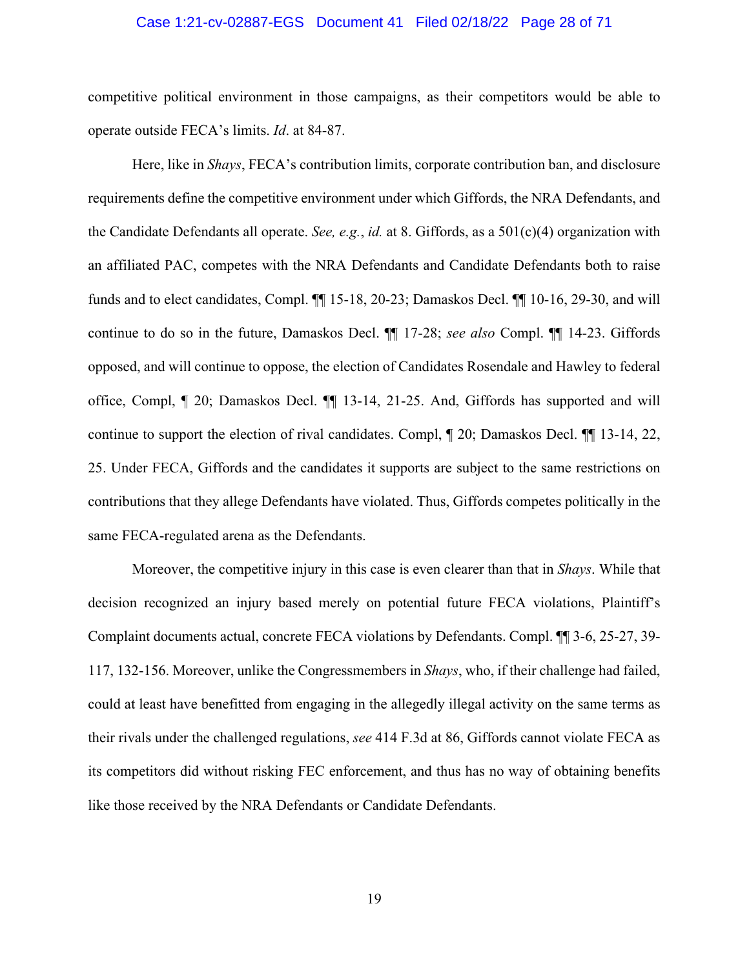#### Case 1:21-cv-02887-EGS Document 41 Filed 02/18/22 Page 28 of 71

competitive political environment in those campaigns, as their competitors would be able to operate outside FECA's limits. *Id*. at 84-87.

Here, like in *Shays*, FECA's contribution limits, corporate contribution ban, and disclosure requirements define the competitive environment under which Giffords, the NRA Defendants, and the Candidate Defendants all operate. *See, e.g.*, *id.* at 8. Giffords, as a 501(c)(4) organization with an affiliated PAC, competes with the NRA Defendants and Candidate Defendants both to raise funds and to elect candidates, Compl. ¶¶ 15-18, 20-23; Damaskos Decl. ¶¶ 10-16, 29-30, and will continue to do so in the future, Damaskos Decl. ¶¶ 17-28; *see also* Compl. ¶¶ 14-23. Giffords opposed, and will continue to oppose, the election of Candidates Rosendale and Hawley to federal office, Compl, ¶ 20; Damaskos Decl. ¶¶ 13-14, 21-25. And, Giffords has supported and will continue to support the election of rival candidates. Compl, ¶ 20; Damaskos Decl. ¶¶ 13-14, 22, 25. Under FECA, Giffords and the candidates it supports are subject to the same restrictions on contributions that they allege Defendants have violated. Thus, Giffords competes politically in the same FECA-regulated arena as the Defendants.

Moreover, the competitive injury in this case is even clearer than that in *Shays*. While that decision recognized an injury based merely on potential future FECA violations, Plaintiff's Complaint documents actual, concrete FECA violations by Defendants. Compl. ¶¶ 3-6, 25-27, 39- 117, 132-156. Moreover, unlike the Congressmembers in *Shays*, who, if their challenge had failed, could at least have benefitted from engaging in the allegedly illegal activity on the same terms as their rivals under the challenged regulations, *see* 414 F.3d at 86, Giffords cannot violate FECA as its competitors did without risking FEC enforcement, and thus has no way of obtaining benefits like those received by the NRA Defendants or Candidate Defendants.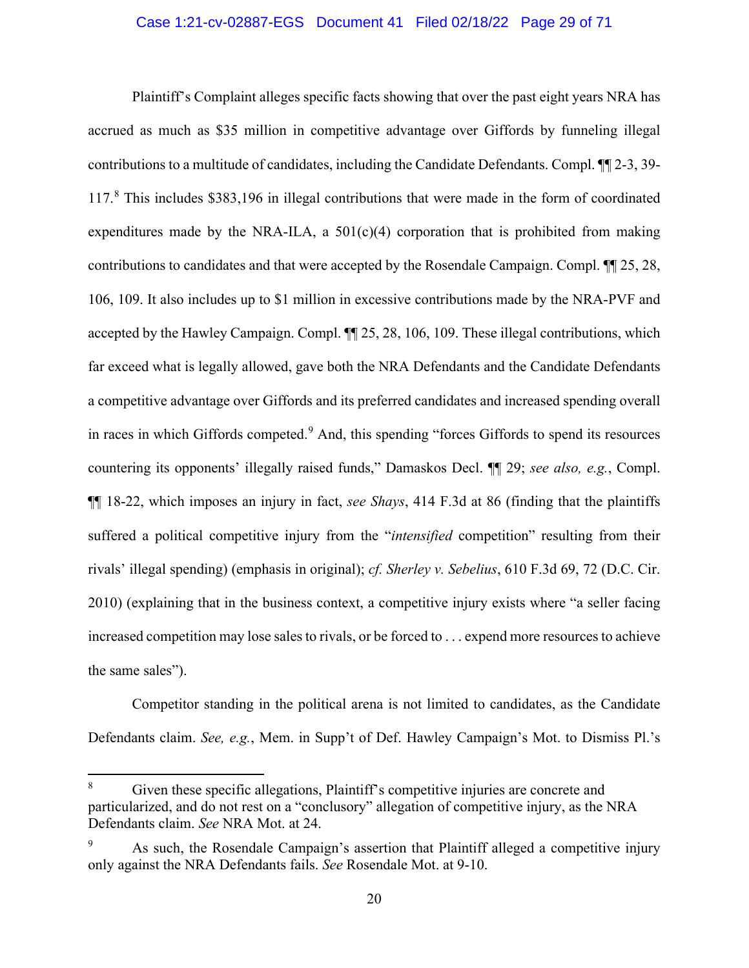#### Case 1:21-cv-02887-EGS Document 41 Filed 02/18/22 Page 29 of 71

Plaintiff's Complaint alleges specific facts showing that over the past eight years NRA has accrued as much as \$35 million in competitive advantage over Giffords by funneling illegal contributions to a multitude of candidates, including the Candidate Defendants. Compl. ¶¶ 2-3, 39- 117.[8](#page-28-0) This includes \$383,196 in illegal contributions that were made in the form of coordinated expenditures made by the NRA-ILA, a  $501(c)(4)$  corporation that is prohibited from making contributions to candidates and that were accepted by the Rosendale Campaign. Compl. ¶¶ 25, 28, 106, 109. It also includes up to \$1 million in excessive contributions made by the NRA-PVF and accepted by the Hawley Campaign. Compl. ¶¶ 25, 28, 106, 109. These illegal contributions, which far exceed what is legally allowed, gave both the NRA Defendants and the Candidate Defendants a competitive advantage over Giffords and its preferred candidates and increased spending overall in races in which Giffords competed.<sup>[9](#page-28-1)</sup> And, this spending "forces Giffords to spend its resources countering its opponents' illegally raised funds," Damaskos Decl. ¶¶ 29; *see also, e.g.*, Compl. ¶¶ 18-22, which imposes an injury in fact, *see Shays*, 414 F.3d at 86 (finding that the plaintiffs suffered a political competitive injury from the "*intensified* competition" resulting from their rivals' illegal spending) (emphasis in original); *cf. Sherley v. Sebelius*, 610 F.3d 69, 72 (D.C. Cir. 2010) (explaining that in the business context, a competitive injury exists where "a seller facing increased competition may lose sales to rivals, or be forced to . . . expend more resources to achieve the same sales").

Competitor standing in the political arena is not limited to candidates, as the Candidate Defendants claim. *See, e.g.*, Mem. in Supp't of Def. Hawley Campaign's Mot. to Dismiss Pl.'s

<span id="page-28-0"></span><sup>8</sup> Given these specific allegations, Plaintiff's competitive injuries are concrete and particularized, and do not rest on a "conclusory" allegation of competitive injury, as the NRA Defendants claim. *See* NRA Mot. at 24.

<span id="page-28-1"></span>As such, the Rosendale Campaign's assertion that Plaintiff alleged a competitive injury only against the NRA Defendants fails. *See* Rosendale Mot. at 9-10.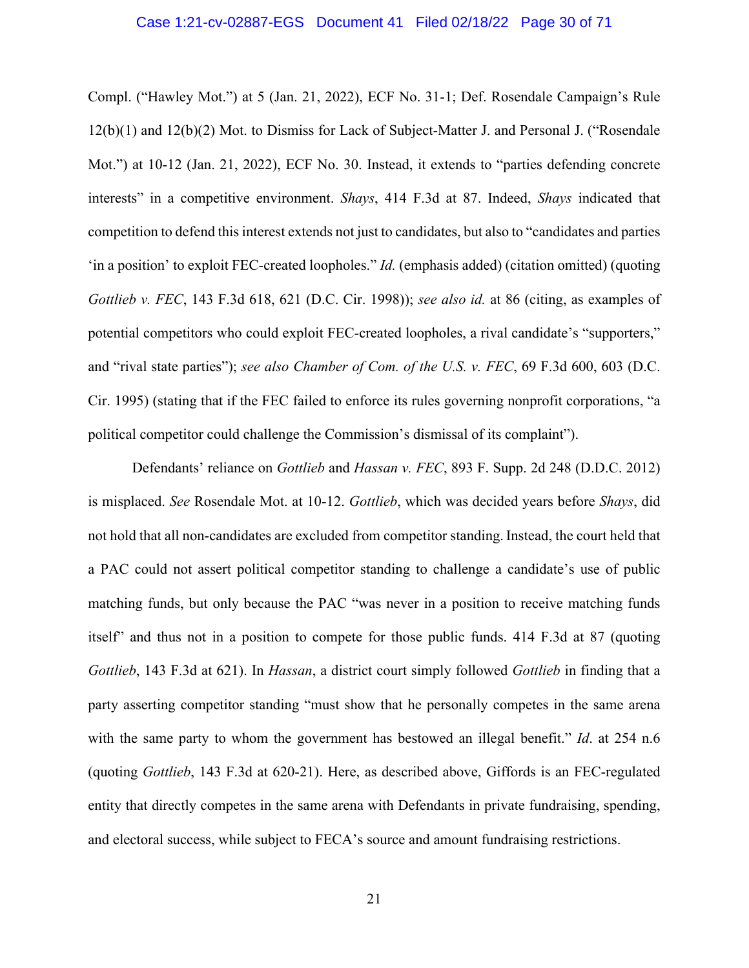#### Case 1:21-cv-02887-EGS Document 41 Filed 02/18/22 Page 30 of 71

Compl. ("Hawley Mot.") at 5 (Jan. 21, 2022), ECF No. 31-1; Def. Rosendale Campaign's Rule 12(b)(1) and 12(b)(2) Mot. to Dismiss for Lack of Subject-Matter J. and Personal J. ("Rosendale Mot.") at 10-12 (Jan. 21, 2022), ECF No. 30. Instead, it extends to "parties defending concrete interests" in a competitive environment. *Shays*, 414 F.3d at 87. Indeed, *Shays* indicated that competition to defend this interest extends not just to candidates, but also to "candidates and parties 'in a position' to exploit FEC-created loopholes." *Id.* (emphasis added) (citation omitted) (quoting *Gottlieb v. FEC*, 143 F.3d 618, 621 (D.C. Cir. 1998)); *see also id.* at 86 (citing, as examples of potential competitors who could exploit FEC-created loopholes, a rival candidate's "supporters," and "rival state parties"); *see also Chamber of Com. of the U.S. v. FEC*, 69 F.3d 600, 603 (D.C. Cir. 1995) (stating that if the FEC failed to enforce its rules governing nonprofit corporations, "a political competitor could challenge the Commission's dismissal of its complaint").

Defendants' reliance on *Gottlieb* and *Hassan v. FEC*, 893 F. Supp. 2d 248 (D.D.C. 2012) is misplaced. *See* Rosendale Mot. at 10-12. *Gottlieb*, which was decided years before *Shays*, did not hold that all non-candidates are excluded from competitor standing. Instead, the court held that a PAC could not assert political competitor standing to challenge a candidate's use of public matching funds, but only because the PAC "was never in a position to receive matching funds itself" and thus not in a position to compete for those public funds. 414 F.3d at 87 (quoting *Gottlieb*, 143 F.3d at 621). In *Hassan*, a district court simply followed *Gottlieb* in finding that a party asserting competitor standing "must show that he personally competes in the same arena with the same party to whom the government has bestowed an illegal benefit." *Id*. at 254 n.6 (quoting *Gottlieb*, 143 F.3d at 620-21). Here, as described above, Giffords is an FEC-regulated entity that directly competes in the same arena with Defendants in private fundraising, spending, and electoral success, while subject to FECA's source and amount fundraising restrictions.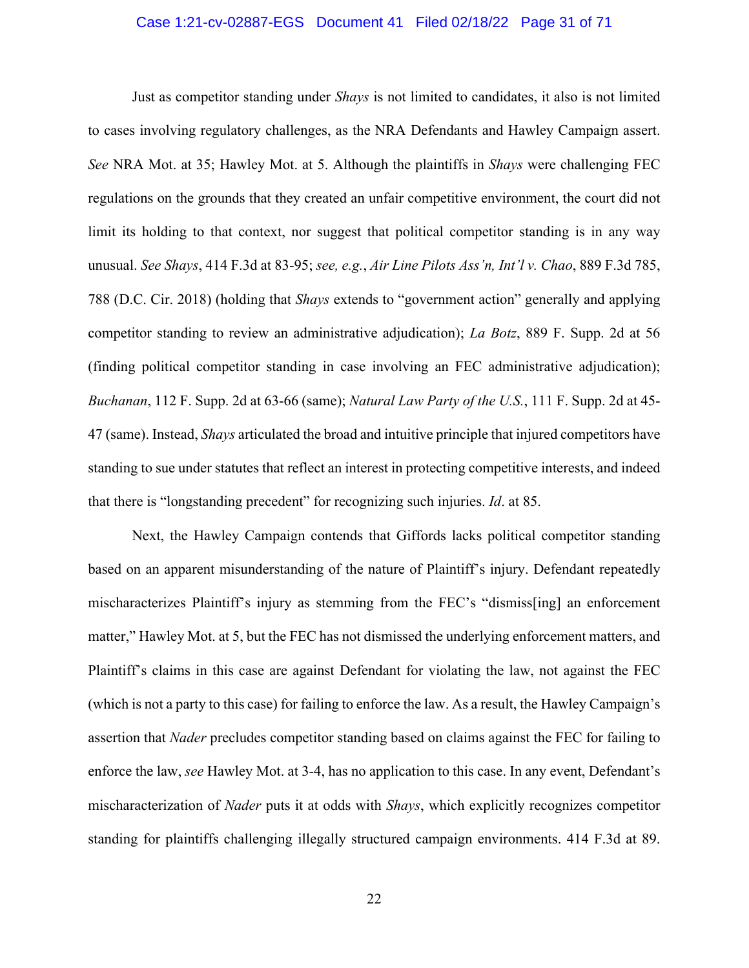#### Case 1:21-cv-02887-EGS Document 41 Filed 02/18/22 Page 31 of 71

Just as competitor standing under *Shays* is not limited to candidates, it also is not limited to cases involving regulatory challenges, as the NRA Defendants and Hawley Campaign assert. *See* NRA Mot. at 35; Hawley Mot. at 5. Although the plaintiffs in *Shays* were challenging FEC regulations on the grounds that they created an unfair competitive environment, the court did not limit its holding to that context, nor suggest that political competitor standing is in any way unusual. *See Shays*, 414 F.3d at 83-95; *see, e.g.*, *Air Line Pilots Ass'n, Int'l v. Chao*, 889 F.3d 785, 788 (D.C. Cir. 2018) (holding that *Shays* extends to "government action" generally and applying competitor standing to review an administrative adjudication); *La Botz*, 889 F. Supp. 2d at 56 (finding political competitor standing in case involving an FEC administrative adjudication); *Buchanan*, 112 F. Supp. 2d at 63-66 (same); *Natural Law Party of the U.S.*, 111 F. Supp. 2d at 45- 47 (same). Instead, *Shays* articulated the broad and intuitive principle that injured competitors have standing to sue under statutes that reflect an interest in protecting competitive interests, and indeed that there is "longstanding precedent" for recognizing such injuries. *Id*. at 85.

Next, the Hawley Campaign contends that Giffords lacks political competitor standing based on an apparent misunderstanding of the nature of Plaintiff's injury. Defendant repeatedly mischaracterizes Plaintiff's injury as stemming from the FEC's "dismiss[ing] an enforcement matter," Hawley Mot. at 5, but the FEC has not dismissed the underlying enforcement matters, and Plaintiff's claims in this case are against Defendant for violating the law, not against the FEC (which is not a party to this case) for failing to enforce the law. As a result, the Hawley Campaign's assertion that *Nader* precludes competitor standing based on claims against the FEC for failing to enforce the law, *see* Hawley Mot. at 3-4, has no application to this case. In any event, Defendant's mischaracterization of *Nader* puts it at odds with *Shays*, which explicitly recognizes competitor standing for plaintiffs challenging illegally structured campaign environments. 414 F.3d at 89.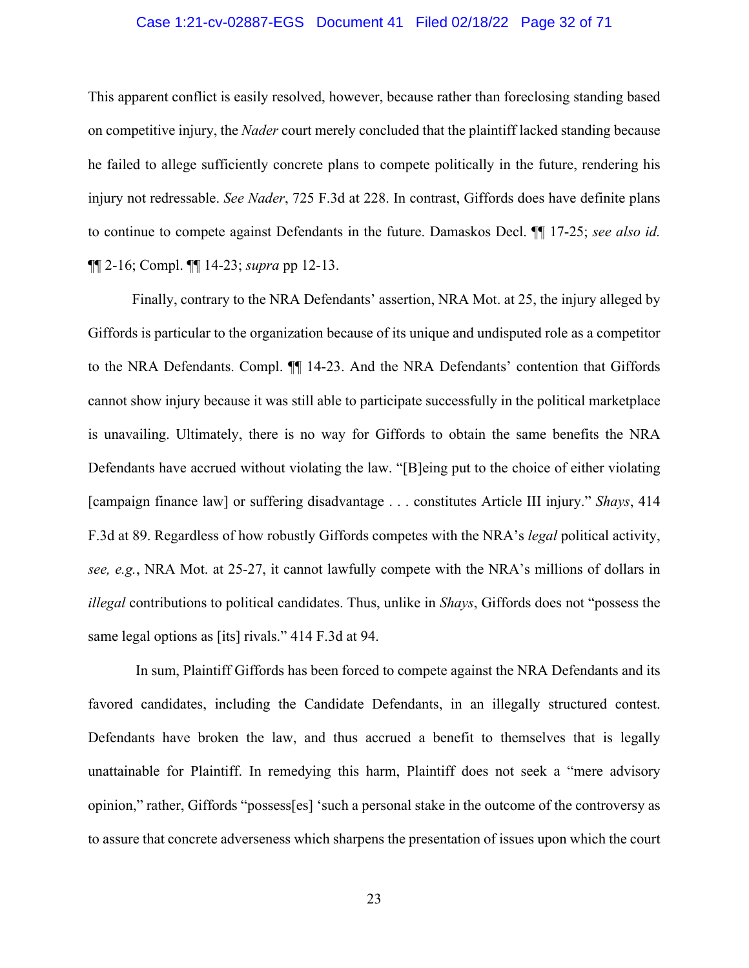#### Case 1:21-cv-02887-EGS Document 41 Filed 02/18/22 Page 32 of 71

This apparent conflict is easily resolved, however, because rather than foreclosing standing based on competitive injury, the *Nader* court merely concluded that the plaintiff lacked standing because he failed to allege sufficiently concrete plans to compete politically in the future, rendering his injury not redressable. *See Nader*, 725 F.3d at 228. In contrast, Giffords does have definite plans to continue to compete against Defendants in the future. Damaskos Decl. ¶¶ 17-25; *see also id.*  ¶¶ 2-16; Compl. ¶¶ 14-23; *supra* pp 12-13.

Finally, contrary to the NRA Defendants' assertion, NRA Mot. at 25, the injury alleged by Giffords is particular to the organization because of its unique and undisputed role as a competitor to the NRA Defendants. Compl. ¶¶ 14-23. And the NRA Defendants' contention that Giffords cannot show injury because it was still able to participate successfully in the political marketplace is unavailing. Ultimately, there is no way for Giffords to obtain the same benefits the NRA Defendants have accrued without violating the law. "[B]eing put to the choice of either violating [campaign finance law] or suffering disadvantage . . . constitutes Article III injury." *Shays*, 414 F.3d at 89. Regardless of how robustly Giffords competes with the NRA's *legal* political activity, *see, e.g.*, NRA Mot. at 25-27, it cannot lawfully compete with the NRA's millions of dollars in *illegal* contributions to political candidates. Thus, unlike in *Shays*, Giffords does not "possess the same legal options as [its] rivals." 414 F.3d at 94.

In sum, Plaintiff Giffords has been forced to compete against the NRA Defendants and its favored candidates, including the Candidate Defendants, in an illegally structured contest. Defendants have broken the law, and thus accrued a benefit to themselves that is legally unattainable for Plaintiff. In remedying this harm, Plaintiff does not seek a "mere advisory opinion," rather, Giffords "possess[es] 'such a personal stake in the outcome of the controversy as to assure that concrete adverseness which sharpens the presentation of issues upon which the court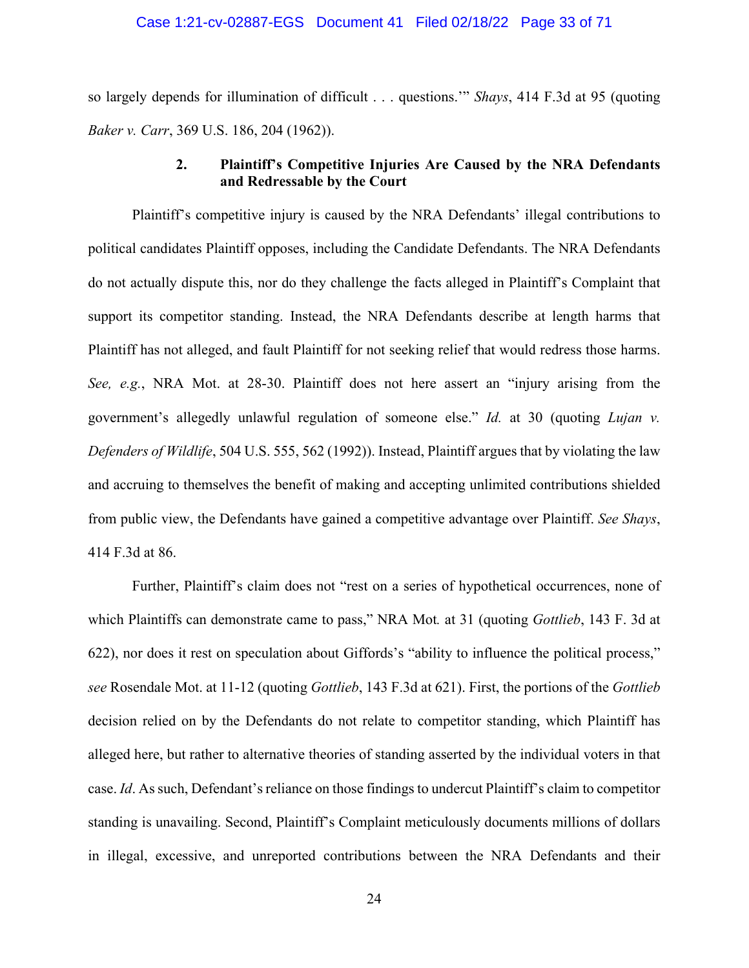#### Case 1:21-cv-02887-EGS Document 41 Filed 02/18/22 Page 33 of 71

so largely depends for illumination of difficult . . . questions.'" *Shays*, 414 F.3d at 95 (quoting *Baker v. Carr*, 369 U.S. 186, 204 (1962)).

## **2. Plaintiff's Competitive Injuries Are Caused by the NRA Defendants and Redressable by the Court**

Plaintiff's competitive injury is caused by the NRA Defendants' illegal contributions to political candidates Plaintiff opposes, including the Candidate Defendants. The NRA Defendants do not actually dispute this, nor do they challenge the facts alleged in Plaintiff's Complaint that support its competitor standing. Instead, the NRA Defendants describe at length harms that Plaintiff has not alleged, and fault Plaintiff for not seeking relief that would redress those harms. *See, e.g.*, NRA Mot. at 28-30. Plaintiff does not here assert an "injury arising from the government's allegedly unlawful regulation of someone else." *Id.* at 30 (quoting *Lujan v. Defenders of Wildlife*, 504 U.S. 555, 562 (1992)). Instead, Plaintiff argues that by violating the law and accruing to themselves the benefit of making and accepting unlimited contributions shielded from public view, the Defendants have gained a competitive advantage over Plaintiff. *See Shays*, 414 F.3d at 86.

Further, Plaintiff's claim does not "rest on a series of hypothetical occurrences, none of which Plaintiffs can demonstrate came to pass," NRA Mot*.* at 31 (quoting *Gottlieb*, 143 F. 3d at 622), nor does it rest on speculation about Giffords's "ability to influence the political process," *see* Rosendale Mot. at 11-12 (quoting *Gottlieb*, 143 F.3d at 621). First, the portions of the *Gottlieb* decision relied on by the Defendants do not relate to competitor standing, which Plaintiff has alleged here, but rather to alternative theories of standing asserted by the individual voters in that case. *Id*. As such, Defendant's reliance on those findings to undercut Plaintiff's claim to competitor standing is unavailing. Second, Plaintiff's Complaint meticulously documents millions of dollars in illegal, excessive, and unreported contributions between the NRA Defendants and their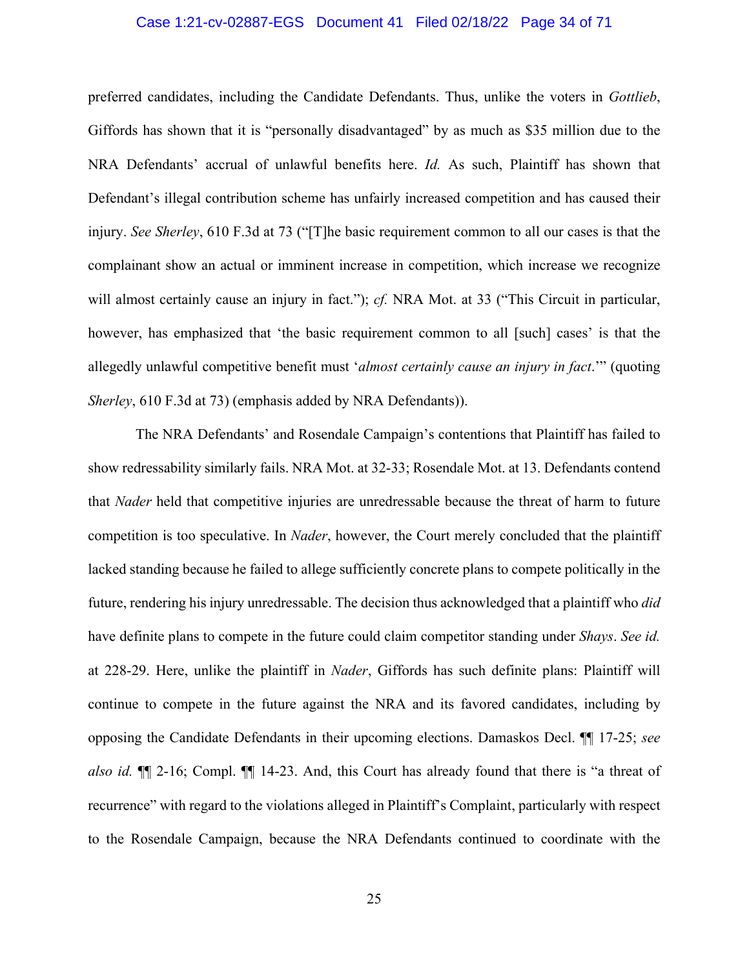#### Case 1:21-cv-02887-EGS Document 41 Filed 02/18/22 Page 34 of 71

preferred candidates, including the Candidate Defendants. Thus, unlike the voters in *Gottlieb*, Giffords has shown that it is "personally disadvantaged" by as much as \$35 million due to the NRA Defendants' accrual of unlawful benefits here. *Id.* As such, Plaintiff has shown that Defendant's illegal contribution scheme has unfairly increased competition and has caused their injury. *See Sherley*, 610 F.3d at 73 ("[T]he basic requirement common to all our cases is that the complainant show an actual or imminent increase in competition, which increase we recognize will almost certainly cause an injury in fact."); *cf.* NRA Mot. at 33 ("This Circuit in particular, however, has emphasized that 'the basic requirement common to all [such] cases' is that the allegedly unlawful competitive benefit must '*almost certainly cause an injury in fact*.'" (quoting *Sherley*, 610 F.3d at 73) (emphasis added by NRA Defendants)).

The NRA Defendants' and Rosendale Campaign's contentions that Plaintiff has failed to show redressability similarly fails. NRA Mot. at 32-33; Rosendale Mot. at 13. Defendants contend that *Nader* held that competitive injuries are unredressable because the threat of harm to future competition is too speculative. In *Nader*, however, the Court merely concluded that the plaintiff lacked standing because he failed to allege sufficiently concrete plans to compete politically in the future, rendering his injury unredressable. The decision thus acknowledged that a plaintiff who *did* have definite plans to compete in the future could claim competitor standing under *Shays*. *See id.* at 228-29. Here, unlike the plaintiff in *Nader*, Giffords has such definite plans: Plaintiff will continue to compete in the future against the NRA and its favored candidates, including by opposing the Candidate Defendants in their upcoming elections. Damaskos Decl. ¶¶ 17-25; *see also id.* ¶¶ 2-16; Compl. ¶¶ 14-23. And, this Court has already found that there is "a threat of recurrence" with regard to the violations alleged in Plaintiff's Complaint, particularly with respect to the Rosendale Campaign, because the NRA Defendants continued to coordinate with the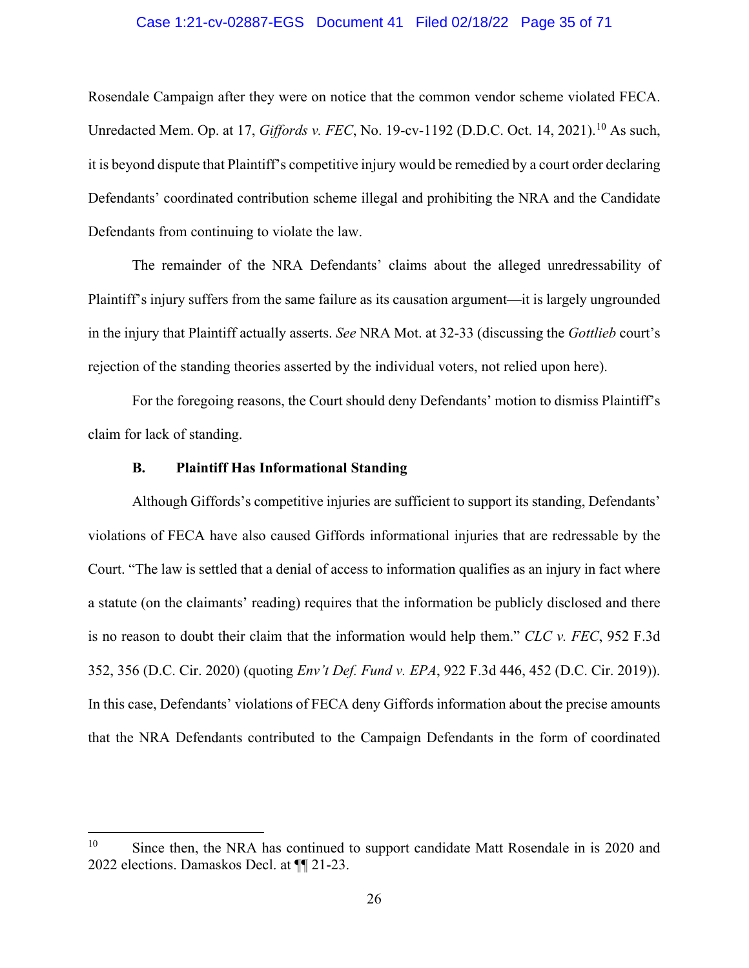#### Case 1:21-cv-02887-EGS Document 41 Filed 02/18/22 Page 35 of 71

Rosendale Campaign after they were on notice that the common vendor scheme violated FECA. Unredacted Mem. Op. at 17, *Giffords v. FEC*, No. 19-cv-1192 (D.D.C. Oct. 14, 2021).<sup>[10](#page-34-0)</sup> As such, it is beyond dispute that Plaintiff's competitive injury would be remedied by a court order declaring Defendants' coordinated contribution scheme illegal and prohibiting the NRA and the Candidate Defendants from continuing to violate the law.

The remainder of the NRA Defendants' claims about the alleged unredressability of Plaintiff's injury suffers from the same failure as its causation argument—it is largely ungrounded in the injury that Plaintiff actually asserts. *See* NRA Mot. at 32-33 (discussing the *Gottlieb* court's rejection of the standing theories asserted by the individual voters, not relied upon here).

For the foregoing reasons, the Court should deny Defendants' motion to dismiss Plaintiff's claim for lack of standing.

#### **B. Plaintiff Has Informational Standing**

Although Giffords's competitive injuries are sufficient to support its standing, Defendants' violations of FECA have also caused Giffords informational injuries that are redressable by the Court. "The law is settled that a denial of access to information qualifies as an injury in fact where a statute (on the claimants' reading) requires that the information be publicly disclosed and there is no reason to doubt their claim that the information would help them." *CLC v. FEC*, 952 F.3d 352, 356 (D.C. Cir. 2020) (quoting *Env't Def. Fund v. EPA*, 922 F.3d 446, 452 (D.C. Cir. 2019)). In this case, Defendants' violations of FECA deny Giffords information about the precise amounts that the NRA Defendants contributed to the Campaign Defendants in the form of coordinated

<span id="page-34-0"></span><sup>&</sup>lt;sup>10</sup> Since then, the NRA has continued to support candidate Matt Rosendale in is 2020 and 2022 elections. Damaskos Decl. at ¶¶ 21-23.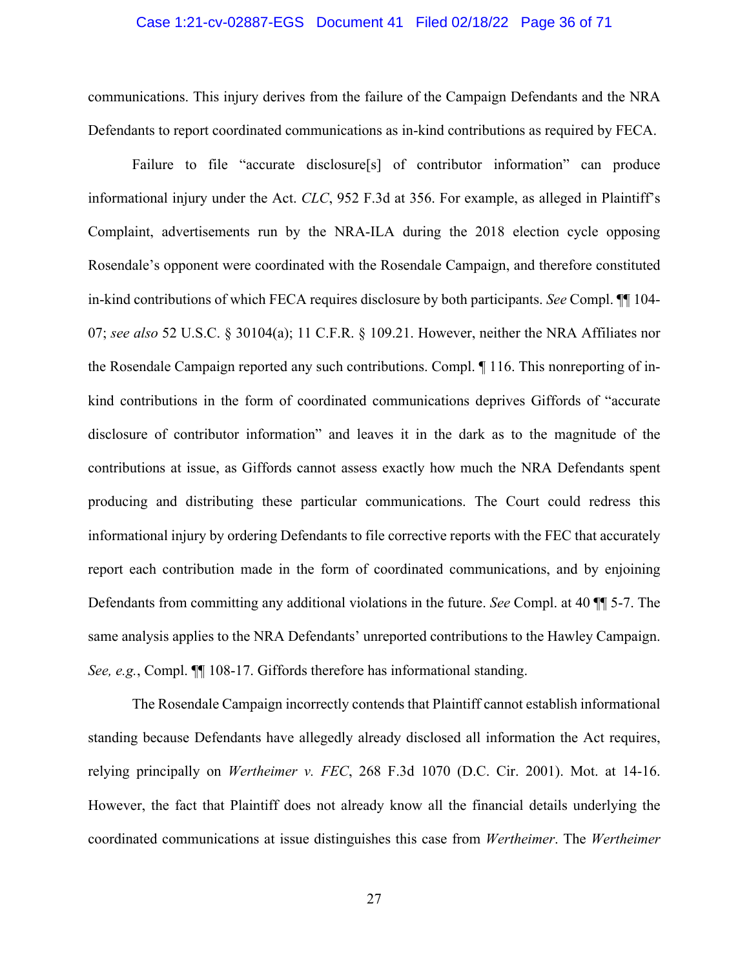#### Case 1:21-cv-02887-EGS Document 41 Filed 02/18/22 Page 36 of 71

communications. This injury derives from the failure of the Campaign Defendants and the NRA Defendants to report coordinated communications as in-kind contributions as required by FECA.

Failure to file "accurate disclosure[s] of contributor information" can produce informational injury under the Act. *CLC*, 952 F.3d at 356. For example, as alleged in Plaintiff's Complaint, advertisements run by the NRA-ILA during the 2018 election cycle opposing Rosendale's opponent were coordinated with the Rosendale Campaign, and therefore constituted in-kind contributions of which FECA requires disclosure by both participants. *See* Compl. ¶¶ 104- 07; *see also* 52 U.S.C. § 30104(a); 11 C.F.R. § 109.21. However, neither the NRA Affiliates nor the Rosendale Campaign reported any such contributions. Compl. ¶ 116. This nonreporting of inkind contributions in the form of coordinated communications deprives Giffords of "accurate disclosure of contributor information" and leaves it in the dark as to the magnitude of the contributions at issue, as Giffords cannot assess exactly how much the NRA Defendants spent producing and distributing these particular communications. The Court could redress this informational injury by ordering Defendants to file corrective reports with the FEC that accurately report each contribution made in the form of coordinated communications, and by enjoining Defendants from committing any additional violations in the future. *See* Compl. at 40 ¶¶ 5-7. The same analysis applies to the NRA Defendants' unreported contributions to the Hawley Campaign. *See, e.g.*, Compl. ¶¶ 108-17. Giffords therefore has informational standing.

The Rosendale Campaign incorrectly contends that Plaintiff cannot establish informational standing because Defendants have allegedly already disclosed all information the Act requires, relying principally on *Wertheimer v. FEC*, 268 F.3d 1070 (D.C. Cir. 2001). Mot. at 14-16. However, the fact that Plaintiff does not already know all the financial details underlying the coordinated communications at issue distinguishes this case from *Wertheimer*. The *Wertheimer*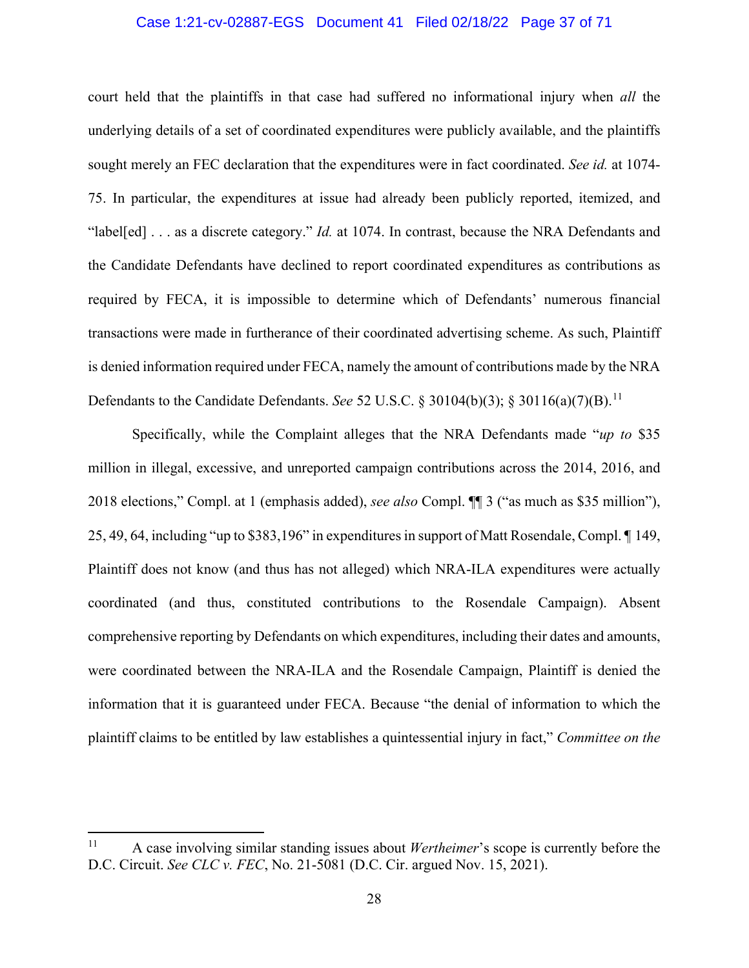#### Case 1:21-cv-02887-EGS Document 41 Filed 02/18/22 Page 37 of 71

court held that the plaintiffs in that case had suffered no informational injury when *all* the underlying details of a set of coordinated expenditures were publicly available, and the plaintiffs sought merely an FEC declaration that the expenditures were in fact coordinated. *See id.* at 1074- 75. In particular, the expenditures at issue had already been publicly reported, itemized, and "label[ed] . . . as a discrete category." *Id.* at 1074. In contrast, because the NRA Defendants and the Candidate Defendants have declined to report coordinated expenditures as contributions as required by FECA, it is impossible to determine which of Defendants' numerous financial transactions were made in furtherance of their coordinated advertising scheme. As such, Plaintiff is denied information required under FECA, namely the amount of contributions made by the NRA Defendants to the Candidate Defendants. *See* 52 U.S.C. § 30104(b)(3); § 30[11](#page-36-0)6(a)(7)(B).<sup>11</sup>

Specifically, while the Complaint alleges that the NRA Defendants made "*up to* \$35 million in illegal, excessive, and unreported campaign contributions across the 2014, 2016, and 2018 elections," Compl. at 1 (emphasis added), *see also* Compl. ¶¶ 3 ("as much as \$35 million"), 25, 49, 64, including "up to \$383,196" in expenditures in support of Matt Rosendale, Compl. ¶ 149, Plaintiff does not know (and thus has not alleged) which NRA-ILA expenditures were actually coordinated (and thus, constituted contributions to the Rosendale Campaign). Absent comprehensive reporting by Defendants on which expenditures, including their dates and amounts, were coordinated between the NRA-ILA and the Rosendale Campaign, Plaintiff is denied the information that it is guaranteed under FECA. Because "the denial of information to which the plaintiff claims to be entitled by law establishes a quintessential injury in fact," *Committee on the* 

<span id="page-36-0"></span><sup>11</sup> A case involving similar standing issues about *Wertheimer*'s scope is currently before the D.C. Circuit. *See CLC v. FEC*, No. 21-5081 (D.C. Cir. argued Nov. 15, 2021).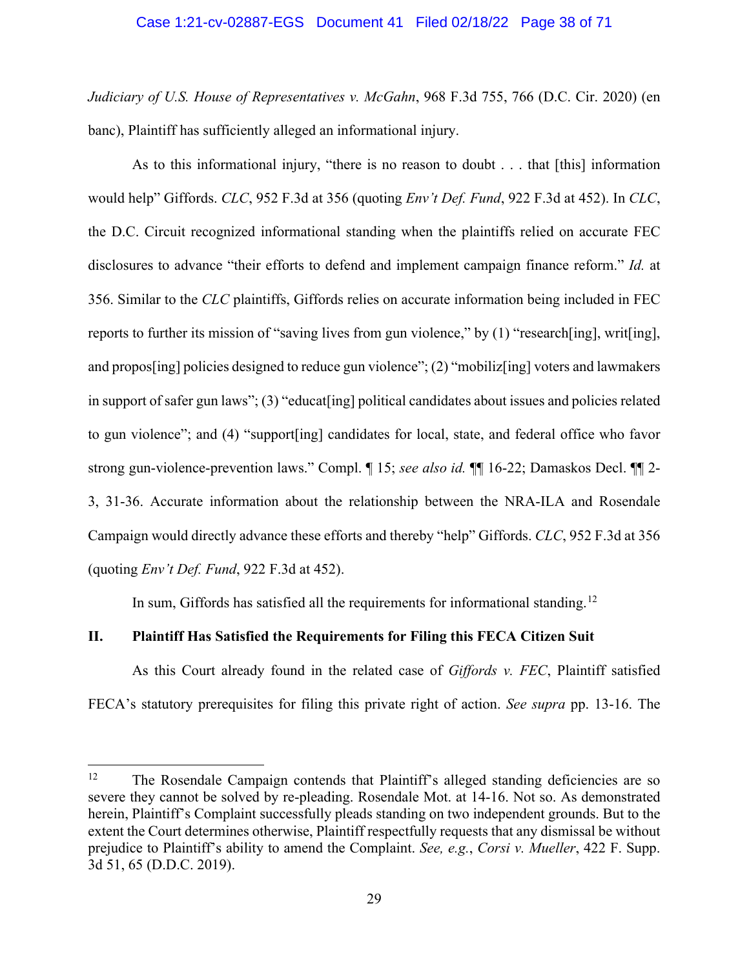#### Case 1:21-cv-02887-EGS Document 41 Filed 02/18/22 Page 38 of 71

*Judiciary of U.S. House of Representatives v. McGahn*, 968 F.3d 755, 766 (D.C. Cir. 2020) (en banc), Plaintiff has sufficiently alleged an informational injury.

As to this informational injury, "there is no reason to doubt . . . that [this] information would help" Giffords. *CLC*, 952 F.3d at 356 (quoting *Env't Def. Fund*, 922 F.3d at 452). In *CLC*, the D.C. Circuit recognized informational standing when the plaintiffs relied on accurate FEC disclosures to advance "their efforts to defend and implement campaign finance reform." *Id.* at 356. Similar to the *CLC* plaintiffs, Giffords relies on accurate information being included in FEC reports to further its mission of "saving lives from gun violence," by (1) "research[ing], writ[ing], and propos[ing] policies designed to reduce gun violence"; (2) "mobiliz[ing] voters and lawmakers in support of safer gun laws"; (3) "educat[ing] political candidates about issues and policies related to gun violence"; and (4) "support[ing] candidates for local, state, and federal office who favor strong gun-violence-prevention laws." Compl. ¶ 15; *see also id.* ¶¶ 16-22; Damaskos Decl. ¶¶ 2- 3, 31-36. Accurate information about the relationship between the NRA-ILA and Rosendale Campaign would directly advance these efforts and thereby "help" Giffords. *CLC*, 952 F.3d at 356 (quoting *Env't Def. Fund*, 922 F.3d at 452).

In sum, Giffords has satisfied all the requirements for informational standing.<sup>[12](#page-37-0)</sup>

#### **II. Plaintiff Has Satisfied the Requirements for Filing this FECA Citizen Suit**

As this Court already found in the related case of *Giffords v. FEC*, Plaintiff satisfied FECA's statutory prerequisites for filing this private right of action. *See supra* pp. 13-16. The

<span id="page-37-0"></span><sup>&</sup>lt;sup>12</sup> The Rosendale Campaign contends that Plaintiff's alleged standing deficiencies are so severe they cannot be solved by re-pleading. Rosendale Mot. at 14-16. Not so. As demonstrated herein, Plaintiff's Complaint successfully pleads standing on two independent grounds. But to the extent the Court determines otherwise, Plaintiff respectfully requests that any dismissal be without prejudice to Plaintiff's ability to amend the Complaint. *See, e.g.*, *Corsi v. Mueller*, 422 F. Supp. 3d 51, 65 (D.D.C. 2019).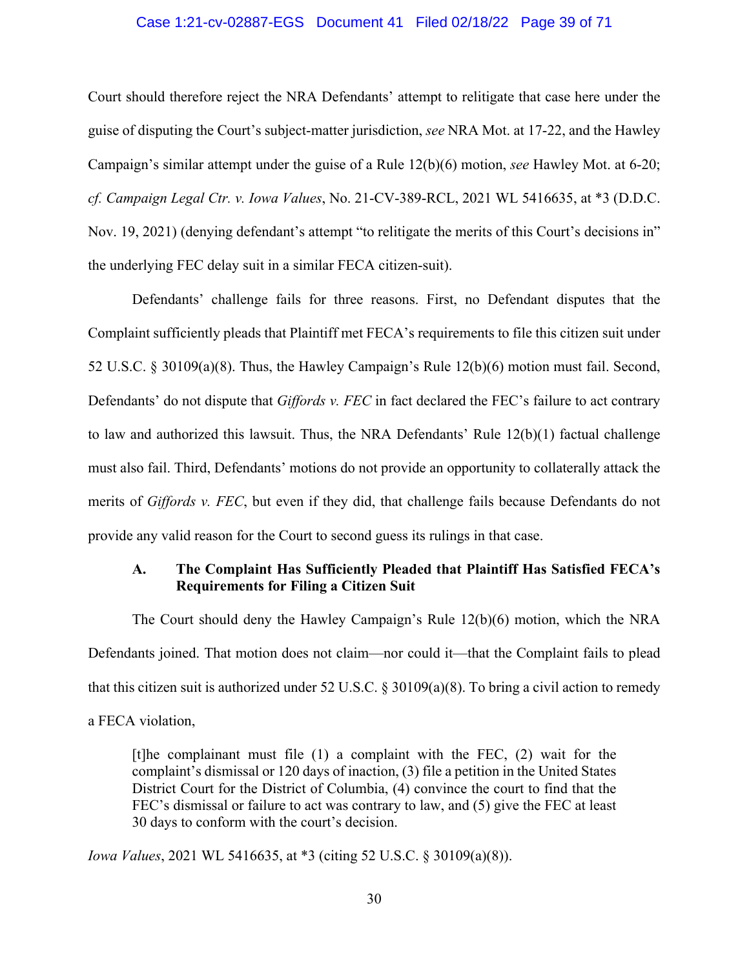#### Case 1:21-cv-02887-EGS Document 41 Filed 02/18/22 Page 39 of 71

Court should therefore reject the NRA Defendants' attempt to relitigate that case here under the guise of disputing the Court's subject-matter jurisdiction, *see* NRA Mot. at 17-22, and the Hawley Campaign's similar attempt under the guise of a Rule 12(b)(6) motion, *see* Hawley Mot. at 6-20; *cf. Campaign Legal Ctr. v. Iowa Values*, No. 21-CV-389-RCL, 2021 WL 5416635, at \*3 (D.D.C. Nov. 19, 2021) (denying defendant's attempt "to relitigate the merits of this Court's decisions in" the underlying FEC delay suit in a similar FECA citizen-suit).

Defendants' challenge fails for three reasons. First, no Defendant disputes that the Complaint sufficiently pleads that Plaintiff met FECA's requirements to file this citizen suit under 52 U.S.C. § 30109(a)(8). Thus, the Hawley Campaign's Rule 12(b)(6) motion must fail. Second, Defendants' do not dispute that *Giffords v. FEC* in fact declared the FEC's failure to act contrary to law and authorized this lawsuit. Thus, the NRA Defendants' Rule 12(b)(1) factual challenge must also fail. Third, Defendants' motions do not provide an opportunity to collaterally attack the merits of *Giffords v. FEC*, but even if they did, that challenge fails because Defendants do not provide any valid reason for the Court to second guess its rulings in that case.

## **A. The Complaint Has Sufficiently Pleaded that Plaintiff Has Satisfied FECA's Requirements for Filing a Citizen Suit**

The Court should deny the Hawley Campaign's Rule 12(b)(6) motion, which the NRA Defendants joined. That motion does not claim—nor could it—that the Complaint fails to plead that this citizen suit is authorized under 52 U.S.C. § 30109(a)(8). To bring a civil action to remedy a FECA violation,

[t] the complainant must file  $(1)$  a complaint with the FEC,  $(2)$  wait for the complaint's dismissal or 120 days of inaction, (3) file a petition in the United States District Court for the District of Columbia, (4) convince the court to find that the FEC's dismissal or failure to act was contrary to law, and (5) give the FEC at least 30 days to conform with the court's decision.

*Iowa Values*, 2021 WL 5416635, at \*3 (citing 52 U.S.C. § 30109(a)(8)).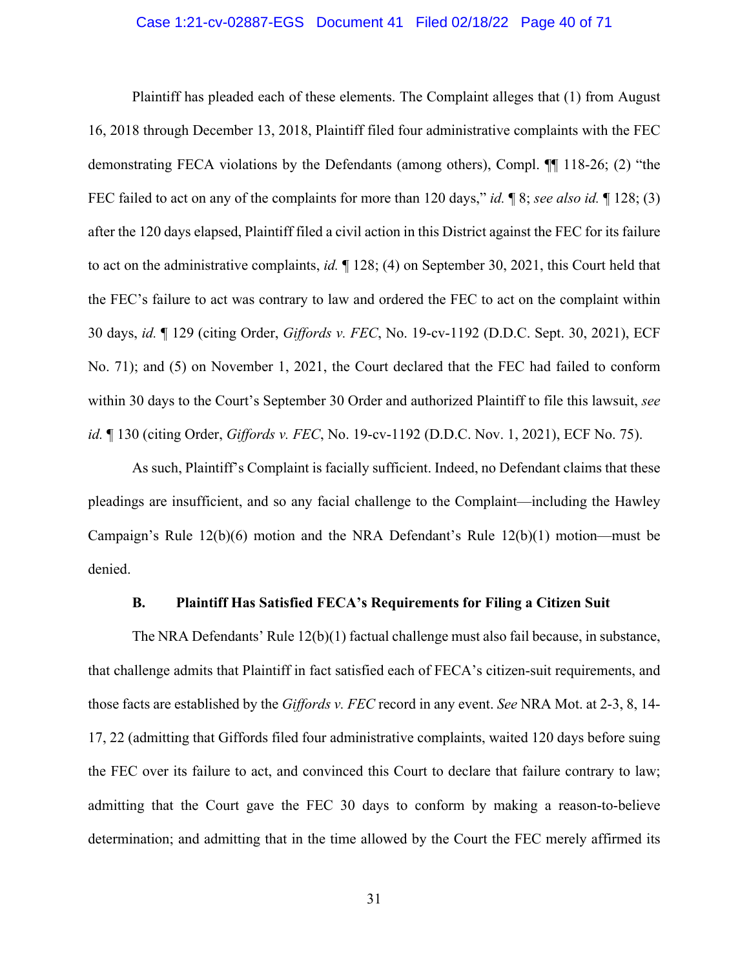#### Case 1:21-cv-02887-EGS Document 41 Filed 02/18/22 Page 40 of 71

Plaintiff has pleaded each of these elements. The Complaint alleges that (1) from August 16, 2018 through December 13, 2018, Plaintiff filed four administrative complaints with the FEC demonstrating FECA violations by the Defendants (among others), Compl. ¶¶ 118-26; (2) "the FEC failed to act on any of the complaints for more than 120 days," *id.* ¶ 8; *see also id.* ¶ 128; (3) after the 120 days elapsed, Plaintiff filed a civil action in this District against the FEC for its failure to act on the administrative complaints, *id.* ¶ 128; (4) on September 30, 2021, this Court held that the FEC's failure to act was contrary to law and ordered the FEC to act on the complaint within 30 days, *id.* ¶ 129 (citing Order, *Giffords v. FEC*, No. 19-cv-1192 (D.D.C. Sept. 30, 2021), ECF No. 71); and (5) on November 1, 2021, the Court declared that the FEC had failed to conform within 30 days to the Court's September 30 Order and authorized Plaintiff to file this lawsuit, *see id.* ¶ 130 (citing Order, *Giffords v. FEC*, No. 19-cv-1192 (D.D.C. Nov. 1, 2021), ECF No. 75).

As such, Plaintiff's Complaint is facially sufficient. Indeed, no Defendant claims that these pleadings are insufficient, and so any facial challenge to the Complaint—including the Hawley Campaign's Rule 12(b)(6) motion and the NRA Defendant's Rule 12(b)(1) motion—must be denied.

#### **B. Plaintiff Has Satisfied FECA's Requirements for Filing a Citizen Suit**

The NRA Defendants' Rule 12(b)(1) factual challenge must also fail because, in substance, that challenge admits that Plaintiff in fact satisfied each of FECA's citizen-suit requirements, and those facts are established by the *Giffords v. FEC* record in any event. *See* NRA Mot. at 2-3, 8, 14- 17, 22 (admitting that Giffords filed four administrative complaints, waited 120 days before suing the FEC over its failure to act, and convinced this Court to declare that failure contrary to law; admitting that the Court gave the FEC 30 days to conform by making a reason-to-believe determination; and admitting that in the time allowed by the Court the FEC merely affirmed its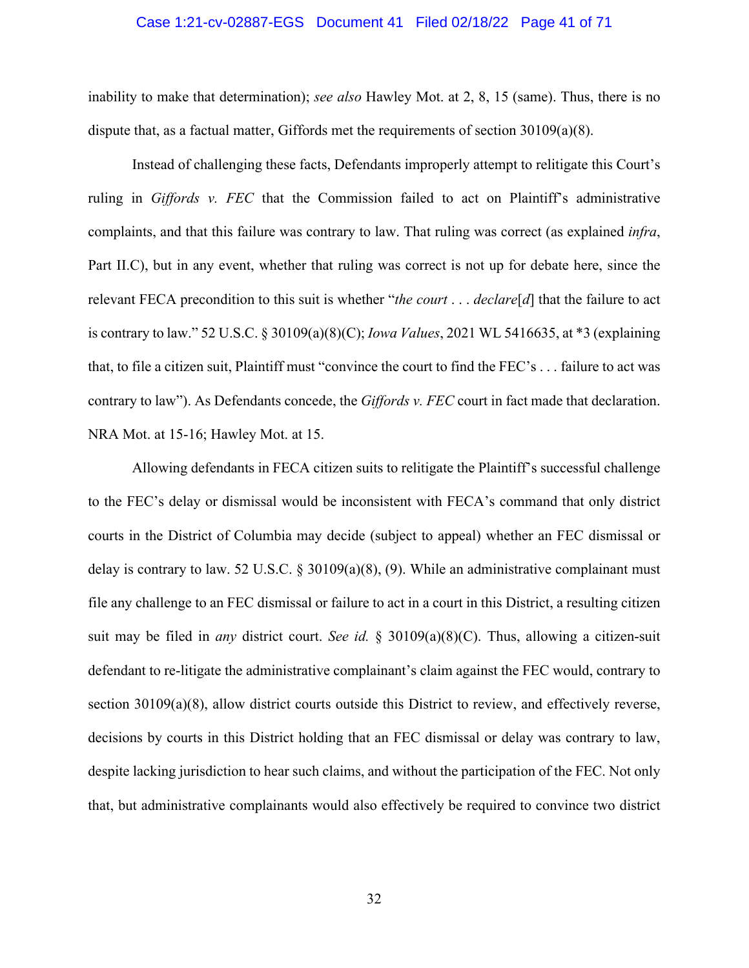#### Case 1:21-cv-02887-EGS Document 41 Filed 02/18/22 Page 41 of 71

inability to make that determination); *see also* Hawley Mot. at 2, 8, 15 (same). Thus, there is no dispute that, as a factual matter, Giffords met the requirements of section 30109(a)(8).

Instead of challenging these facts, Defendants improperly attempt to relitigate this Court's ruling in *Giffords v. FEC* that the Commission failed to act on Plaintiff's administrative complaints, and that this failure was contrary to law. That ruling was correct (as explained *infra*, Part II.C), but in any event, whether that ruling was correct is not up for debate here, since the relevant FECA precondition to this suit is whether "*the court* . . . *declare*[*d*] that the failure to act is contrary to law." 52 U.S.C. § 30109(a)(8)(C); *Iowa Values*, 2021 WL 5416635, at \*3 (explaining that, to file a citizen suit, Plaintiff must "convince the court to find the FEC's . . . failure to act was contrary to law"). As Defendants concede, the *Giffords v. FEC* court in fact made that declaration. NRA Mot. at 15-16; Hawley Mot. at 15.

Allowing defendants in FECA citizen suits to relitigate the Plaintiff's successful challenge to the FEC's delay or dismissal would be inconsistent with FECA's command that only district courts in the District of Columbia may decide (subject to appeal) whether an FEC dismissal or delay is contrary to law. 52 U.S.C. § 30109(a)(8), (9). While an administrative complainant must file any challenge to an FEC dismissal or failure to act in a court in this District, a resulting citizen suit may be filed in *any* district court. *See id.* § 30109(a)(8)(C). Thus, allowing a citizen-suit defendant to re-litigate the administrative complainant's claim against the FEC would, contrary to section 30109(a)(8), allow district courts outside this District to review, and effectively reverse, decisions by courts in this District holding that an FEC dismissal or delay was contrary to law, despite lacking jurisdiction to hear such claims, and without the participation of the FEC. Not only that, but administrative complainants would also effectively be required to convince two district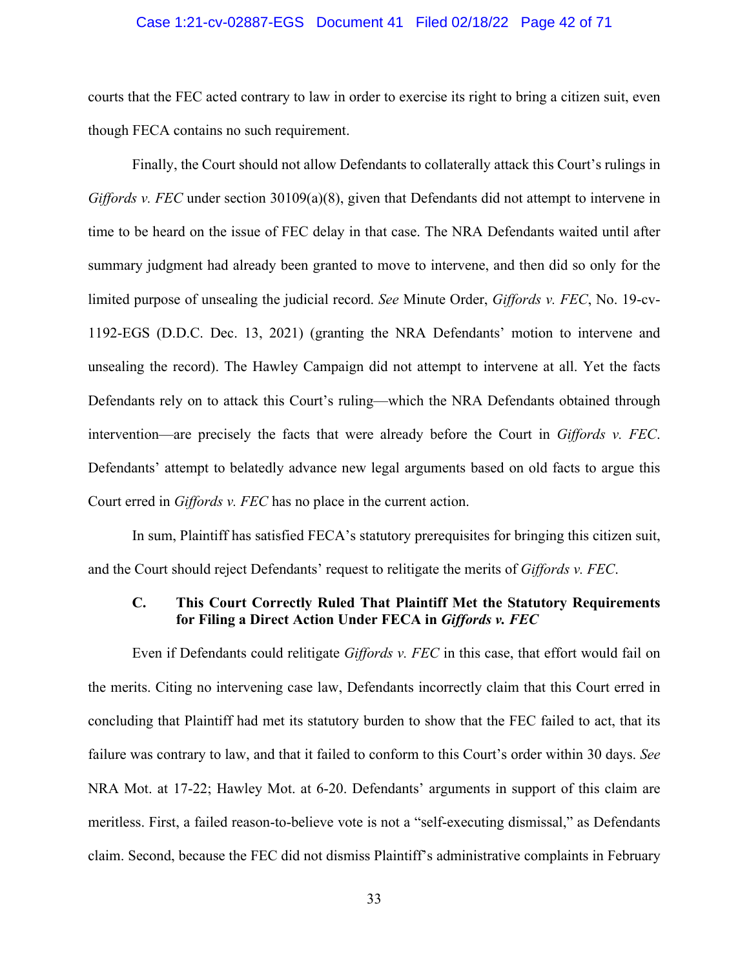#### Case 1:21-cv-02887-EGS Document 41 Filed 02/18/22 Page 42 of 71

courts that the FEC acted contrary to law in order to exercise its right to bring a citizen suit, even though FECA contains no such requirement.

Finally, the Court should not allow Defendants to collaterally attack this Court's rulings in *Giffords v. FEC* under section 30109(a)(8), given that Defendants did not attempt to intervene in time to be heard on the issue of FEC delay in that case. The NRA Defendants waited until after summary judgment had already been granted to move to intervene, and then did so only for the limited purpose of unsealing the judicial record. *See* Minute Order, *Giffords v. FEC*, No. 19-cv-1192-EGS (D.D.C. Dec. 13, 2021) (granting the NRA Defendants' motion to intervene and unsealing the record). The Hawley Campaign did not attempt to intervene at all. Yet the facts Defendants rely on to attack this Court's ruling—which the NRA Defendants obtained through intervention—are precisely the facts that were already before the Court in *Giffords v. FEC*. Defendants' attempt to belatedly advance new legal arguments based on old facts to argue this Court erred in *Giffords v. FEC* has no place in the current action.

In sum, Plaintiff has satisfied FECA's statutory prerequisites for bringing this citizen suit, and the Court should reject Defendants' request to relitigate the merits of *Giffords v. FEC*.

#### **C. This Court Correctly Ruled That Plaintiff Met the Statutory Requirements for Filing a Direct Action Under FECA in** *Giffords v. FEC*

Even if Defendants could relitigate *Giffords v. FEC* in this case, that effort would fail on the merits. Citing no intervening case law, Defendants incorrectly claim that this Court erred in concluding that Plaintiff had met its statutory burden to show that the FEC failed to act, that its failure was contrary to law, and that it failed to conform to this Court's order within 30 days. *See* NRA Mot. at 17-22; Hawley Mot. at 6-20. Defendants' arguments in support of this claim are meritless. First, a failed reason-to-believe vote is not a "self-executing dismissal," as Defendants claim. Second, because the FEC did not dismiss Plaintiff's administrative complaints in February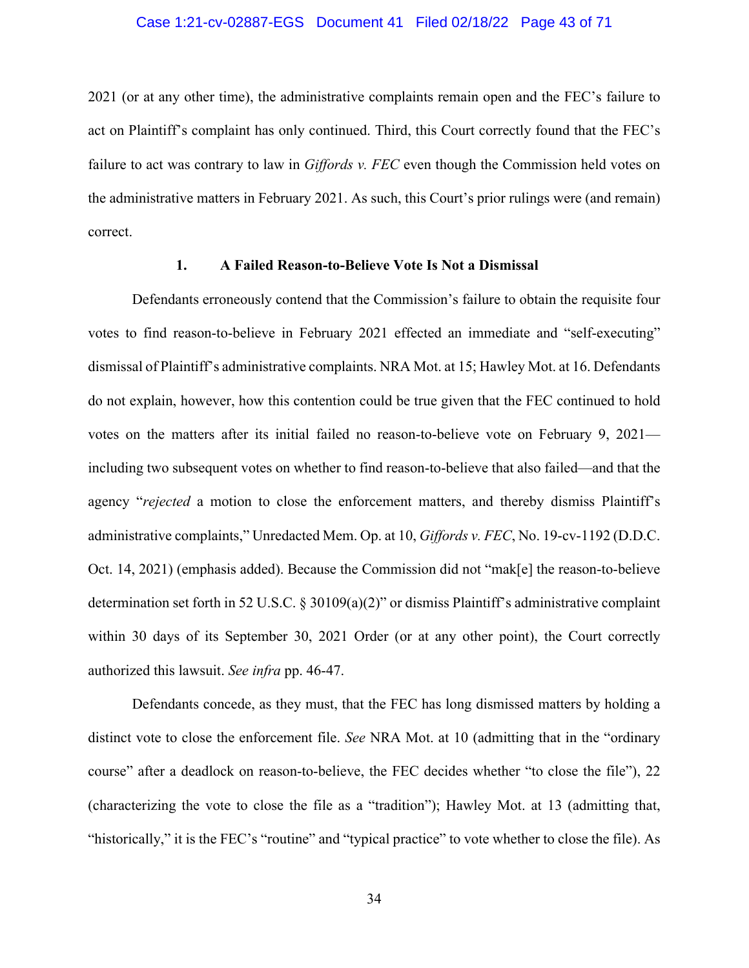#### Case 1:21-cv-02887-EGS Document 41 Filed 02/18/22 Page 43 of 71

2021 (or at any other time), the administrative complaints remain open and the FEC's failure to act on Plaintiff's complaint has only continued. Third, this Court correctly found that the FEC's failure to act was contrary to law in *Giffords v. FEC* even though the Commission held votes on the administrative matters in February 2021. As such, this Court's prior rulings were (and remain) correct.

#### **1. A Failed Reason-to-Believe Vote Is Not a Dismissal**

Defendants erroneously contend that the Commission's failure to obtain the requisite four votes to find reason-to-believe in February 2021 effected an immediate and "self-executing" dismissal of Plaintiff's administrative complaints. NRA Mot. at 15; Hawley Mot. at 16. Defendants do not explain, however, how this contention could be true given that the FEC continued to hold votes on the matters after its initial failed no reason-to-believe vote on February 9, 2021 including two subsequent votes on whether to find reason-to-believe that also failed—and that the agency "*rejected* a motion to close the enforcement matters, and thereby dismiss Plaintiff's administrative complaints," Unredacted Mem. Op. at 10, *Giffords v. FEC*, No. 19-cv-1192 (D.D.C. Oct. 14, 2021) (emphasis added). Because the Commission did not "mak[e] the reason-to-believe determination set forth in 52 U.S.C. § 30109(a)(2)" or dismiss Plaintiff's administrative complaint within 30 days of its September 30, 2021 Order (or at any other point), the Court correctly authorized this lawsuit. *See infra* pp. 46-47.

Defendants concede, as they must, that the FEC has long dismissed matters by holding a distinct vote to close the enforcement file. *See* NRA Mot. at 10 (admitting that in the "ordinary course" after a deadlock on reason-to-believe, the FEC decides whether "to close the file"), 22 (characterizing the vote to close the file as a "tradition"); Hawley Mot. at 13 (admitting that, "historically," it is the FEC's "routine" and "typical practice" to vote whether to close the file). As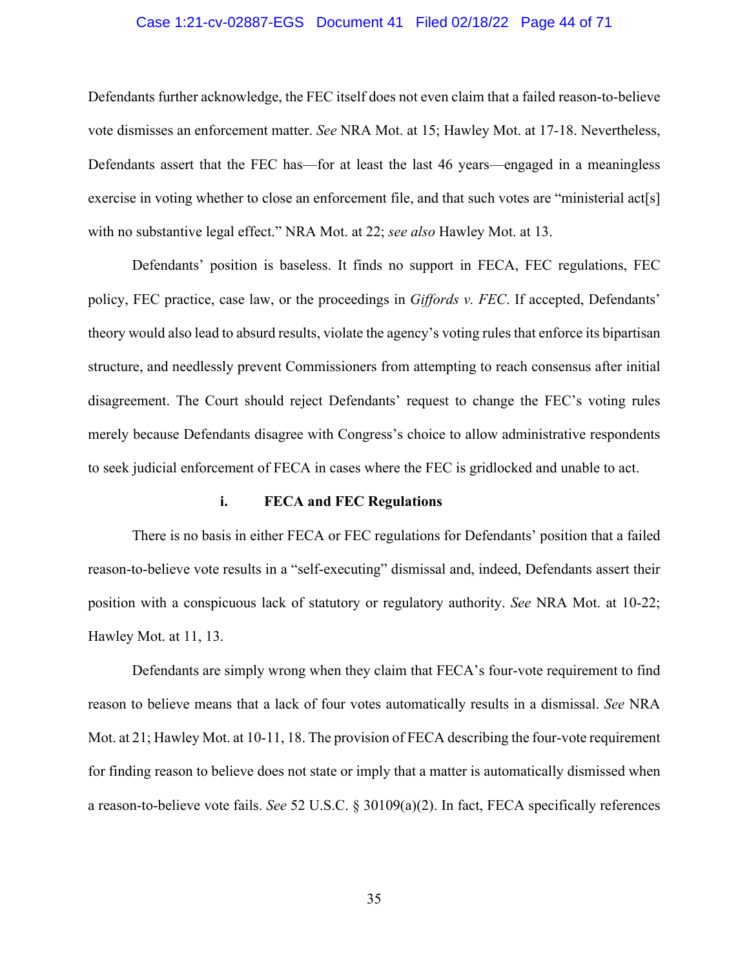#### Case 1:21-cv-02887-EGS Document 41 Filed 02/18/22 Page 44 of 71

Defendants further acknowledge, the FEC itself does not even claim that a failed reason-to-believe vote dismisses an enforcement matter. *See* NRA Mot. at 15; Hawley Mot. at 17-18. Nevertheless, Defendants assert that the FEC has—for at least the last 46 years—engaged in a meaningless exercise in voting whether to close an enforcement file, and that such votes are "ministerial act[s] with no substantive legal effect." NRA Mot. at 22; *see also* Hawley Mot. at 13.

Defendants' position is baseless. It finds no support in FECA, FEC regulations, FEC policy, FEC practice, case law, or the proceedings in *Giffords v. FEC*. If accepted, Defendants' theory would also lead to absurd results, violate the agency's voting rules that enforce its bipartisan structure, and needlessly prevent Commissioners from attempting to reach consensus after initial disagreement. The Court should reject Defendants' request to change the FEC's voting rules merely because Defendants disagree with Congress's choice to allow administrative respondents to seek judicial enforcement of FECA in cases where the FEC is gridlocked and unable to act.

#### **i. FECA and FEC Regulations**

There is no basis in either FECA or FEC regulations for Defendants' position that a failed reason-to-believe vote results in a "self-executing" dismissal and, indeed, Defendants assert their position with a conspicuous lack of statutory or regulatory authority. *See* NRA Mot. at 10-22; Hawley Mot. at 11, 13.

Defendants are simply wrong when they claim that FECA's four-vote requirement to find reason to believe means that a lack of four votes automatically results in a dismissal. *See* NRA Mot. at 21; Hawley Mot. at 10-11, 18. The provision of FECA describing the four-vote requirement for finding reason to believe does not state or imply that a matter is automatically dismissed when a reason-to-believe vote fails. *See* 52 U.S.C. § 30109(a)(2). In fact, FECA specifically references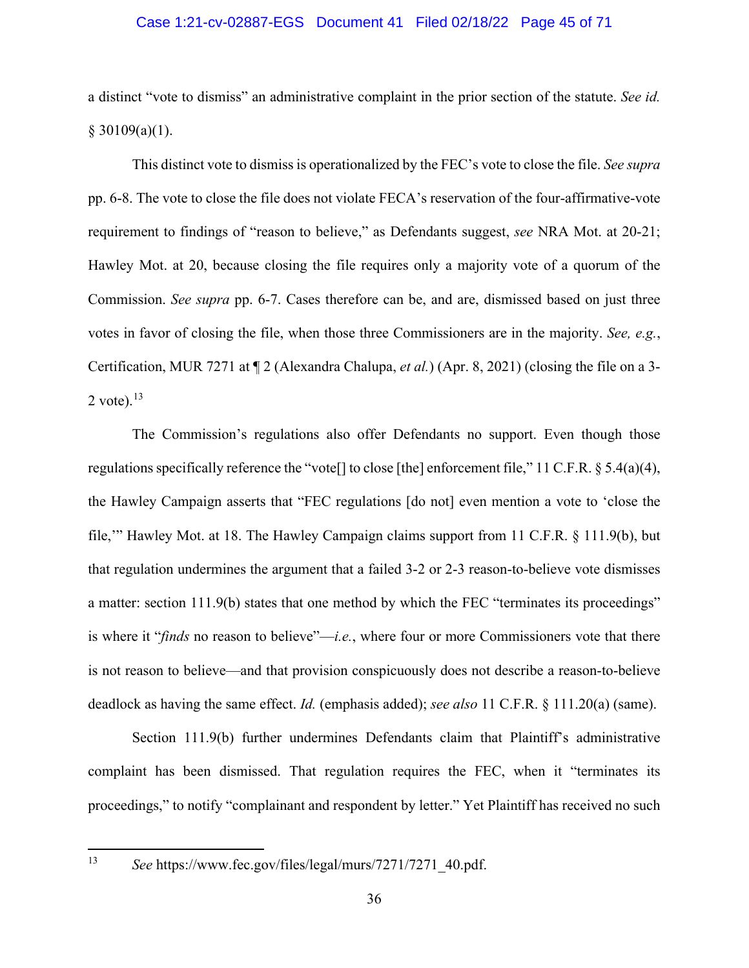#### Case 1:21-cv-02887-EGS Document 41 Filed 02/18/22 Page 45 of 71

a distinct "vote to dismiss" an administrative complaint in the prior section of the statute. *See id.*  $§$  30109(a)(1).

This distinct vote to dismiss is operationalized by the FEC's vote to close the file. *See supra* pp. 6-8. The vote to close the file does not violate FECA's reservation of the four-affirmative-vote requirement to findings of "reason to believe," as Defendants suggest, *see* NRA Mot. at 20-21; Hawley Mot. at 20, because closing the file requires only a majority vote of a quorum of the Commission. *See supra* pp. 6-7. Cases therefore can be, and are, dismissed based on just three votes in favor of closing the file, when those three Commissioners are in the majority. *See, e.g.*, Certification, MUR 7271 at ¶ 2 (Alexandra Chalupa, *et al.*) (Apr. 8, 2021) (closing the file on a 3- 2 vote). $^{13}$  $^{13}$  $^{13}$ 

The Commission's regulations also offer Defendants no support. Even though those regulations specifically reference the "vote[] to close [the] enforcement file," 11 C.F.R. § 5.4(a)(4), the Hawley Campaign asserts that "FEC regulations [do not] even mention a vote to 'close the file,'" Hawley Mot. at 18. The Hawley Campaign claims support from 11 C.F.R. § 111.9(b), but that regulation undermines the argument that a failed 3-2 or 2-3 reason-to-believe vote dismisses a matter: section 111.9(b) states that one method by which the FEC "terminates its proceedings" is where it "*finds* no reason to believe"—*i.e.*, where four or more Commissioners vote that there is not reason to believe—and that provision conspicuously does not describe a reason-to-believe deadlock as having the same effect. *Id.* (emphasis added); *see also* 11 C.F.R. § 111.20(a) (same).

Section 111.9(b) further undermines Defendants claim that Plaintiff's administrative complaint has been dismissed. That regulation requires the FEC, when it "terminates its proceedings," to notify "complainant and respondent by letter." Yet Plaintiff has received no such

<span id="page-44-0"></span><sup>13</sup> *See* https://www.fec.gov/files/legal/murs/7271/7271\_40.pdf.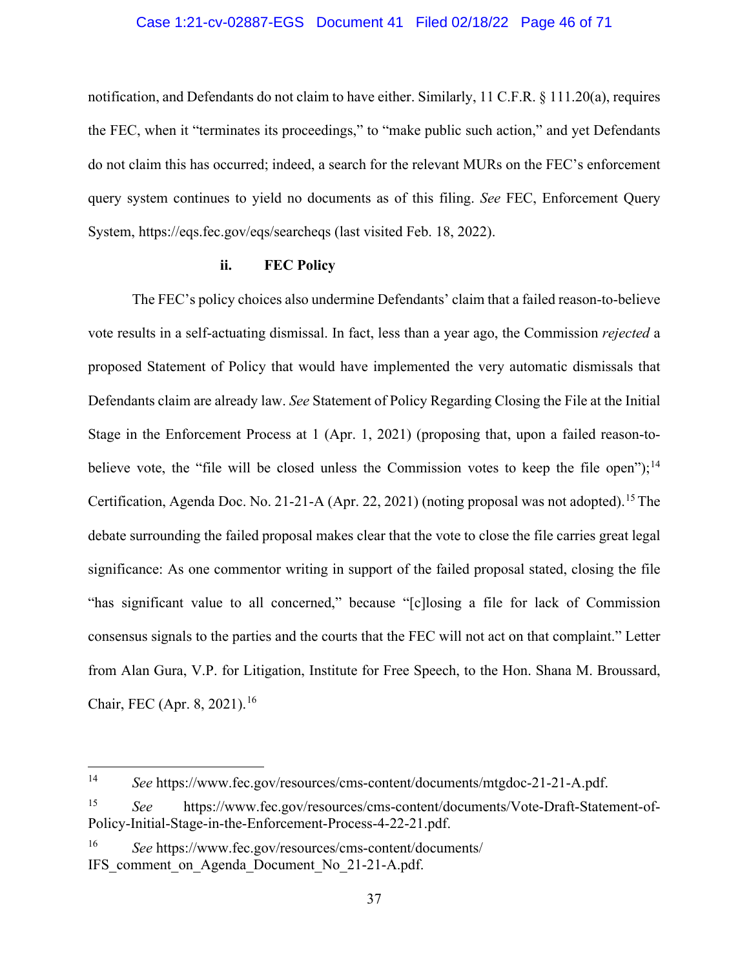#### Case 1:21-cv-02887-EGS Document 41 Filed 02/18/22 Page 46 of 71

notification, and Defendants do not claim to have either. Similarly, 11 C.F.R. § 111.20(a), requires the FEC, when it "terminates its proceedings," to "make public such action," and yet Defendants do not claim this has occurred; indeed, a search for the relevant MURs on the FEC's enforcement query system continues to yield no documents as of this filing. *See* FEC, Enforcement Query System, https://eqs.fec.gov/eqs/searcheqs (last visited Feb. 18, 2022).

#### **ii. FEC Policy**

The FEC's policy choices also undermine Defendants' claim that a failed reason-to-believe vote results in a self-actuating dismissal. In fact, less than a year ago, the Commission *rejected* a proposed Statement of Policy that would have implemented the very automatic dismissals that Defendants claim are already law. *See* Statement of Policy Regarding Closing the File at the Initial Stage in the Enforcement Process at 1 (Apr. 1, 2021) (proposing that, upon a failed reason-to-believe vote, the "file will be closed unless the Commission votes to keep the file open");<sup>[14](#page-45-0)</sup> Certification, Agenda Doc. No. 21-21-A (Apr. 22, 2021) (noting proposal was not adopted).<sup>[15](#page-45-1)</sup> The debate surrounding the failed proposal makes clear that the vote to close the file carries great legal significance: As one commentor writing in support of the failed proposal stated, closing the file "has significant value to all concerned," because "[c]losing a file for lack of Commission consensus signals to the parties and the courts that the FEC will not act on that complaint." Letter from Alan Gura, V.P. for Litigation, Institute for Free Speech, to the Hon. Shana M. Broussard, Chair, FEC (Apr. 8, 2021).<sup>[16](#page-45-2)</sup>

<span id="page-45-0"></span><sup>14</sup> *See* https://www.fec.gov/resources/cms-content/documents/mtgdoc-21-21-A.pdf.

<span id="page-45-1"></span><sup>15</sup> *See* https://www.fec.gov/resources/cms-content/documents/Vote-Draft-Statement-of-Policy-Initial-Stage-in-the-Enforcement-Process-4-22-21.pdf.

<span id="page-45-2"></span><sup>16</sup> *See* https://www.fec.gov/resources/cms-content/documents/ IFS comment on Agenda Document No 21-21-A.pdf.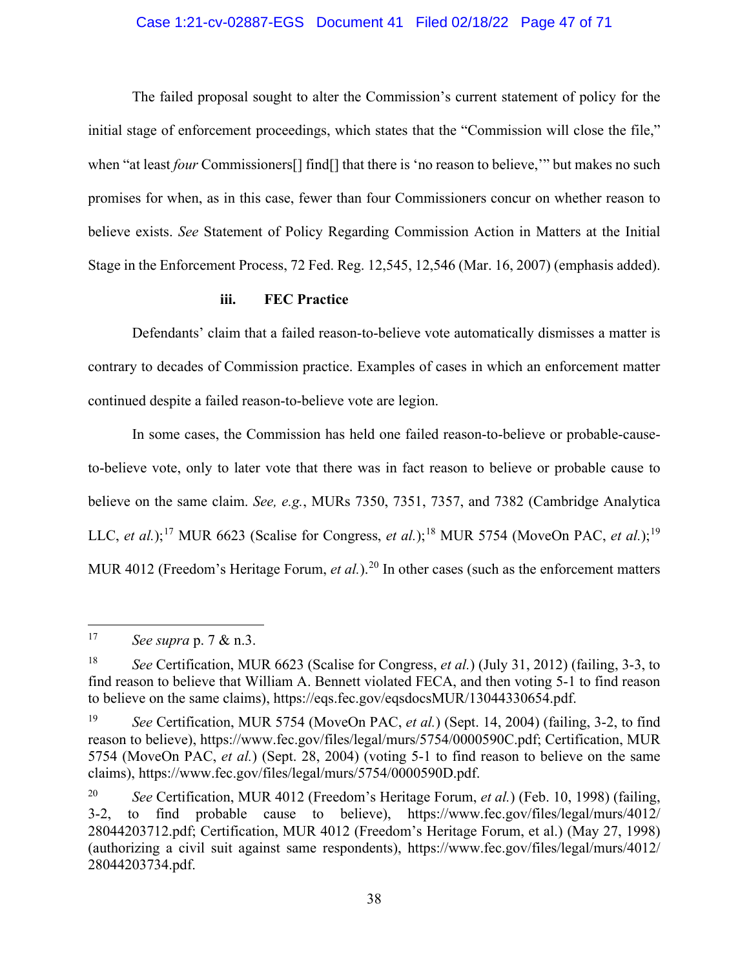#### Case 1:21-cv-02887-EGS Document 41 Filed 02/18/22 Page 47 of 71

The failed proposal sought to alter the Commission's current statement of policy for the initial stage of enforcement proceedings, which states that the "Commission will close the file," when "at least *four* Commissioners[] find[] that there is 'no reason to believe,'" but makes no such promises for when, as in this case, fewer than four Commissioners concur on whether reason to believe exists. *See* Statement of Policy Regarding Commission Action in Matters at the Initial Stage in the Enforcement Process, 72 Fed. Reg. 12,545, 12,546 (Mar. 16, 2007) (emphasis added).

#### **iii. FEC Practice**

Defendants' claim that a failed reason-to-believe vote automatically dismisses a matter is contrary to decades of Commission practice. Examples of cases in which an enforcement matter continued despite a failed reason-to-believe vote are legion.

In some cases, the Commission has held one failed reason-to-believe or probable-causeto-believe vote, only to later vote that there was in fact reason to believe or probable cause to believe on the same claim. *See, e.g.*, MURs 7350, 7351, 7357, and 7382 (Cambridge Analytica LLC, *et al.*);<sup>[17](#page-46-0)</sup> MUR 6623 (Scalise for Congress, *et al.*);<sup>[18](#page-46-1)</sup> MUR 5754 (MoveOn PAC, *et al.*);<sup>[19](#page-46-2)</sup> MUR 4012 (Freedom's Heritage Forum, *et al.*). [20](#page-46-3) In other cases (such as the enforcement matters

<span id="page-46-0"></span><sup>17</sup> *See supra* p. 7 & n.3.

<span id="page-46-1"></span><sup>18</sup> *See* Certification, MUR 6623 (Scalise for Congress, *et al.*) (July 31, 2012) (failing, 3-3, to find reason to believe that William A. Bennett violated FECA, and then voting 5-1 to find reason to believe on the same claims), https://eqs.fec.gov/eqsdocsMUR/13044330654.pdf.

<span id="page-46-2"></span><sup>19</sup> *See* Certification, MUR 5754 (MoveOn PAC, *et al.*) (Sept. 14, 2004) (failing, 3-2, to find reason to believe), https://www.fec.gov/files/legal/murs/5754/0000590C.pdf; Certification, MUR 5754 (MoveOn PAC, *et al.*) (Sept. 28, 2004) (voting 5-1 to find reason to believe on the same claims), https://www.fec.gov/files/legal/murs/5754/0000590D.pdf.

<span id="page-46-3"></span><sup>20</sup> *See* Certification, MUR 4012 (Freedom's Heritage Forum, *et al.*) (Feb. 10, 1998) (failing, 3-2, to find probable cause to believe), https://www.fec.gov/files/legal/murs/4012/ 28044203712.pdf; Certification, MUR 4012 (Freedom's Heritage Forum, et al.) (May 27, 1998) (authorizing a civil suit against same respondents), https://www.fec.gov/files/legal/murs/4012/ 28044203734.pdf.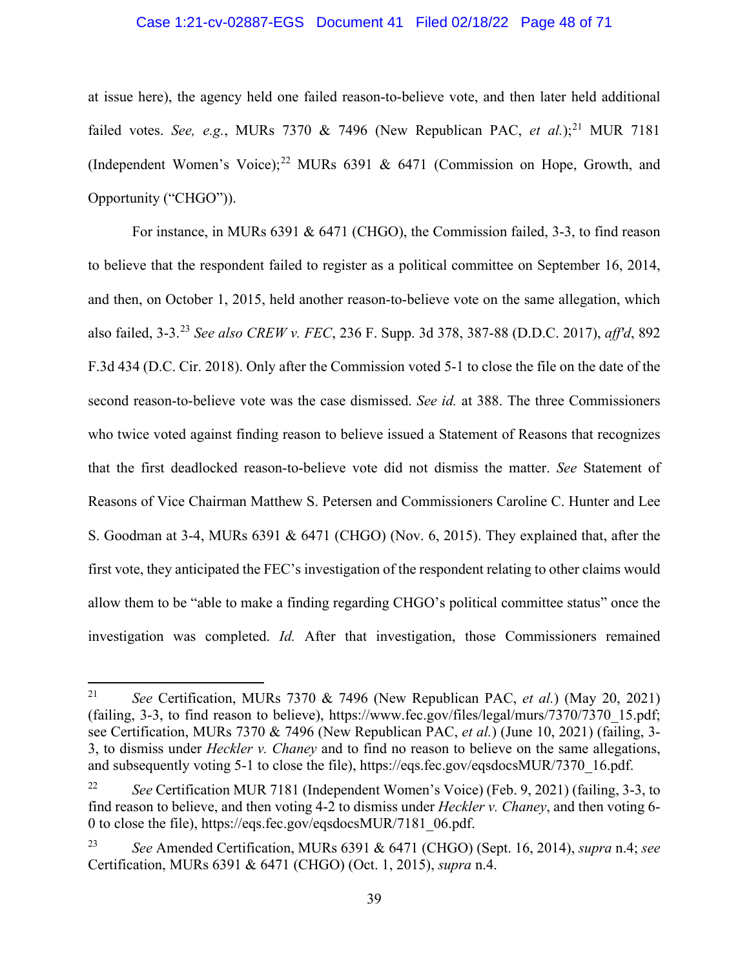#### Case 1:21-cv-02887-EGS Document 41 Filed 02/18/22 Page 48 of 71

at issue here), the agency held one failed reason-to-believe vote, and then later held additional failed votes. *See, e.g.*, MURs 7370 & 7496 (New Republican PAC, *et al.*);<sup>[21](#page-47-0)</sup> MUR 7181 (Independent Women's Voice);<sup>[22](#page-47-1)</sup> MURs 6391 & 6471 (Commission on Hope, Growth, and Opportunity ("CHGO")).

For instance, in MURs 6391 & 6471 (CHGO), the Commission failed, 3-3, to find reason to believe that the respondent failed to register as a political committee on September 16, 2014, and then, on October 1, 2015, held another reason-to-believe vote on the same allegation, which also failed, 3-3.[23](#page-47-2) *See also CREW v. FEC*, 236 F. Supp. 3d 378, 387-88 (D.D.C. 2017), *aff'd*, 892 F.3d 434 (D.C. Cir. 2018). Only after the Commission voted 5-1 to close the file on the date of the second reason-to-believe vote was the case dismissed. *See id.* at 388. The three Commissioners who twice voted against finding reason to believe issued a Statement of Reasons that recognizes that the first deadlocked reason-to-believe vote did not dismiss the matter. *See* Statement of Reasons of Vice Chairman Matthew S. Petersen and Commissioners Caroline C. Hunter and Lee S. Goodman at 3-4, MURs 6391 & 6471 (CHGO) (Nov. 6, 2015). They explained that, after the first vote, they anticipated the FEC's investigation of the respondent relating to other claims would allow them to be "able to make a finding regarding CHGO's political committee status" once the investigation was completed. *Id.* After that investigation, those Commissioners remained

<span id="page-47-0"></span><sup>21</sup> *See* Certification, MURs 7370 & 7496 (New Republican PAC, *et al.*) (May 20, 2021) (failing, 3-3, to find reason to believe), https://www.fec.gov/files/legal/murs/7370/7370\_15.pdf; see Certification, MURs 7370 & 7496 (New Republican PAC, *et al.*) (June 10, 2021) (failing, 3- 3, to dismiss under *Heckler v. Chaney* and to find no reason to believe on the same allegations, and subsequently voting 5-1 to close the file), https://eqs.fec.gov/eqsdocsMUR/7370\_16.pdf.

<span id="page-47-1"></span><sup>22</sup> *See* Certification MUR 7181 (Independent Women's Voice) (Feb. 9, 2021) (failing, 3-3, to find reason to believe, and then voting 4-2 to dismiss under *Heckler v. Chaney*, and then voting 6- 0 to close the file), https://eqs.fec.gov/eqsdocsMUR/7181\_06.pdf.

<span id="page-47-2"></span><sup>23</sup> *See* Amended Certification, MURs 6391 & 6471 (CHGO) (Sept. 16, 2014), *supra* n.4; *see* Certification, MURs 6391 & 6471 (CHGO) (Oct. 1, 2015), *supra* n.4.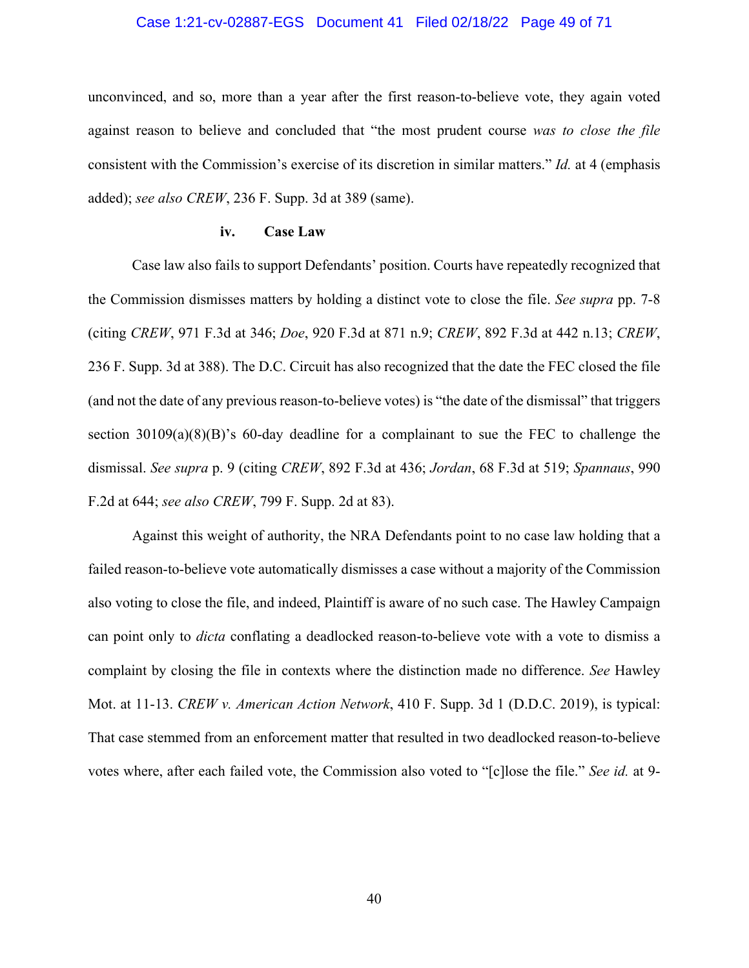#### Case 1:21-cv-02887-EGS Document 41 Filed 02/18/22 Page 49 of 71

unconvinced, and so, more than a year after the first reason-to-believe vote, they again voted against reason to believe and concluded that "the most prudent course *was to close the file* consistent with the Commission's exercise of its discretion in similar matters." *Id.* at 4 (emphasis added); *see also CREW*, 236 F. Supp. 3d at 389 (same).

#### **iv. Case Law**

Case law also fails to support Defendants' position. Courts have repeatedly recognized that the Commission dismisses matters by holding a distinct vote to close the file. *See supra* pp. 7-8 (citing *CREW*, 971 F.3d at 346; *Doe*, 920 F.3d at 871 n.9; *CREW*, 892 F.3d at 442 n.13; *CREW*, 236 F. Supp. 3d at 388). The D.C. Circuit has also recognized that the date the FEC closed the file (and not the date of any previous reason-to-believe votes) is "the date of the dismissal" that triggers section 30109(a)(8)(B)'s 60-day deadline for a complainant to sue the FEC to challenge the dismissal. *See supra* p. 9 (citing *CREW*, 892 F.3d at 436; *Jordan*, 68 F.3d at 519; *Spannaus*, 990 F.2d at 644; *see also CREW*, 799 F. Supp. 2d at 83).

Against this weight of authority, the NRA Defendants point to no case law holding that a failed reason-to-believe vote automatically dismisses a case without a majority of the Commission also voting to close the file, and indeed, Plaintiff is aware of no such case. The Hawley Campaign can point only to *dicta* conflating a deadlocked reason-to-believe vote with a vote to dismiss a complaint by closing the file in contexts where the distinction made no difference. *See* Hawley Mot. at 11-13. *CREW v. American Action Network*, 410 F. Supp. 3d 1 (D.D.C. 2019), is typical: That case stemmed from an enforcement matter that resulted in two deadlocked reason-to-believe votes where, after each failed vote, the Commission also voted to "[c]lose the file." *See id.* at 9-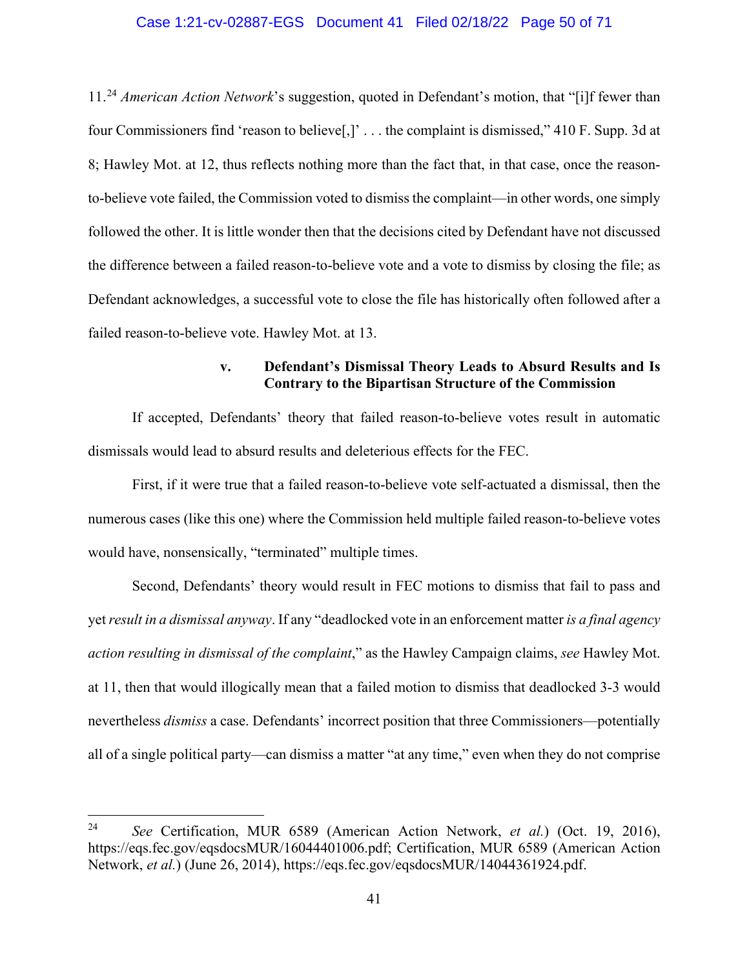#### Case 1:21-cv-02887-EGS Document 41 Filed 02/18/22 Page 50 of 71

11.[24](#page-49-0) *American Action Network*'s suggestion, quoted in Defendant's motion, that "[i]f fewer than four Commissioners find 'reason to believe[,]' . . . the complaint is dismissed," 410 F. Supp. 3d at 8; Hawley Mot. at 12, thus reflects nothing more than the fact that, in that case, once the reasonto-believe vote failed, the Commission voted to dismiss the complaint—in other words, one simply followed the other. It is little wonder then that the decisions cited by Defendant have not discussed the difference between a failed reason-to-believe vote and a vote to dismiss by closing the file; as Defendant acknowledges, a successful vote to close the file has historically often followed after a failed reason-to-believe vote. Hawley Mot. at 13.

## **v. Defendant's Dismissal Theory Leads to Absurd Results and Is Contrary to the Bipartisan Structure of the Commission**

If accepted, Defendants' theory that failed reason-to-believe votes result in automatic dismissals would lead to absurd results and deleterious effects for the FEC.

First, if it were true that a failed reason-to-believe vote self-actuated a dismissal, then the numerous cases (like this one) where the Commission held multiple failed reason-to-believe votes would have, nonsensically, "terminated" multiple times.

Second, Defendants' theory would result in FEC motions to dismiss that fail to pass and yet*result in a dismissal anyway*. If any "deadlocked vote in an enforcement matter *is a final agency action resulting in dismissal of the complaint*," as the Hawley Campaign claims, *see* Hawley Mot. at 11, then that would illogically mean that a failed motion to dismiss that deadlocked 3-3 would nevertheless *dismiss* a case. Defendants' incorrect position that three Commissioners—potentially all of a single political party—can dismiss a matter "at any time," even when they do not comprise

<span id="page-49-0"></span><sup>24</sup> *See* Certification, MUR 6589 (American Action Network, *et al.*) (Oct. 19, 2016), https://eqs.fec.gov/eqsdocsMUR/16044401006.pdf; Certification, MUR 6589 (American Action Network, *et al.*) (June 26, 2014), https://eqs.fec.gov/eqsdocsMUR/14044361924.pdf.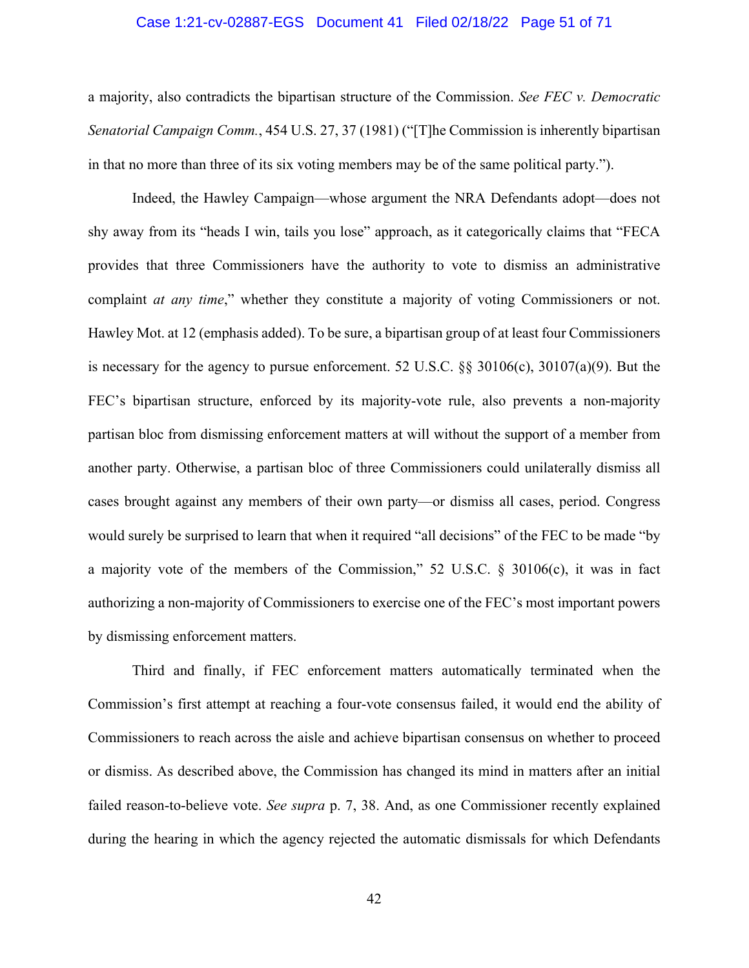#### Case 1:21-cv-02887-EGS Document 41 Filed 02/18/22 Page 51 of 71

a majority, also contradicts the bipartisan structure of the Commission. *See FEC v. Democratic Senatorial Campaign Comm.*, 454 U.S. 27, 37 (1981) ("[T]he Commission is inherently bipartisan in that no more than three of its six voting members may be of the same political party.").

Indeed, the Hawley Campaign—whose argument the NRA Defendants adopt—does not shy away from its "heads I win, tails you lose" approach, as it categorically claims that "FECA provides that three Commissioners have the authority to vote to dismiss an administrative complaint *at any time*," whether they constitute a majority of voting Commissioners or not. Hawley Mot. at 12 (emphasis added). To be sure, a bipartisan group of at least four Commissioners is necessary for the agency to pursue enforcement. 52 U.S.C. §§ 30106(c), 30107(a)(9). But the FEC's bipartisan structure, enforced by its majority-vote rule, also prevents a non-majority partisan bloc from dismissing enforcement matters at will without the support of a member from another party. Otherwise, a partisan bloc of three Commissioners could unilaterally dismiss all cases brought against any members of their own party—or dismiss all cases, period. Congress would surely be surprised to learn that when it required "all decisions" of the FEC to be made "by a majority vote of the members of the Commission," 52 U.S.C. § 30106(c), it was in fact authorizing a non-majority of Commissioners to exercise one of the FEC's most important powers by dismissing enforcement matters.

Third and finally, if FEC enforcement matters automatically terminated when the Commission's first attempt at reaching a four-vote consensus failed, it would end the ability of Commissioners to reach across the aisle and achieve bipartisan consensus on whether to proceed or dismiss. As described above, the Commission has changed its mind in matters after an initial failed reason-to-believe vote. *See supra* p. 7, 38. And, as one Commissioner recently explained during the hearing in which the agency rejected the automatic dismissals for which Defendants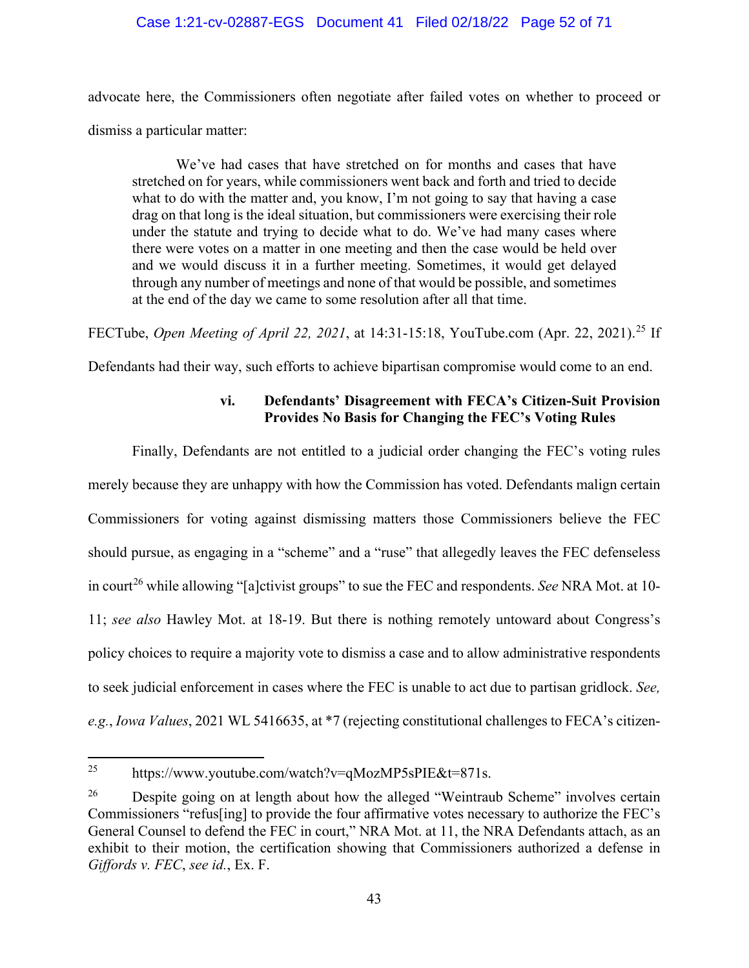### Case 1:21-cv-02887-EGS Document 41 Filed 02/18/22 Page 52 of 71

advocate here, the Commissioners often negotiate after failed votes on whether to proceed or dismiss a particular matter:

We've had cases that have stretched on for months and cases that have stretched on for years, while commissioners went back and forth and tried to decide what to do with the matter and, you know, I'm not going to say that having a case drag on that long is the ideal situation, but commissioners were exercising their role under the statute and trying to decide what to do. We've had many cases where there were votes on a matter in one meeting and then the case would be held over and we would discuss it in a further meeting. Sometimes, it would get delayed through any number of meetings and none of that would be possible, and sometimes at the end of the day we came to some resolution after all that time.

FECTube, *Open Meeting of April 22, 2021*, at 14:31-15:18, YouTube.com (Apr. 22, 2021). [25](#page-51-0) If

Defendants had their way, such efforts to achieve bipartisan compromise would come to an end.

## **vi. Defendants' Disagreement with FECA's Citizen-Suit Provision Provides No Basis for Changing the FEC's Voting Rules**

Finally, Defendants are not entitled to a judicial order changing the FEC's voting rules merely because they are unhappy with how the Commission has voted. Defendants malign certain Commissioners for voting against dismissing matters those Commissioners believe the FEC should pursue, as engaging in a "scheme" and a "ruse" that allegedly leaves the FEC defenseless in court<sup>[26](#page-51-1)</sup> while allowing "[a]ctivist groups" to sue the FEC and respondents. *See* NRA Mot. at 10-11; *see also* Hawley Mot. at 18-19. But there is nothing remotely untoward about Congress's policy choices to require a majority vote to dismiss a case and to allow administrative respondents to seek judicial enforcement in cases where the FEC is unable to act due to partisan gridlock. *See, e.g.*, *Iowa Values*, 2021 WL 5416635, at \*7 (rejecting constitutional challenges to FECA's citizen-

<span id="page-51-0"></span><sup>&</sup>lt;sup>25</sup> https://www.youtube.com/watch?v=qMozMP5sPIE&t=871s.

<span id="page-51-1"></span> $26$  Despite going on at length about how the alleged "Weintraub Scheme" involves certain Commissioners "refus[ing] to provide the four affirmative votes necessary to authorize the FEC's General Counsel to defend the FEC in court," NRA Mot. at 11, the NRA Defendants attach, as an exhibit to their motion, the certification showing that Commissioners authorized a defense in *Giffords v. FEC*, *see id.*, Ex. F.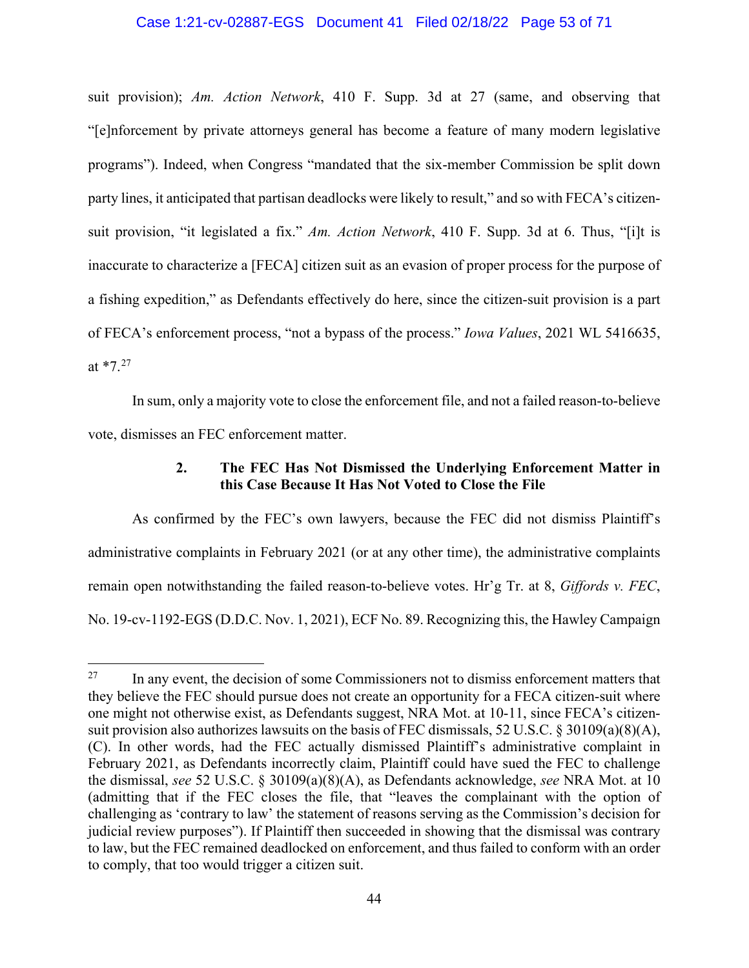#### Case 1:21-cv-02887-EGS Document 41 Filed 02/18/22 Page 53 of 71

suit provision); *Am. Action Network*, 410 F. Supp. 3d at 27 (same, and observing that "[e]nforcement by private attorneys general has become a feature of many modern legislative programs"). Indeed, when Congress "mandated that the six-member Commission be split down party lines, it anticipated that partisan deadlocks were likely to result," and so with FECA's citizensuit provision, "it legislated a fix." *Am. Action Network*, 410 F. Supp. 3d at 6. Thus, "[i]t is inaccurate to characterize a [FECA] citizen suit as an evasion of proper process for the purpose of a fishing expedition," as Defendants effectively do here, since the citizen-suit provision is a part of FECA's enforcement process, "not a bypass of the process." *Iowa Values*, 2021 WL 5416635, at  $*7.^{27}$  $*7.^{27}$  $*7.^{27}$ 

In sum, only a majority vote to close the enforcement file, and not a failed reason-to-believe vote, dismisses an FEC enforcement matter.

### **2. The FEC Has Not Dismissed the Underlying Enforcement Matter in this Case Because It Has Not Voted to Close the File**

As confirmed by the FEC's own lawyers, because the FEC did not dismiss Plaintiff's administrative complaints in February 2021 (or at any other time), the administrative complaints remain open notwithstanding the failed reason-to-believe votes. Hr'g Tr. at 8, *Giffords v. FEC*, No. 19-cv-1192-EGS (D.D.C. Nov. 1, 2021), ECF No. 89. Recognizing this, the Hawley Campaign

<span id="page-52-0"></span><sup>&</sup>lt;sup>27</sup> In any event, the decision of some Commissioners not to dismiss enforcement matters that they believe the FEC should pursue does not create an opportunity for a FECA citizen-suit where one might not otherwise exist, as Defendants suggest, NRA Mot. at 10-11, since FECA's citizensuit provision also authorizes lawsuits on the basis of FEC dismissals, 52 U.S.C. § 30109(a)(8)(A), (C). In other words, had the FEC actually dismissed Plaintiff's administrative complaint in February 2021, as Defendants incorrectly claim, Plaintiff could have sued the FEC to challenge the dismissal, *see* 52 U.S.C. § 30109(a)(8)(A), as Defendants acknowledge, *see* NRA Mot. at 10 (admitting that if the FEC closes the file, that "leaves the complainant with the option of challenging as 'contrary to law' the statement of reasons serving as the Commission's decision for judicial review purposes"). If Plaintiff then succeeded in showing that the dismissal was contrary to law, but the FEC remained deadlocked on enforcement, and thus failed to conform with an order to comply, that too would trigger a citizen suit.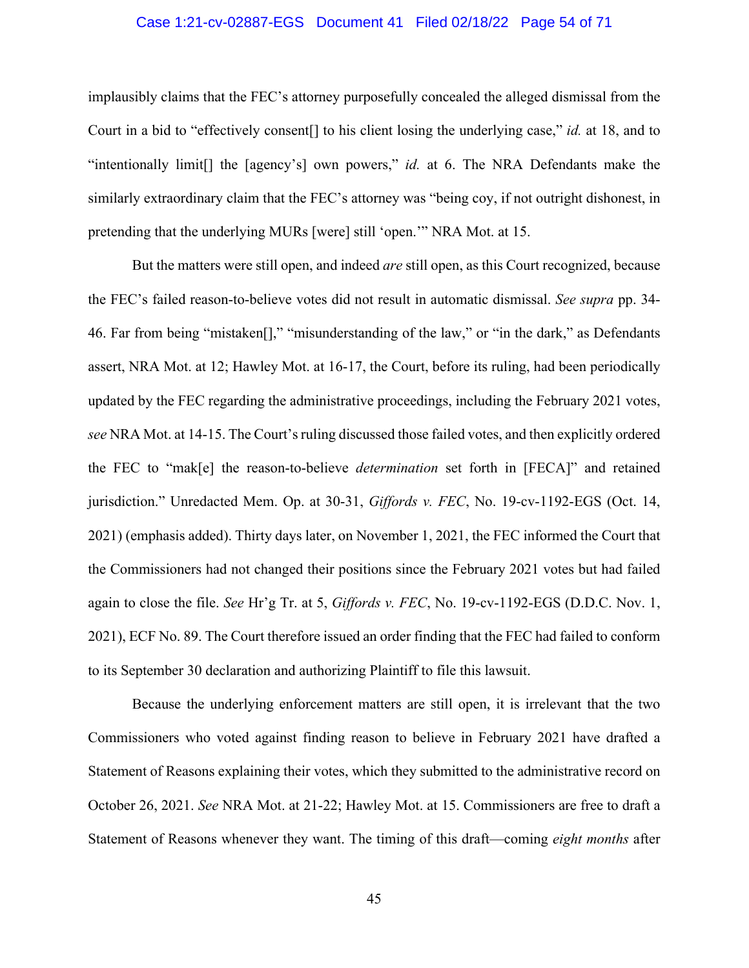#### Case 1:21-cv-02887-EGS Document 41 Filed 02/18/22 Page 54 of 71

implausibly claims that the FEC's attorney purposefully concealed the alleged dismissal from the Court in a bid to "effectively consent[] to his client losing the underlying case," *id.* at 18, and to "intentionally limit[] the [agency's] own powers," *id.* at 6. The NRA Defendants make the similarly extraordinary claim that the FEC's attorney was "being coy, if not outright dishonest, in pretending that the underlying MURs [were] still 'open.'" NRA Mot. at 15.

But the matters were still open, and indeed *are* still open, as this Court recognized, because the FEC's failed reason-to-believe votes did not result in automatic dismissal. *See supra* pp. 34- 46. Far from being "mistaken[]," "misunderstanding of the law," or "in the dark," as Defendants assert, NRA Mot. at 12; Hawley Mot. at 16-17, the Court, before its ruling, had been periodically updated by the FEC regarding the administrative proceedings, including the February 2021 votes, *see* NRA Mot. at 14-15. The Court's ruling discussed those failed votes, and then explicitly ordered the FEC to "mak[e] the reason-to-believe *determination* set forth in [FECA]" and retained jurisdiction." Unredacted Mem. Op. at 30-31, *Giffords v. FEC*, No. 19-cv-1192-EGS (Oct. 14, 2021) (emphasis added). Thirty days later, on November 1, 2021, the FEC informed the Court that the Commissioners had not changed their positions since the February 2021 votes but had failed again to close the file. *See* Hr'g Tr. at 5, *Giffords v. FEC*, No. 19-cv-1192-EGS (D.D.C. Nov. 1, 2021), ECF No. 89. The Court therefore issued an order finding that the FEC had failed to conform to its September 30 declaration and authorizing Plaintiff to file this lawsuit.

Because the underlying enforcement matters are still open, it is irrelevant that the two Commissioners who voted against finding reason to believe in February 2021 have drafted a Statement of Reasons explaining their votes, which they submitted to the administrative record on October 26, 2021. *See* NRA Mot. at 21-22; Hawley Mot. at 15. Commissioners are free to draft a Statement of Reasons whenever they want. The timing of this draft—coming *eight months* after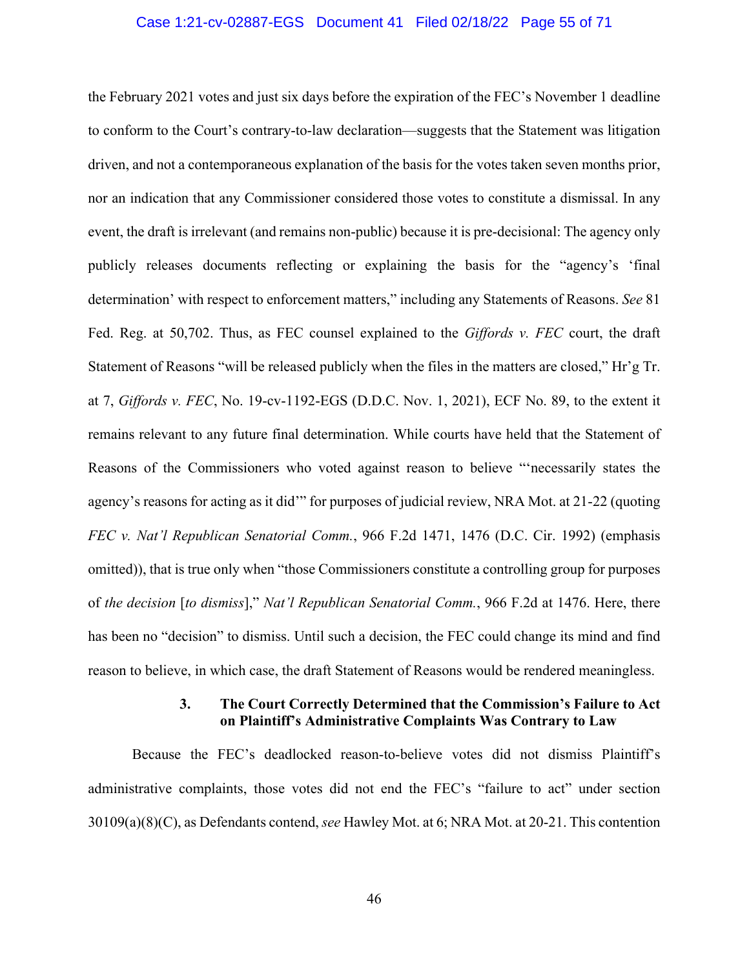#### Case 1:21-cv-02887-EGS Document 41 Filed 02/18/22 Page 55 of 71

the February 2021 votes and just six days before the expiration of the FEC's November 1 deadline to conform to the Court's contrary-to-law declaration—suggests that the Statement was litigation driven, and not a contemporaneous explanation of the basis for the votes taken seven months prior, nor an indication that any Commissioner considered those votes to constitute a dismissal. In any event, the draft is irrelevant (and remains non-public) because it is pre-decisional: The agency only publicly releases documents reflecting or explaining the basis for the "agency's 'final determination' with respect to enforcement matters," including any Statements of Reasons. *See* 81 Fed. Reg. at 50,702. Thus, as FEC counsel explained to the *Giffords v. FEC* court, the draft Statement of Reasons "will be released publicly when the files in the matters are closed," Hr'g Tr. at 7, *Giffords v. FEC*, No. 19-cv-1192-EGS (D.D.C. Nov. 1, 2021), ECF No. 89, to the extent it remains relevant to any future final determination. While courts have held that the Statement of Reasons of the Commissioners who voted against reason to believe "'necessarily states the agency's reasons for acting as it did'" for purposes of judicial review, NRA Mot. at 21-22 (quoting *FEC v. Nat'l Republican Senatorial Comm.*, 966 F.2d 1471, 1476 (D.C. Cir. 1992) (emphasis omitted)), that is true only when "those Commissioners constitute a controlling group for purposes of *the decision* [*to dismiss*]," *Nat'l Republican Senatorial Comm.*, 966 F.2d at 1476. Here, there has been no "decision" to dismiss. Until such a decision, the FEC could change its mind and find reason to believe, in which case, the draft Statement of Reasons would be rendered meaningless.

## **3. The Court Correctly Determined that the Commission's Failure to Act on Plaintiff's Administrative Complaints Was Contrary to Law**

Because the FEC's deadlocked reason-to-believe votes did not dismiss Plaintiff's administrative complaints, those votes did not end the FEC's "failure to act" under section 30109(a)(8)(C), as Defendants contend, *see* Hawley Mot. at 6; NRA Mot. at 20-21. This contention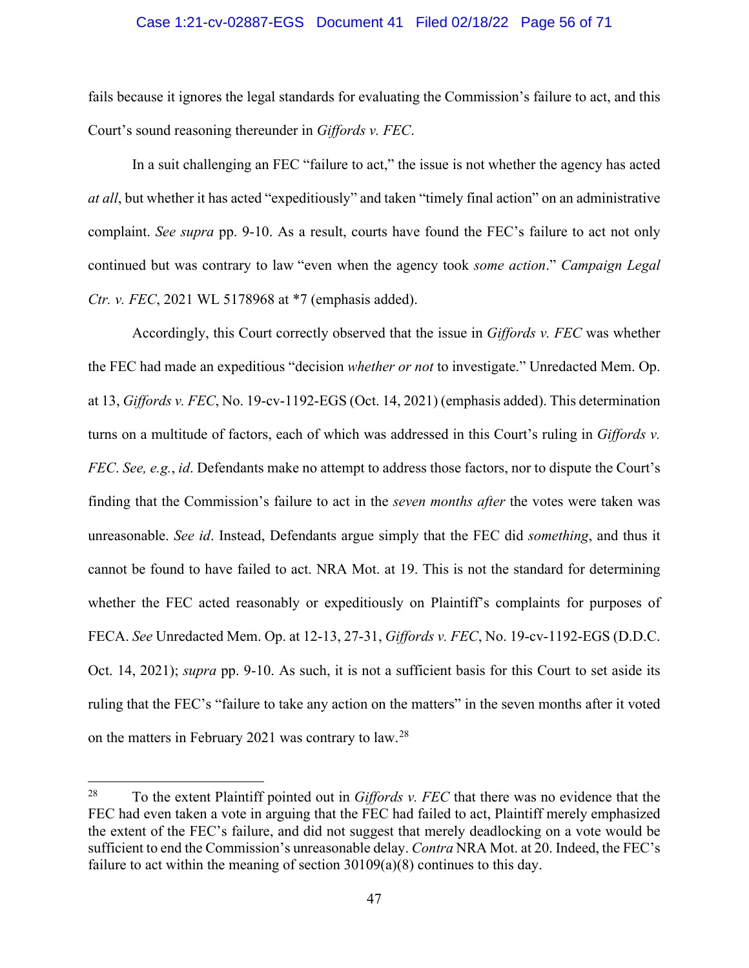#### Case 1:21-cv-02887-EGS Document 41 Filed 02/18/22 Page 56 of 71

fails because it ignores the legal standards for evaluating the Commission's failure to act, and this Court's sound reasoning thereunder in *Giffords v. FEC*.

In a suit challenging an FEC "failure to act," the issue is not whether the agency has acted *at all*, but whether it has acted "expeditiously" and taken "timely final action" on an administrative complaint. *See supra* pp. 9-10. As a result, courts have found the FEC's failure to act not only continued but was contrary to law "even when the agency took *some action*." *Campaign Legal Ctr. v. FEC*, 2021 WL 5178968 at \*7 (emphasis added).

Accordingly, this Court correctly observed that the issue in *Giffords v. FEC* was whether the FEC had made an expeditious "decision *whether or not* to investigate." Unredacted Mem. Op. at 13, *Giffords v. FEC*, No. 19-cv-1192-EGS (Oct. 14, 2021) (emphasis added). This determination turns on a multitude of factors, each of which was addressed in this Court's ruling in *Giffords v. FEC*. *See, e.g.*, *id*. Defendants make no attempt to address those factors, nor to dispute the Court's finding that the Commission's failure to act in the *seven months after* the votes were taken was unreasonable. *See id*. Instead, Defendants argue simply that the FEC did *something*, and thus it cannot be found to have failed to act. NRA Mot. at 19. This is not the standard for determining whether the FEC acted reasonably or expeditiously on Plaintiff's complaints for purposes of FECA. *See* Unredacted Mem. Op. at 12-13, 27-31, *Giffords v. FEC*, No. 19-cv-1192-EGS (D.D.C. Oct. 14, 2021); *supra* pp. 9-10. As such, it is not a sufficient basis for this Court to set aside its ruling that the FEC's "failure to take any action on the matters" in the seven months after it voted on the matters in February 2021 was contrary to law.<sup>[28](#page-55-0)</sup>

<span id="page-55-0"></span><sup>28</sup> To the extent Plaintiff pointed out in *Giffords v. FEC* that there was no evidence that the FEC had even taken a vote in arguing that the FEC had failed to act, Plaintiff merely emphasized the extent of the FEC's failure, and did not suggest that merely deadlocking on a vote would be sufficient to end the Commission's unreasonable delay. *Contra* NRA Mot. at 20. Indeed, the FEC's failure to act within the meaning of section 30109(a)(8) continues to this day.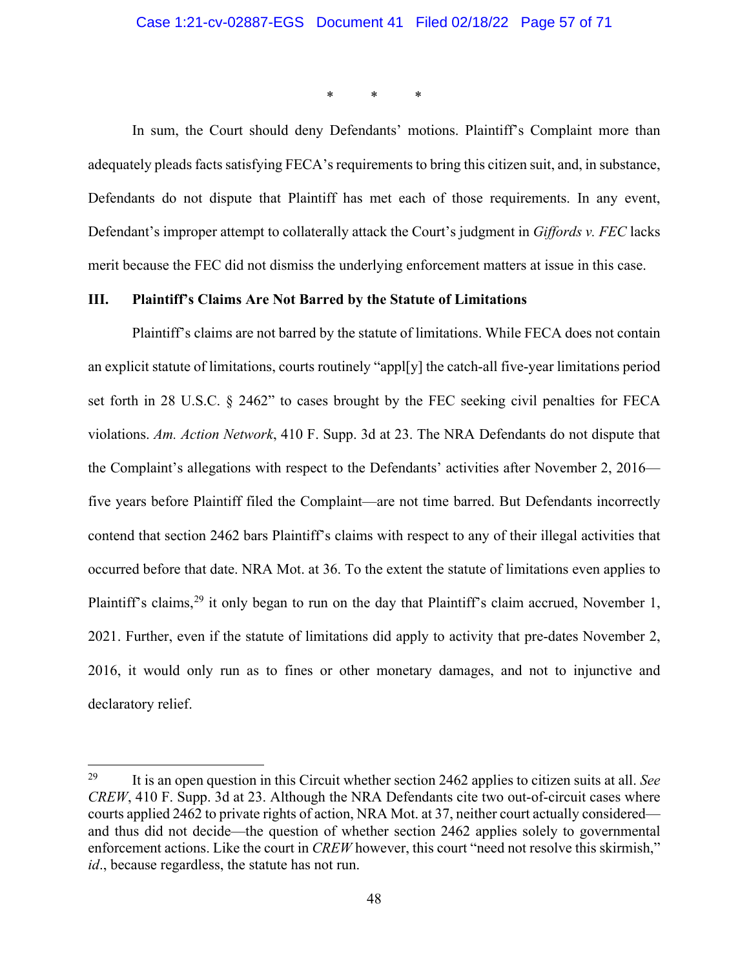\* \* \*

In sum, the Court should deny Defendants' motions. Plaintiff's Complaint more than adequately pleads facts satisfying FECA's requirements to bring this citizen suit, and, in substance, Defendants do not dispute that Plaintiff has met each of those requirements. In any event, Defendant's improper attempt to collaterally attack the Court's judgment in *Giffords v. FEC* lacks merit because the FEC did not dismiss the underlying enforcement matters at issue in this case.

#### **III. Plaintiff's Claims Are Not Barred by the Statute of Limitations**

Plaintiff's claims are not barred by the statute of limitations. While FECA does not contain an explicit statute of limitations, courts routinely "appl[y] the catch-all five-year limitations period set forth in 28 U.S.C. § 2462" to cases brought by the FEC seeking civil penalties for FECA violations. *Am. Action Network*, 410 F. Supp. 3d at 23. The NRA Defendants do not dispute that the Complaint's allegations with respect to the Defendants' activities after November 2, 2016 five years before Plaintiff filed the Complaint—are not time barred. But Defendants incorrectly contend that section 2462 bars Plaintiff's claims with respect to any of their illegal activities that occurred before that date. NRA Mot. at 36. To the extent the statute of limitations even applies to Plaintiff's claims,<sup>[29](#page-56-0)</sup> it only began to run on the day that Plaintiff's claim accrued, November 1, 2021. Further, even if the statute of limitations did apply to activity that pre-dates November 2, 2016, it would only run as to fines or other monetary damages, and not to injunctive and declaratory relief.

<span id="page-56-0"></span><sup>29</sup> It is an open question in this Circuit whether section 2462 applies to citizen suits at all. *See CREW*, 410 F. Supp. 3d at 23. Although the NRA Defendants cite two out-of-circuit cases where courts applied 2462 to private rights of action, NRA Mot. at 37, neither court actually considered and thus did not decide—the question of whether section 2462 applies solely to governmental enforcement actions. Like the court in *CREW* however, this court "need not resolve this skirmish," *id*., because regardless, the statute has not run.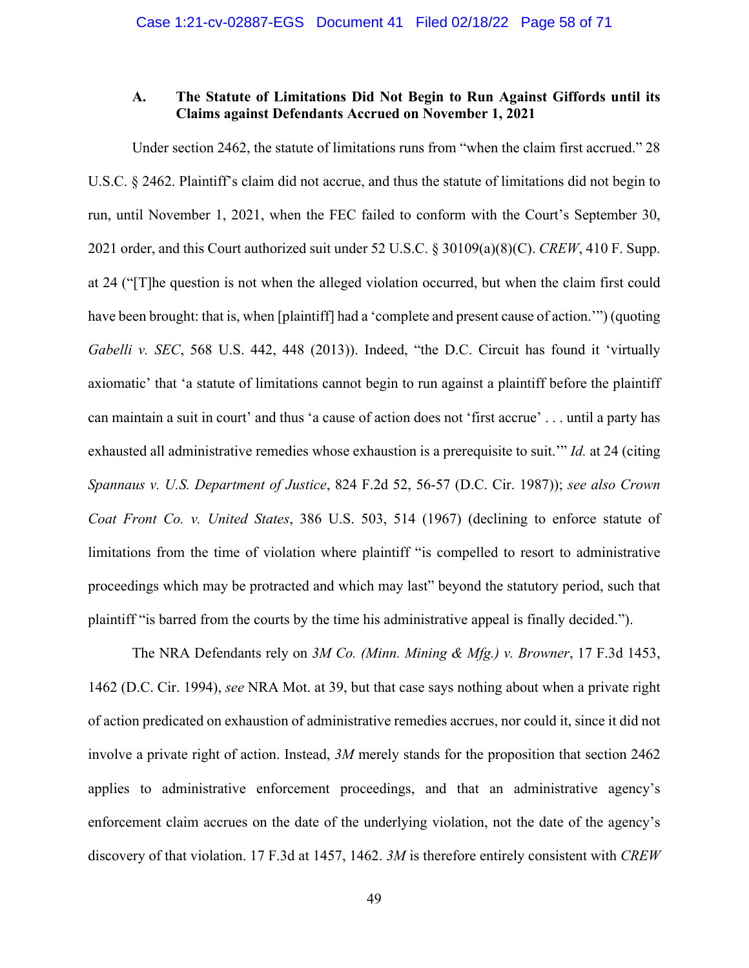## **A. The Statute of Limitations Did Not Begin to Run Against Giffords until its Claims against Defendants Accrued on November 1, 2021**

Under section 2462, the statute of limitations runs from "when the claim first accrued." 28 U.S.C. § 2462. Plaintiff's claim did not accrue, and thus the statute of limitations did not begin to run, until November 1, 2021, when the FEC failed to conform with the Court's September 30, 2021 order, and this Court authorized suit under 52 U.S.C. § 30109(a)(8)(C). *CREW*, 410 F. Supp. at 24 ("[T]he question is not when the alleged violation occurred, but when the claim first could have been brought: that is, when [plaintiff] had a 'complete and present cause of action.'") (quoting *Gabelli v. SEC*, 568 U.S. 442, 448 (2013)). Indeed, "the D.C. Circuit has found it 'virtually axiomatic' that 'a statute of limitations cannot begin to run against a plaintiff before the plaintiff can maintain a suit in court' and thus 'a cause of action does not 'first accrue' . . . until a party has exhausted all administrative remedies whose exhaustion is a prerequisite to suit.'" *Id.* at 24 (citing *Spannaus v. U.S. Department of Justice*, 824 F.2d 52, 56-57 (D.C. Cir. 1987)); *see also Crown Coat Front Co. v. United States*, 386 U.S. 503, 514 (1967) (declining to enforce statute of limitations from the time of violation where plaintiff "is compelled to resort to administrative proceedings which may be protracted and which may last" beyond the statutory period, such that plaintiff "is barred from the courts by the time his administrative appeal is finally decided.").

The NRA Defendants rely on *3M Co. (Minn. Mining & Mfg.) v. Browner*, 17 F.3d 1453, 1462 (D.C. Cir. 1994), *see* NRA Mot. at 39, but that case says nothing about when a private right of action predicated on exhaustion of administrative remedies accrues, nor could it, since it did not involve a private right of action. Instead, *3M* merely stands for the proposition that section 2462 applies to administrative enforcement proceedings, and that an administrative agency's enforcement claim accrues on the date of the underlying violation, not the date of the agency's discovery of that violation. 17 F.3d at 1457, 1462. *3M* is therefore entirely consistent with *CREW*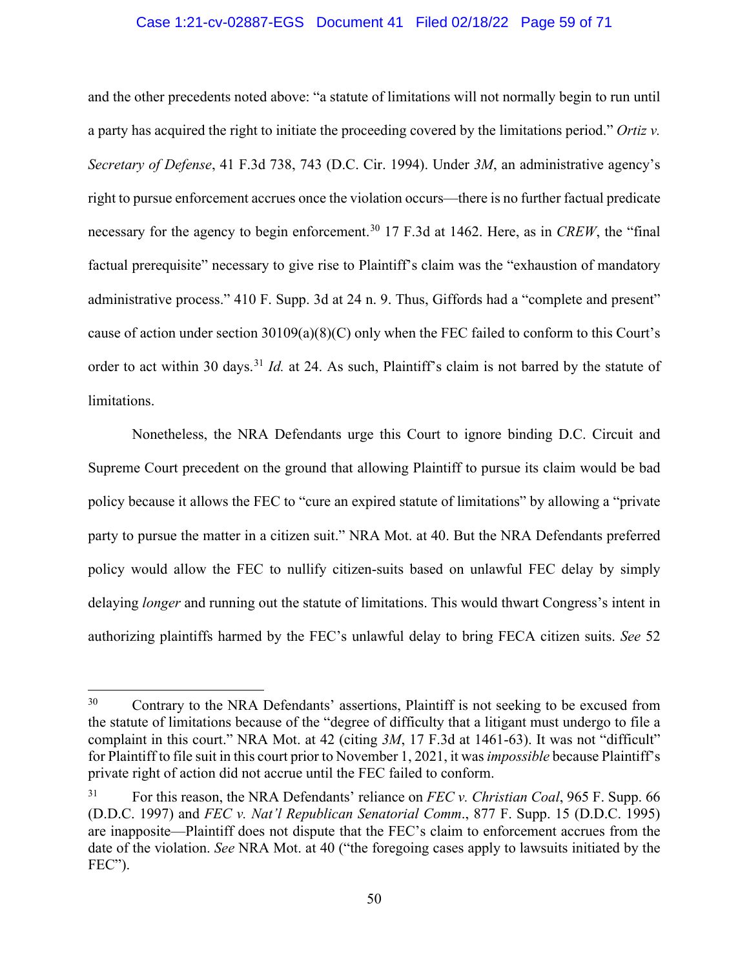#### Case 1:21-cv-02887-EGS Document 41 Filed 02/18/22 Page 59 of 71

and the other precedents noted above: "a statute of limitations will not normally begin to run until a party has acquired the right to initiate the proceeding covered by the limitations period." *Ortiz v. Secretary of Defense*, 41 F.3d 738, 743 (D.C. Cir. 1994). Under *3M*, an administrative agency's right to pursue enforcement accrues once the violation occurs—there is no further factual predicate necessary for the agency to begin enforcement.<sup>[30](#page-58-0)</sup> 17 F.3d at 1462. Here, as in *CREW*, the "final" factual prerequisite" necessary to give rise to Plaintiff's claim was the "exhaustion of mandatory administrative process." 410 F. Supp. 3d at 24 n. 9. Thus, Giffords had a "complete and present" cause of action under section 30109(a)(8)(C) only when the FEC failed to conform to this Court's order to act within 30 days.<sup>[31](#page-58-1)</sup> *Id.* at 24. As such, Plaintiff's claim is not barred by the statute of limitations.

Nonetheless, the NRA Defendants urge this Court to ignore binding D.C. Circuit and Supreme Court precedent on the ground that allowing Plaintiff to pursue its claim would be bad policy because it allows the FEC to "cure an expired statute of limitations" by allowing a "private party to pursue the matter in a citizen suit." NRA Mot. at 40. But the NRA Defendants preferred policy would allow the FEC to nullify citizen-suits based on unlawful FEC delay by simply delaying *longer* and running out the statute of limitations. This would thwart Congress's intent in authorizing plaintiffs harmed by the FEC's unlawful delay to bring FECA citizen suits. *See* 52

<span id="page-58-0"></span><sup>&</sup>lt;sup>30</sup> Contrary to the NRA Defendants' assertions, Plaintiff is not seeking to be excused from the statute of limitations because of the "degree of difficulty that a litigant must undergo to file a complaint in this court." NRA Mot. at 42 (citing *3M*, 17 F.3d at 1461-63). It was not "difficult" for Plaintiff to file suit in this court prior to November 1, 2021, it was *impossible* because Plaintiff's private right of action did not accrue until the FEC failed to conform.

<span id="page-58-1"></span><sup>31</sup> For this reason, the NRA Defendants' reliance on *FEC v. Christian Coal*, 965 F. Supp. 66 (D.D.C. 1997) and *FEC v. Nat'l Republican Senatorial Comm*., 877 F. Supp. 15 (D.D.C. 1995) are inapposite—Plaintiff does not dispute that the FEC's claim to enforcement accrues from the date of the violation. *See* NRA Mot. at 40 ("the foregoing cases apply to lawsuits initiated by the FEC").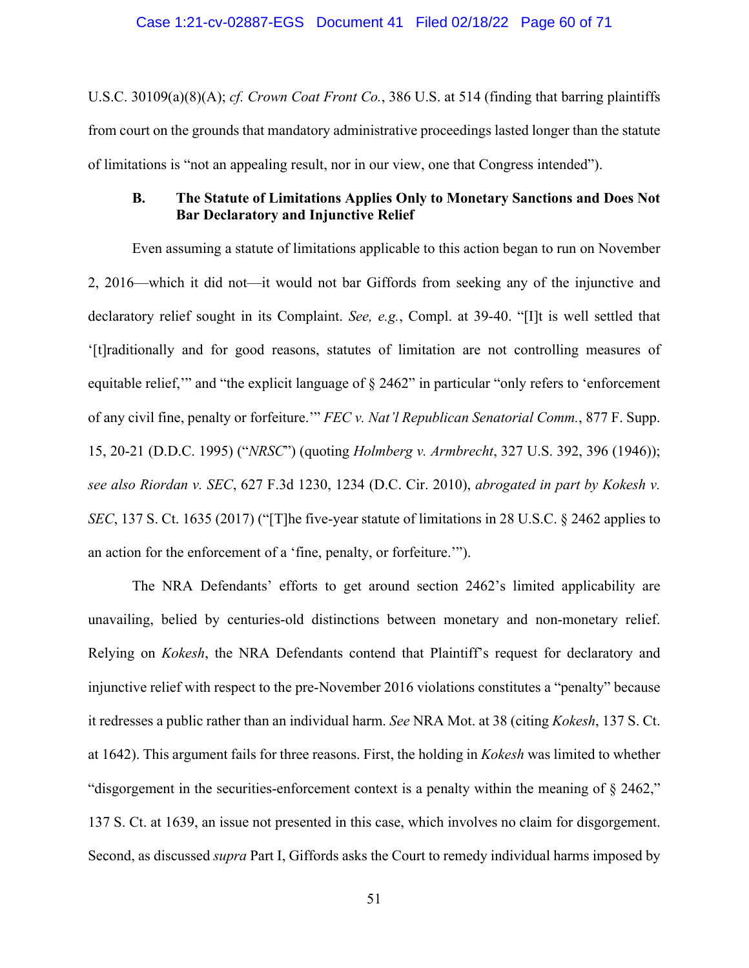U.S.C. 30109(a)(8)(A); *cf. Crown Coat Front Co.*, 386 U.S. at 514 (finding that barring plaintiffs from court on the grounds that mandatory administrative proceedings lasted longer than the statute of limitations is "not an appealing result, nor in our view, one that Congress intended").

## **B. The Statute of Limitations Applies Only to Monetary Sanctions and Does Not Bar Declaratory and Injunctive Relief**

Even assuming a statute of limitations applicable to this action began to run on November 2, 2016—which it did not—it would not bar Giffords from seeking any of the injunctive and declaratory relief sought in its Complaint. *See, e.g.*, Compl. at 39-40. "[I]t is well settled that '[t]raditionally and for good reasons, statutes of limitation are not controlling measures of equitable relief," and "the explicit language of  $\S$  2462" in particular "only refers to 'enforcement of any civil fine, penalty or forfeiture.'" *FEC v. Nat'l Republican Senatorial Comm.*, 877 F. Supp. 15, 20-21 (D.D.C. 1995) ("*NRSC*") (quoting *Holmberg v. Armbrecht*, 327 U.S. 392, 396 (1946)); *see also Riordan v. SEC*, 627 F.3d 1230, 1234 (D.C. Cir. 2010), *abrogated in part by Kokesh v. SEC*, 137 S. Ct. 1635 (2017) ("The five-year statute of limitations in 28 U.S.C. § 2462 applies to an action for the enforcement of a 'fine, penalty, or forfeiture.'").

The NRA Defendants' efforts to get around section 2462's limited applicability are unavailing, belied by centuries-old distinctions between monetary and non-monetary relief. Relying on *Kokesh*, the NRA Defendants contend that Plaintiff's request for declaratory and injunctive relief with respect to the pre-November 2016 violations constitutes a "penalty" because it redresses a public rather than an individual harm. *See* NRA Mot. at 38 (citing *Kokesh*, 137 S. Ct. at 1642). This argument fails for three reasons. First, the holding in *Kokesh* was limited to whether "disgorgement in the securities-enforcement context is a penalty within the meaning of § 2462," 137 S. Ct. at 1639, an issue not presented in this case, which involves no claim for disgorgement. Second, as discussed *supra* Part I, Giffords asks the Court to remedy individual harms imposed by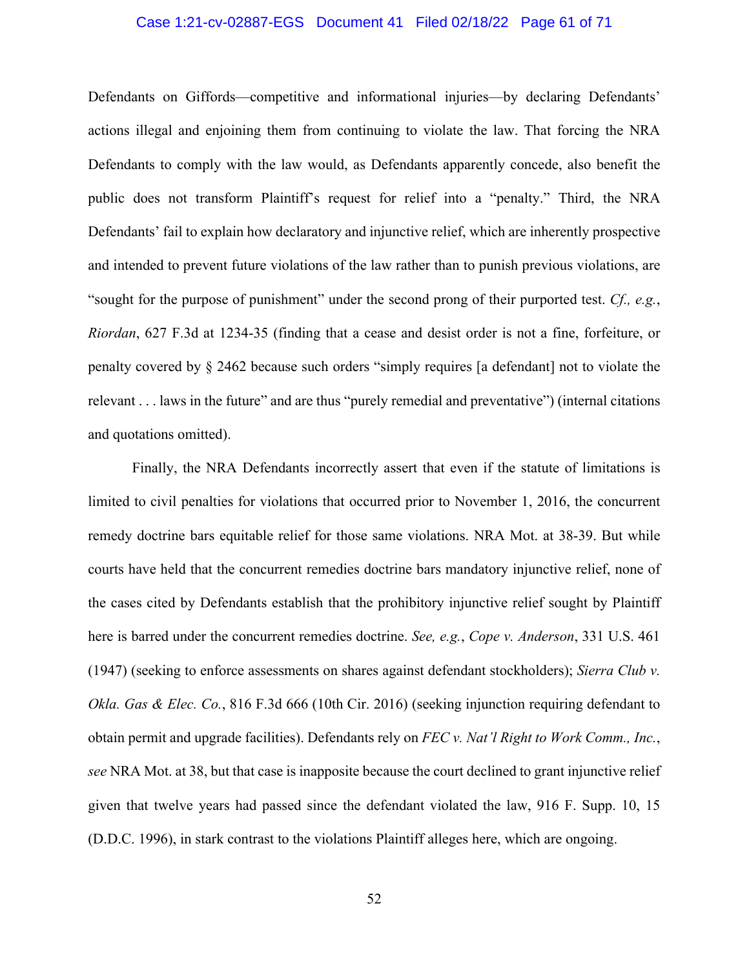#### Case 1:21-cv-02887-EGS Document 41 Filed 02/18/22 Page 61 of 71

Defendants on Giffords—competitive and informational injuries—by declaring Defendants' actions illegal and enjoining them from continuing to violate the law. That forcing the NRA Defendants to comply with the law would, as Defendants apparently concede, also benefit the public does not transform Plaintiff's request for relief into a "penalty." Third, the NRA Defendants' fail to explain how declaratory and injunctive relief, which are inherently prospective and intended to prevent future violations of the law rather than to punish previous violations, are "sought for the purpose of punishment" under the second prong of their purported test. *Cf., e.g.*, *Riordan*, 627 F.3d at 1234-35 (finding that a cease and desist order is not a fine, forfeiture, or penalty covered by § 2462 because such orders "simply requires [a defendant] not to violate the relevant . . . laws in the future" and are thus "purely remedial and preventative") (internal citations and quotations omitted).

Finally, the NRA Defendants incorrectly assert that even if the statute of limitations is limited to civil penalties for violations that occurred prior to November 1, 2016, the concurrent remedy doctrine bars equitable relief for those same violations. NRA Mot. at 38-39. But while courts have held that the concurrent remedies doctrine bars mandatory injunctive relief, none of the cases cited by Defendants establish that the prohibitory injunctive relief sought by Plaintiff here is barred under the concurrent remedies doctrine. *See, e.g.*, *Cope v. Anderson*, 331 U.S. 461 (1947) (seeking to enforce assessments on shares against defendant stockholders); *Sierra Club v. Okla. Gas & Elec. Co.*, 816 F.3d 666 (10th Cir. 2016) (seeking injunction requiring defendant to obtain permit and upgrade facilities). Defendants rely on *FEC v. Nat'l Right to Work Comm., Inc.*, *see* NRA Mot. at 38, but that case is inapposite because the court declined to grant injunctive relief given that twelve years had passed since the defendant violated the law, 916 F. Supp. 10, 15 (D.D.C. 1996), in stark contrast to the violations Plaintiff alleges here, which are ongoing.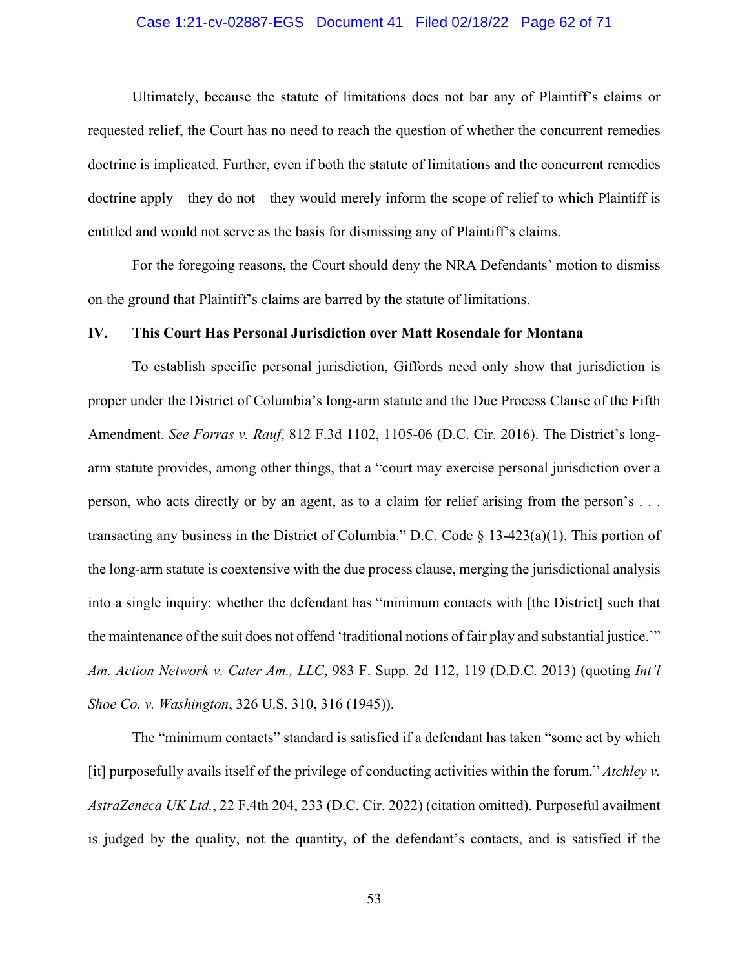#### Case 1:21-cv-02887-EGS Document 41 Filed 02/18/22 Page 62 of 71

Ultimately, because the statute of limitations does not bar any of Plaintiff's claims or requested relief, the Court has no need to reach the question of whether the concurrent remedies doctrine is implicated. Further, even if both the statute of limitations and the concurrent remedies doctrine apply—they do not—they would merely inform the scope of relief to which Plaintiff is entitled and would not serve as the basis for dismissing any of Plaintiff's claims.

For the foregoing reasons, the Court should deny the NRA Defendants' motion to dismiss on the ground that Plaintiff's claims are barred by the statute of limitations.

#### **IV. This Court Has Personal Jurisdiction over Matt Rosendale for Montana**

To establish specific personal jurisdiction, Giffords need only show that jurisdiction is proper under the District of Columbia's long-arm statute and the Due Process Clause of the Fifth Amendment. *See Forras v. Rauf*, 812 F.3d 1102, 1105-06 (D.C. Cir. 2016). The District's longarm statute provides, among other things, that a "court may exercise personal jurisdiction over a person, who acts directly or by an agent, as to a claim for relief arising from the person's . . . transacting any business in the District of Columbia." D.C. Code § 13-423(a)(1). This portion of the long-arm statute is coextensive with the due process clause, merging the jurisdictional analysis into a single inquiry: whether the defendant has "minimum contacts with [the District] such that the maintenance of the suit does not offend 'traditional notions of fair play and substantial justice.'" *Am. Action Network v. Cater Am., LLC*, 983 F. Supp. 2d 112, 119 (D.D.C. 2013) (quoting *Int'l Shoe Co. v. Washington*, 326 U.S. 310, 316 (1945)).

The "minimum contacts" standard is satisfied if a defendant has taken "some act by which [it] purposefully avails itself of the privilege of conducting activities within the forum." *Atchley v. AstraZeneca UK Ltd.*, 22 F.4th 204, 233 (D.C. Cir. 2022) (citation omitted). Purposeful availment is judged by the quality, not the quantity, of the defendant's contacts, and is satisfied if the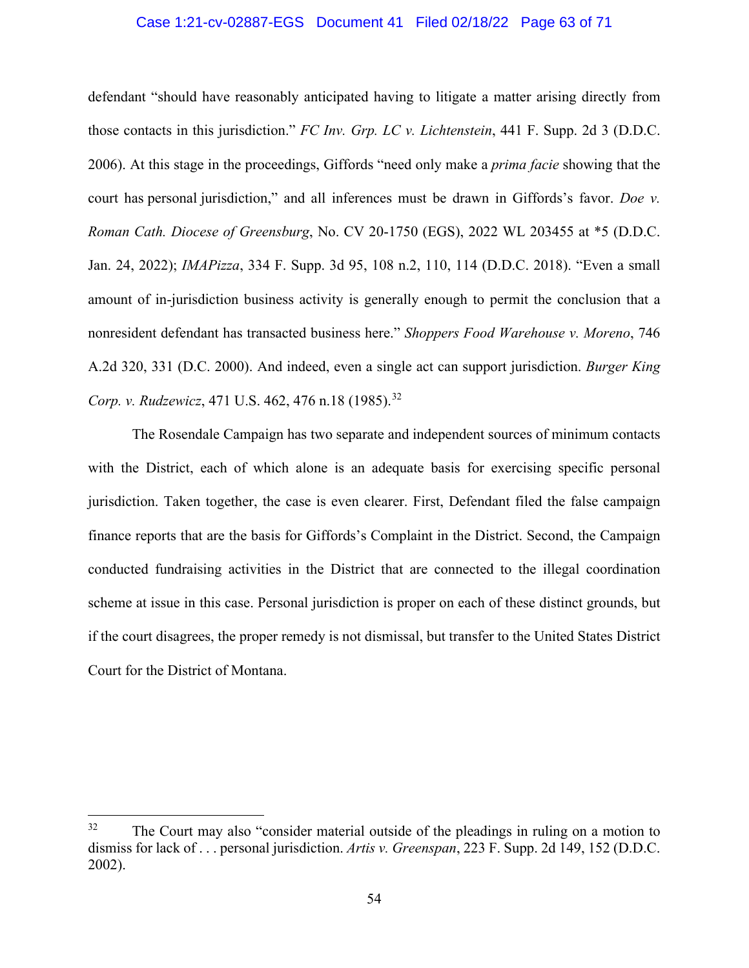#### Case 1:21-cv-02887-EGS Document 41 Filed 02/18/22 Page 63 of 71

defendant "should have reasonably anticipated having to litigate a matter arising directly from those contacts in this jurisdiction." *FC Inv. Grp. LC v. Lichtenstein*, 441 F. Supp. 2d 3 (D.D.C. 2006). At this stage in the proceedings, Giffords "need only make a *prima facie* showing that the court has personal jurisdiction," and all inferences must be drawn in Giffords's favor. *Doe v. Roman Cath. Diocese of Greensburg*, No. CV 20-1750 (EGS), 2022 WL 203455 at \*5 (D.D.C. Jan. 24, 2022); *IMAPizza*, 334 F. Supp. 3d 95, 108 n.2, 110, 114 (D.D.C. 2018). "Even a small amount of in-jurisdiction business activity is generally enough to permit the conclusion that a nonresident defendant has transacted business here." *Shoppers Food Warehouse v. Moreno*, 746 A.2d 320, 331 (D.C. 2000). And indeed, even a single act can support jurisdiction. *Burger King Corp. v. Rudzewicz*, 471 U.S. 462, 476 n.18 (1985).<sup>[32](#page-62-0)</sup>

The Rosendale Campaign has two separate and independent sources of minimum contacts with the District, each of which alone is an adequate basis for exercising specific personal jurisdiction. Taken together, the case is even clearer. First, Defendant filed the false campaign finance reports that are the basis for Giffords's Complaint in the District. Second, the Campaign conducted fundraising activities in the District that are connected to the illegal coordination scheme at issue in this case. Personal jurisdiction is proper on each of these distinct grounds, but if the court disagrees, the proper remedy is not dismissal, but transfer to the United States District Court for the District of Montana.

<span id="page-62-0"></span> $32$  The Court may also "consider material outside of the pleadings in ruling on a motion to dismiss for lack of . . . personal jurisdiction. *Artis v. Greenspan*, 223 F. Supp. 2d 149, 152 (D.D.C. 2002).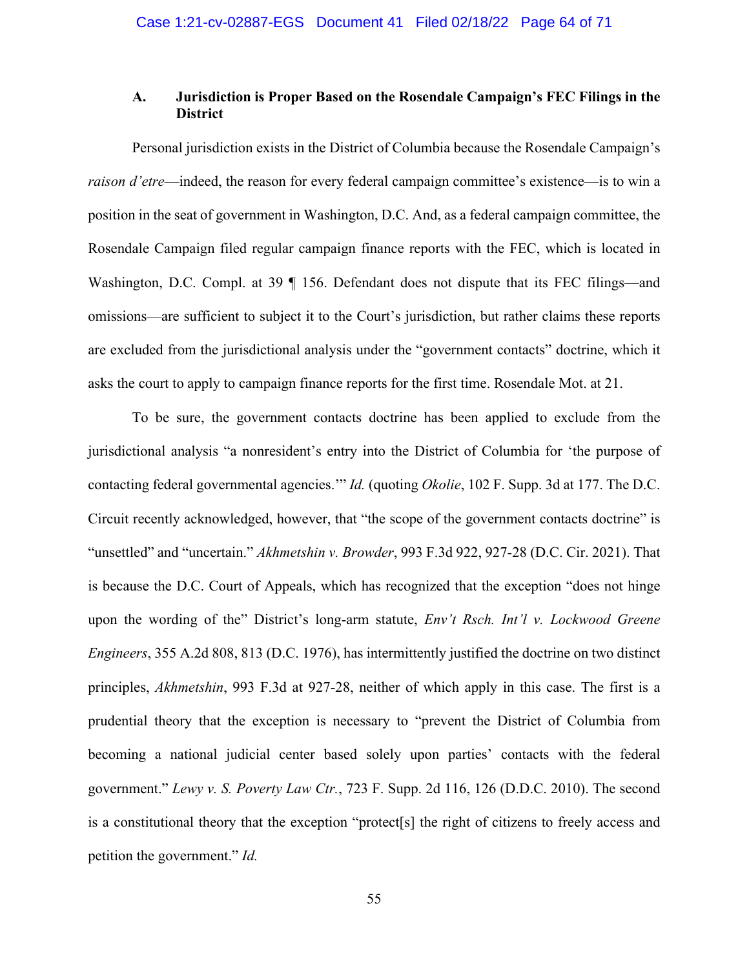## **A. Jurisdiction is Proper Based on the Rosendale Campaign's FEC Filings in the District**

Personal jurisdiction exists in the District of Columbia because the Rosendale Campaign's *raison d'etre*—indeed, the reason for every federal campaign committee's existence—is to win a position in the seat of government in Washington, D.C. And, as a federal campaign committee, the Rosendale Campaign filed regular campaign finance reports with the FEC, which is located in Washington, D.C. Compl. at 39 ¶ 156. Defendant does not dispute that its FEC filings—and omissions—are sufficient to subject it to the Court's jurisdiction, but rather claims these reports are excluded from the jurisdictional analysis under the "government contacts" doctrine, which it asks the court to apply to campaign finance reports for the first time. Rosendale Mot. at 21.

To be sure, the government contacts doctrine has been applied to exclude from the jurisdictional analysis "a nonresident's entry into the District of Columbia for 'the purpose of contacting federal governmental agencies.'" *Id.* (quoting *Okolie*, 102 F. Supp. 3d at 177. The D.C. Circuit recently acknowledged, however, that "the scope of the government contacts doctrine" is "unsettled" and "uncertain." *Akhmetshin v. Browder*, 993 F.3d 922, 927-28 (D.C. Cir. 2021). That is because the D.C. Court of Appeals, which has recognized that the exception "does not hinge upon the wording of the" District's long-arm statute, *Env't Rsch. Int'l v. Lockwood Greene Engineers*, 355 A.2d 808, 813 (D.C. 1976), has intermittently justified the doctrine on two distinct principles, *Akhmetshin*, 993 F.3d at 927-28, neither of which apply in this case. The first is a prudential theory that the exception is necessary to "prevent the District of Columbia from becoming a national judicial center based solely upon parties' contacts with the federal government." *Lewy v. S. Poverty Law Ctr.*, 723 F. Supp. 2d 116, 126 (D.D.C. 2010). The second is a constitutional theory that the exception "protect[s] the right of citizens to freely access and petition the government." *Id.*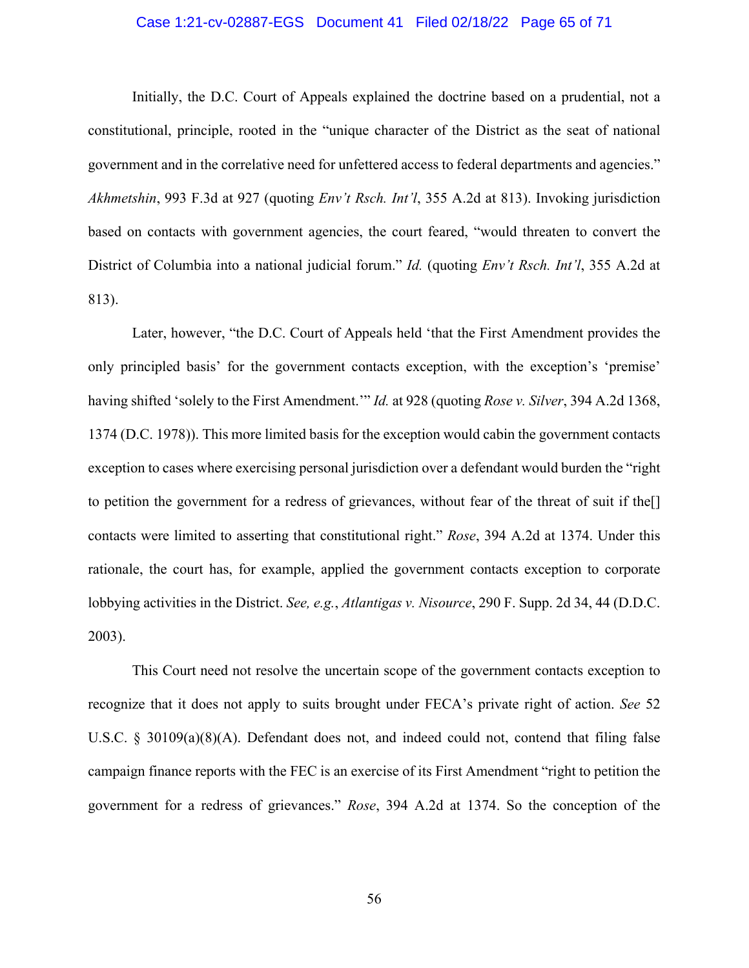#### Case 1:21-cv-02887-EGS Document 41 Filed 02/18/22 Page 65 of 71

Initially, the D.C. Court of Appeals explained the doctrine based on a prudential, not a constitutional, principle, rooted in the "unique character of the District as the seat of national government and in the correlative need for unfettered access to federal departments and agencies." *Akhmetshin*, 993 F.3d at 927 (quoting *Env't Rsch. Int'l*, 355 A.2d at 813). Invoking jurisdiction based on contacts with government agencies, the court feared, "would threaten to convert the District of Columbia into a national judicial forum." *Id.* (quoting *Env't Rsch. Int'l*, 355 A.2d at 813).

Later, however, "the D.C. Court of Appeals held 'that the First Amendment provides the only principled basis' for the government contacts exception, with the exception's 'premise' having shifted 'solely to the First Amendment.'" *Id.* at 928 (quoting *Rose v. Silver*, 394 A.2d 1368, 1374 (D.C. 1978)). This more limited basis for the exception would cabin the government contacts exception to cases where exercising personal jurisdiction over a defendant would burden the "right to petition the government for a redress of grievances, without fear of the threat of suit if the[] contacts were limited to asserting that constitutional right." *Rose*, 394 A.2d at 1374. Under this rationale, the court has, for example, applied the government contacts exception to corporate lobbying activities in the District. *See, e.g.*, *Atlantigas v. Nisource*, 290 F. Supp. 2d 34, 44 (D.D.C. 2003).

This Court need not resolve the uncertain scope of the government contacts exception to recognize that it does not apply to suits brought under FECA's private right of action. *See* 52 U.S.C. § 30109(a)(8)(A). Defendant does not, and indeed could not, contend that filing false campaign finance reports with the FEC is an exercise of its First Amendment "right to petition the government for a redress of grievances." *Rose*, 394 A.2d at 1374. So the conception of the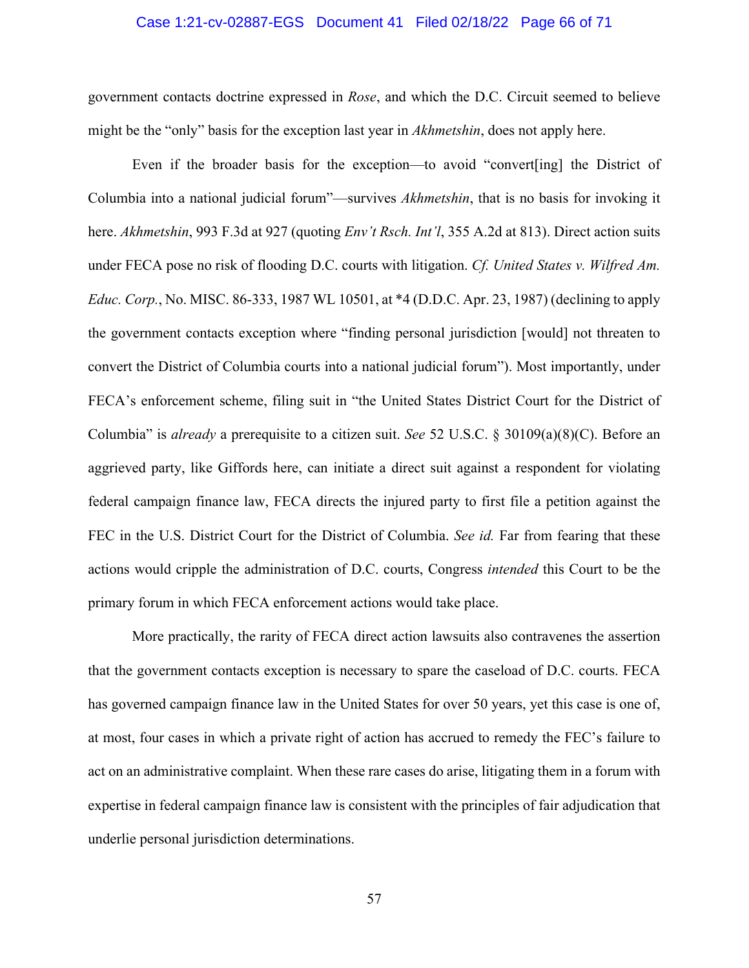#### Case 1:21-cv-02887-EGS Document 41 Filed 02/18/22 Page 66 of 71

government contacts doctrine expressed in *Rose*, and which the D.C. Circuit seemed to believe might be the "only" basis for the exception last year in *Akhmetshin*, does not apply here.

Even if the broader basis for the exception—to avoid "convert[ing] the District of Columbia into a national judicial forum"—survives *Akhmetshin*, that is no basis for invoking it here. *Akhmetshin*, 993 F.3d at 927 (quoting *Env't Rsch. Int'l*, 355 A.2d at 813). Direct action suits under FECA pose no risk of flooding D.C. courts with litigation. *Cf. United States v. Wilfred Am. Educ. Corp.*, No. MISC. 86-333, 1987 WL 10501, at \*4 (D.D.C. Apr. 23, 1987) (declining to apply the government contacts exception where "finding personal jurisdiction [would] not threaten to convert the District of Columbia courts into a national judicial forum"). Most importantly, under FECA's enforcement scheme, filing suit in "the United States District Court for the District of Columbia" is *already* a prerequisite to a citizen suit. *See* 52 U.S.C. § 30109(a)(8)(C). Before an aggrieved party, like Giffords here, can initiate a direct suit against a respondent for violating federal campaign finance law, FECA directs the injured party to first file a petition against the FEC in the U.S. District Court for the District of Columbia. *See id.* Far from fearing that these actions would cripple the administration of D.C. courts, Congress *intended* this Court to be the primary forum in which FECA enforcement actions would take place.

More practically, the rarity of FECA direct action lawsuits also contravenes the assertion that the government contacts exception is necessary to spare the caseload of D.C. courts. FECA has governed campaign finance law in the United States for over 50 years, yet this case is one of, at most, four cases in which a private right of action has accrued to remedy the FEC's failure to act on an administrative complaint. When these rare cases do arise, litigating them in a forum with expertise in federal campaign finance law is consistent with the principles of fair adjudication that underlie personal jurisdiction determinations.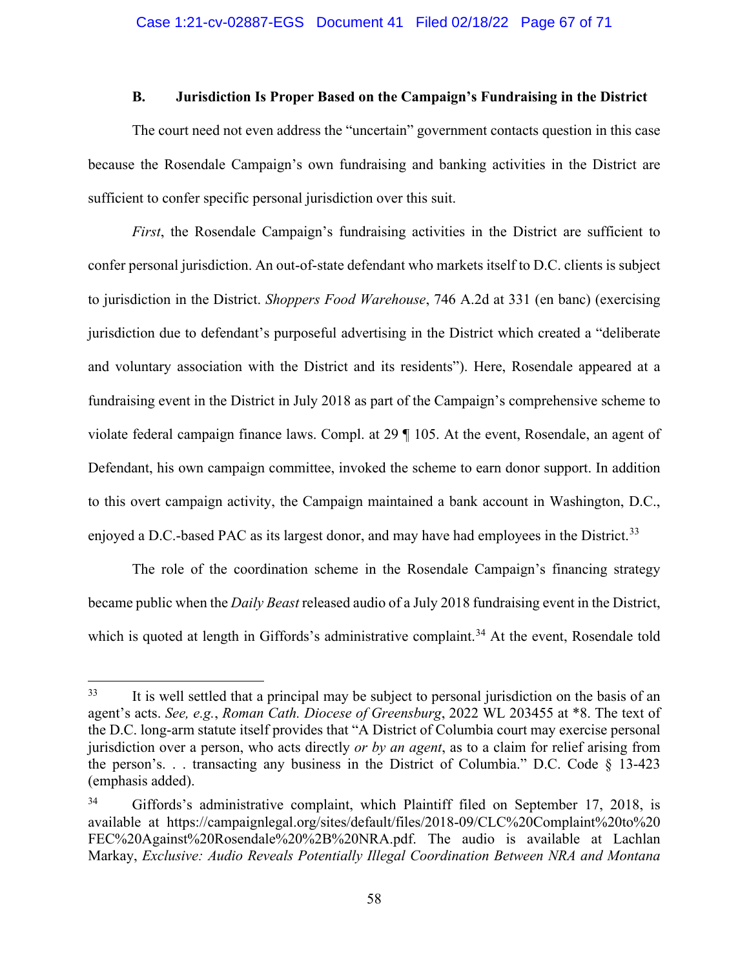#### **B. Jurisdiction Is Proper Based on the Campaign's Fundraising in the District**

The court need not even address the "uncertain" government contacts question in this case because the Rosendale Campaign's own fundraising and banking activities in the District are sufficient to confer specific personal jurisdiction over this suit.

*First*, the Rosendale Campaign's fundraising activities in the District are sufficient to confer personal jurisdiction. An out-of-state defendant who markets itself to D.C. clients is subject to jurisdiction in the District. *Shoppers Food Warehouse*, 746 A.2d at 331 (en banc) (exercising jurisdiction due to defendant's purposeful advertising in the District which created a "deliberate and voluntary association with the District and its residents"). Here, Rosendale appeared at a fundraising event in the District in July 2018 as part of the Campaign's comprehensive scheme to violate federal campaign finance laws. Compl. at 29 ¶ 105. At the event, Rosendale, an agent of Defendant, his own campaign committee, invoked the scheme to earn donor support. In addition to this overt campaign activity, the Campaign maintained a bank account in Washington, D.C., enjoyed a D.C.-based PAC as its largest donor, and may have had employees in the District.<sup>[33](#page-66-0)</sup>

The role of the coordination scheme in the Rosendale Campaign's financing strategy became public when the *Daily Beast* released audio of a July 2018 fundraising event in the District, which is quoted at length in Giffords's administrative complaint.<sup>[34](#page-66-1)</sup> At the event, Rosendale told

<span id="page-66-0"></span><sup>&</sup>lt;sup>33</sup> It is well settled that a principal may be subject to personal jurisdiction on the basis of an agent's acts. *See, e.g.*, *Roman Cath. Diocese of Greensburg*, 2022 WL 203455 at \*8. The text of the D.C. long-arm statute itself provides that "A District of Columbia court may exercise personal jurisdiction over a person, who acts directly *or by an agent*, as to a claim for relief arising from the person's. . . transacting any business in the District of Columbia." D.C. Code § 13-423 (emphasis added).

<span id="page-66-1"></span><sup>34</sup> Giffords's administrative complaint, which Plaintiff filed on September 17, 2018, is available at https://campaignlegal.org/sites/default/files/2018-09/CLC%20Complaint%20to%20 FEC%20Against%20Rosendale%20%2B%20NRA.pdf. The audio is available at Lachlan Markay, *Exclusive: Audio Reveals Potentially Illegal Coordination Between NRA and Montana*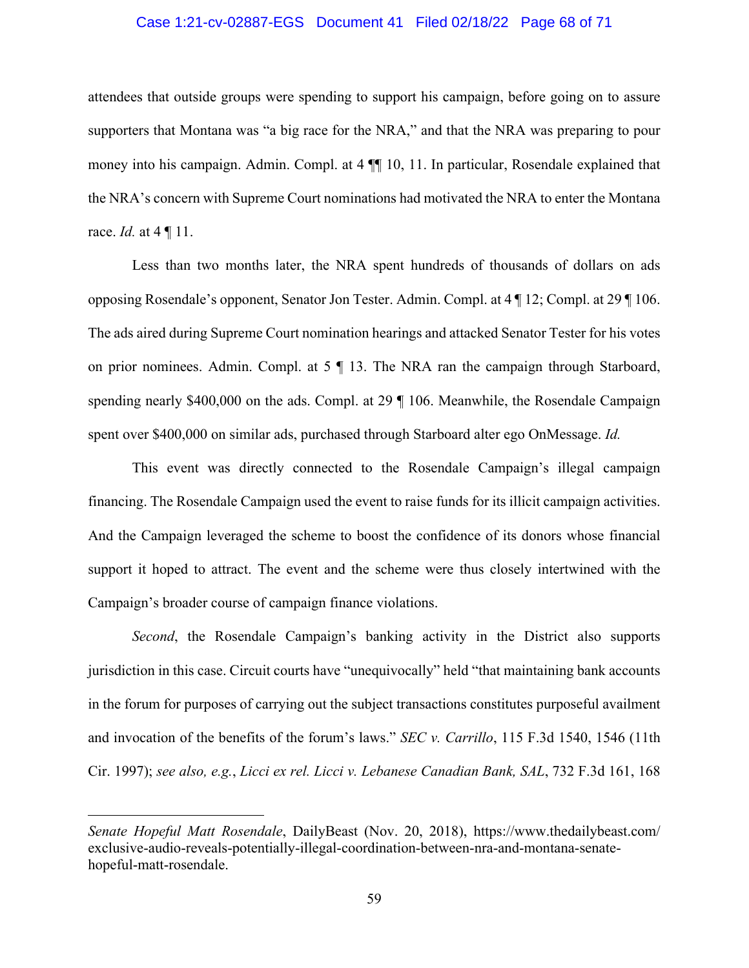#### Case 1:21-cv-02887-EGS Document 41 Filed 02/18/22 Page 68 of 71

attendees that outside groups were spending to support his campaign, before going on to assure supporters that Montana was "a big race for the NRA," and that the NRA was preparing to pour money into his campaign. Admin. Compl. at 4 ¶¶ 10, 11. In particular, Rosendale explained that the NRA's concern with Supreme Court nominations had motivated the NRA to enter the Montana race. *Id.* at 4 ¶ 11.

Less than two months later, the NRA spent hundreds of thousands of dollars on ads opposing Rosendale's opponent, Senator Jon Tester. Admin. Compl. at 4 ¶ 12; Compl. at 29 ¶ 106. The ads aired during Supreme Court nomination hearings and attacked Senator Tester for his votes on prior nominees. Admin. Compl. at 5 ¶ 13. The NRA ran the campaign through Starboard, spending nearly \$400,000 on the ads. Compl. at 29 ¶ 106. Meanwhile, the Rosendale Campaign spent over \$400,000 on similar ads, purchased through Starboard alter ego OnMessage. *Id.*

This event was directly connected to the Rosendale Campaign's illegal campaign financing. The Rosendale Campaign used the event to raise funds for its illicit campaign activities. And the Campaign leveraged the scheme to boost the confidence of its donors whose financial support it hoped to attract. The event and the scheme were thus closely intertwined with the Campaign's broader course of campaign finance violations.

*Second*, the Rosendale Campaign's banking activity in the District also supports jurisdiction in this case. Circuit courts have "unequivocally" held "that maintaining bank accounts in the forum for purposes of carrying out the subject transactions constitutes purposeful availment and invocation of the benefits of the forum's laws." *SEC v. Carrillo*, 115 F.3d 1540, 1546 (11th Cir. 1997); *see also, e.g.*, *Licci ex rel. Licci v. Lebanese Canadian Bank, SAL*, 732 F.3d 161, 168

*Senate Hopeful Matt Rosendale*, DailyBeast (Nov. 20, 2018), https://www.thedailybeast.com/ exclusive-audio-reveals-potentially-illegal-coordination-between-nra-and-montana-senatehopeful-matt-rosendale.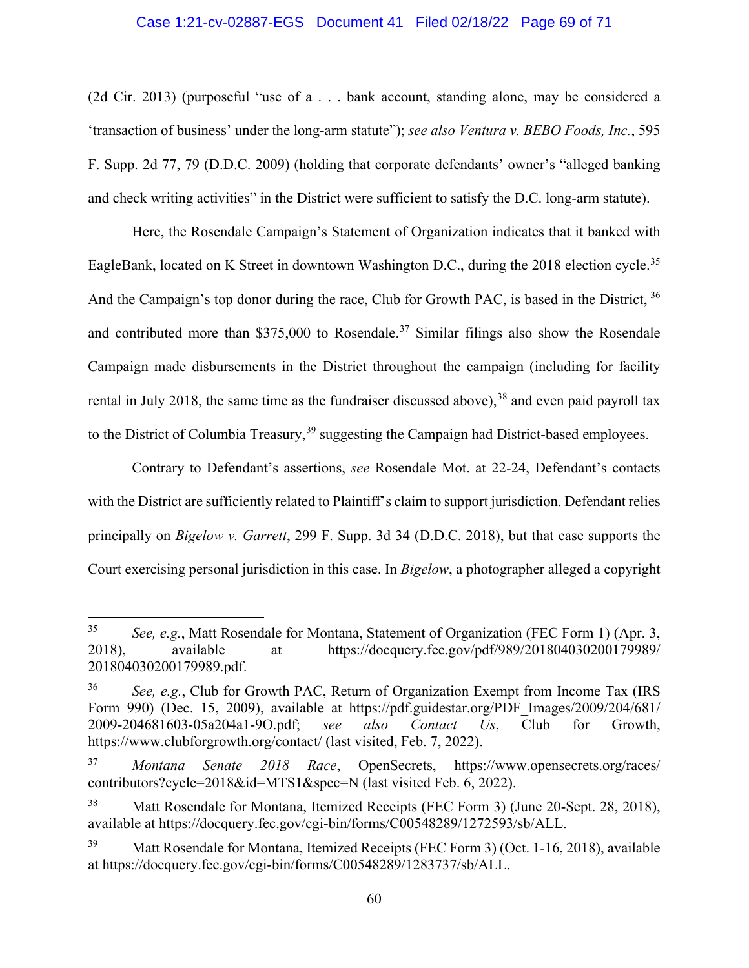#### Case 1:21-cv-02887-EGS Document 41 Filed 02/18/22 Page 69 of 71

(2d Cir. 2013) (purposeful "use of a . . . bank account, standing alone, may be considered a 'transaction of business' under the long-arm statute"); *see also Ventura v. BEBO Foods, Inc.*, 595 F. Supp. 2d 77, 79 (D.D.C. 2009) (holding that corporate defendants' owner's "alleged banking and check writing activities" in the District were sufficient to satisfy the D.C. long-arm statute).

Here, the Rosendale Campaign's Statement of Organization indicates that it banked with EagleBank, located on K Street in downtown Washington D.C., during the 2018 election cycle.<sup>[35](#page-68-0)</sup> And the Campaign's top donor during the race, Club for Growth PAC, is based in the District, <sup>[36](#page-68-1)</sup> and contributed more than \$[37](#page-68-2)5,000 to Rosendale.<sup>37</sup> Similar filings also show the Rosendale Campaign made disbursements in the District throughout the campaign (including for facility rental in July 2018, the same time as the fundraiser discussed above),  $38$  and even paid payroll tax to the District of Columbia Treasury,<sup>[39](#page-68-4)</sup> suggesting the Campaign had District-based employees.

Contrary to Defendant's assertions, *see* Rosendale Mot. at 22-24, Defendant's contacts with the District are sufficiently related to Plaintiff's claim to support jurisdiction. Defendant relies principally on *Bigelow v. Garrett*, 299 F. Supp. 3d 34 (D.D.C. 2018), but that case supports the Court exercising personal jurisdiction in this case. In *Bigelow*, a photographer alleged a copyright

<span id="page-68-0"></span><sup>35</sup> *See, e.g.*, Matt Rosendale for Montana, Statement of Organization (FEC Form 1) (Apr. 3, 2018), available at https://docquery.fec.gov/pdf/989/201804030200179989/ 201804030200179989.pdf.

<span id="page-68-1"></span><sup>36</sup> *See, e.g.*, Club for Growth PAC, Return of Organization Exempt from Income Tax (IRS Form 990) (Dec. 15, 2009), available at https://pdf.guidestar.org/PDF Images/2009/204/681/ 2009-204681603-05a204a1-9O.pdf; *see also Contact Us*, Club for Growth, https://www.clubforgrowth.org/contact/ (last visited, Feb. 7, 2022).

<span id="page-68-2"></span><sup>37</sup> *Montana Senate 2018 Race*, OpenSecrets, https://www.opensecrets.org/races/ contributors?cycle=2018&id=MTS1&spec=N (last visited Feb. 6, 2022).

<span id="page-68-3"></span><sup>38</sup> Matt Rosendale for Montana, Itemized Receipts (FEC Form 3) (June 20-Sept. 28, 2018), available at https://docquery.fec.gov/cgi-bin/forms/C00548289/1272593/sb/ALL.

<span id="page-68-4"></span>Matt Rosendale for Montana, Itemized Receipts (FEC Form 3) (Oct. 1-16, 2018), available at https://docquery.fec.gov/cgi-bin/forms/C00548289/1283737/sb/ALL.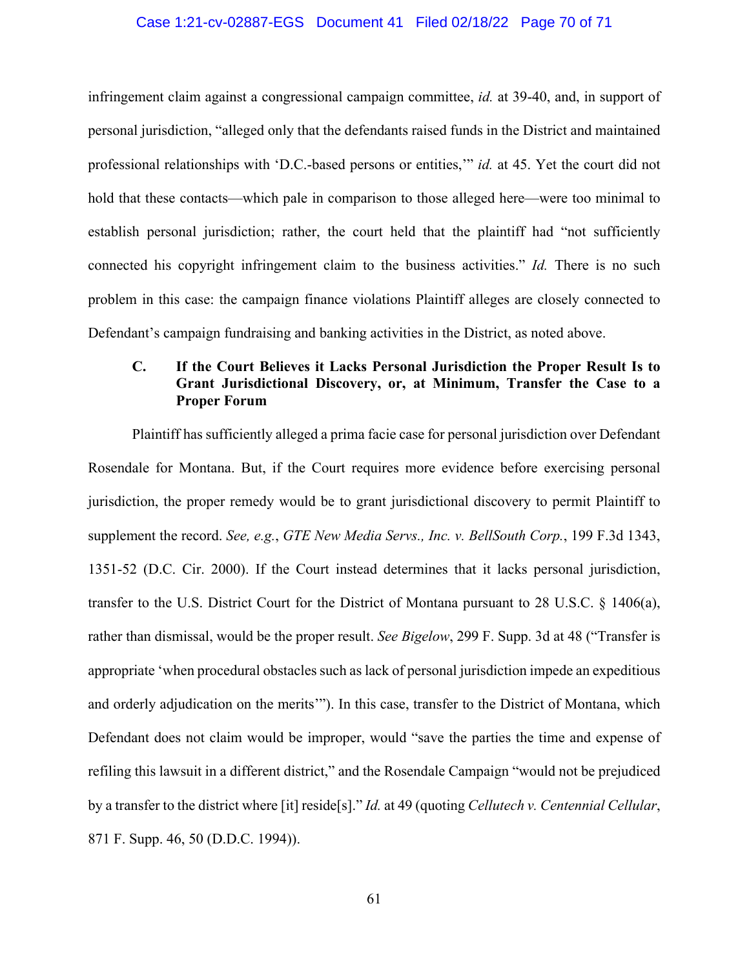#### Case 1:21-cv-02887-EGS Document 41 Filed 02/18/22 Page 70 of 71

infringement claim against a congressional campaign committee, *id.* at 39-40, and, in support of personal jurisdiction, "alleged only that the defendants raised funds in the District and maintained professional relationships with 'D.C.-based persons or entities,'" *id.* at 45. Yet the court did not hold that these contacts—which pale in comparison to those alleged here—were too minimal to establish personal jurisdiction; rather, the court held that the plaintiff had "not sufficiently connected his copyright infringement claim to the business activities." *Id.* There is no such problem in this case: the campaign finance violations Plaintiff alleges are closely connected to Defendant's campaign fundraising and banking activities in the District, as noted above.

## **C. If the Court Believes it Lacks Personal Jurisdiction the Proper Result Is to Grant Jurisdictional Discovery, or, at Minimum, Transfer the Case to a Proper Forum**

Plaintiff has sufficiently alleged a prima facie case for personal jurisdiction over Defendant Rosendale for Montana. But, if the Court requires more evidence before exercising personal jurisdiction, the proper remedy would be to grant jurisdictional discovery to permit Plaintiff to supplement the record. *See, e.g.*, *GTE New Media Servs., Inc. v. BellSouth Corp.*, 199 F.3d 1343, 1351-52 (D.C. Cir. 2000). If the Court instead determines that it lacks personal jurisdiction, transfer to the U.S. District Court for the District of Montana pursuant to 28 U.S.C. § 1406(a), rather than dismissal, would be the proper result. *See Bigelow*, 299 F. Supp. 3d at 48 ("Transfer is appropriate 'when procedural obstacles such as lack of personal jurisdiction impede an expeditious and orderly adjudication on the merits'"). In this case, transfer to the District of Montana, which Defendant does not claim would be improper, would "save the parties the time and expense of refiling this lawsuit in a different district," and the Rosendale Campaign "would not be prejudiced by a transfer to the district where [it] reside[s]." *Id.* at 49 (quoting *Cellutech v. Centennial Cellular*, 871 F. Supp. 46, 50 (D.D.C. 1994)).